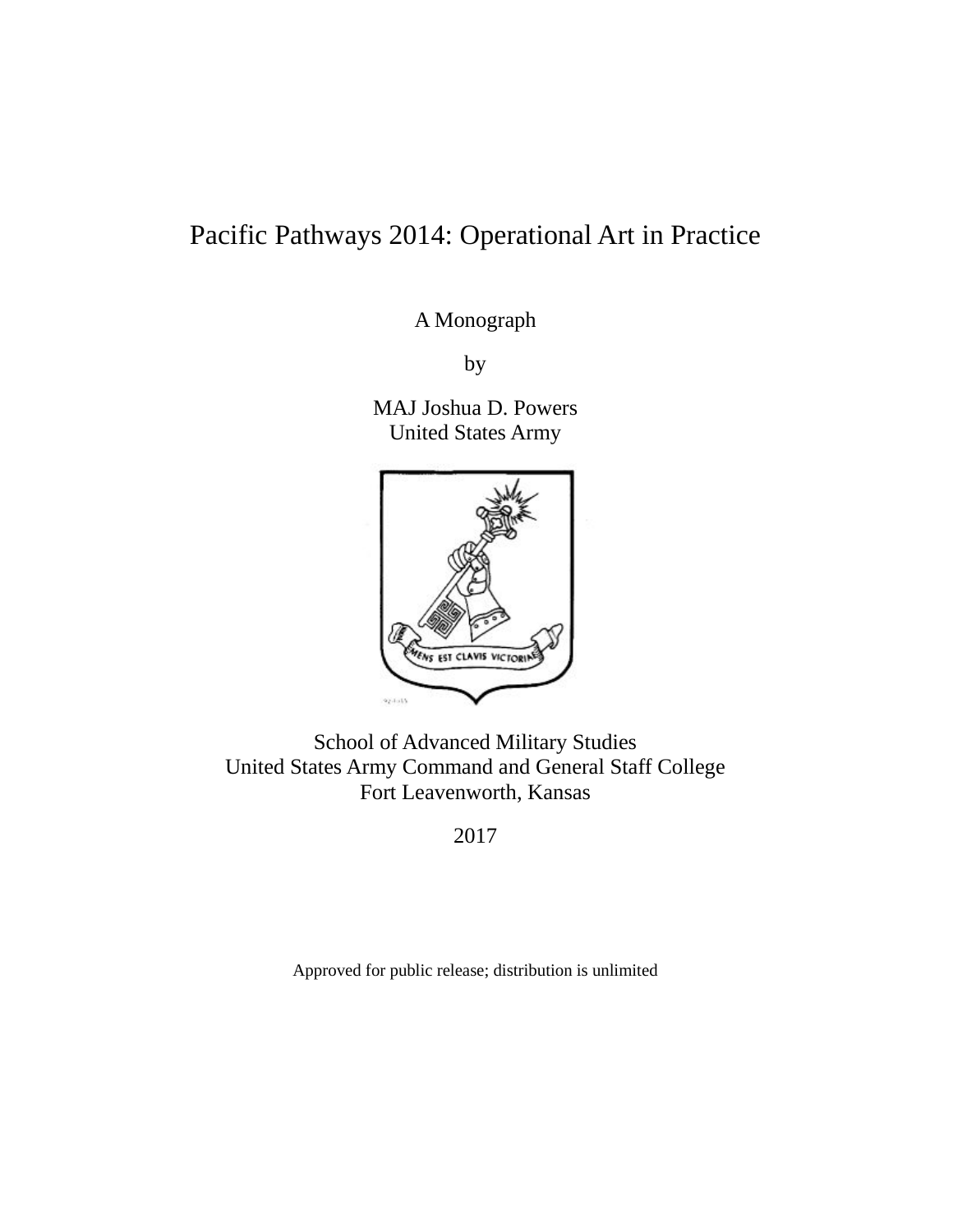# Pacific Pathways 2014: Operational Art in Practice

A Monograph

by

MAJ Joshua D. Powers United States Army



School of Advanced Military Studies United States Army Command and General Staff College Fort Leavenworth, Kansas

2017

Approved for public release; distribution is unlimited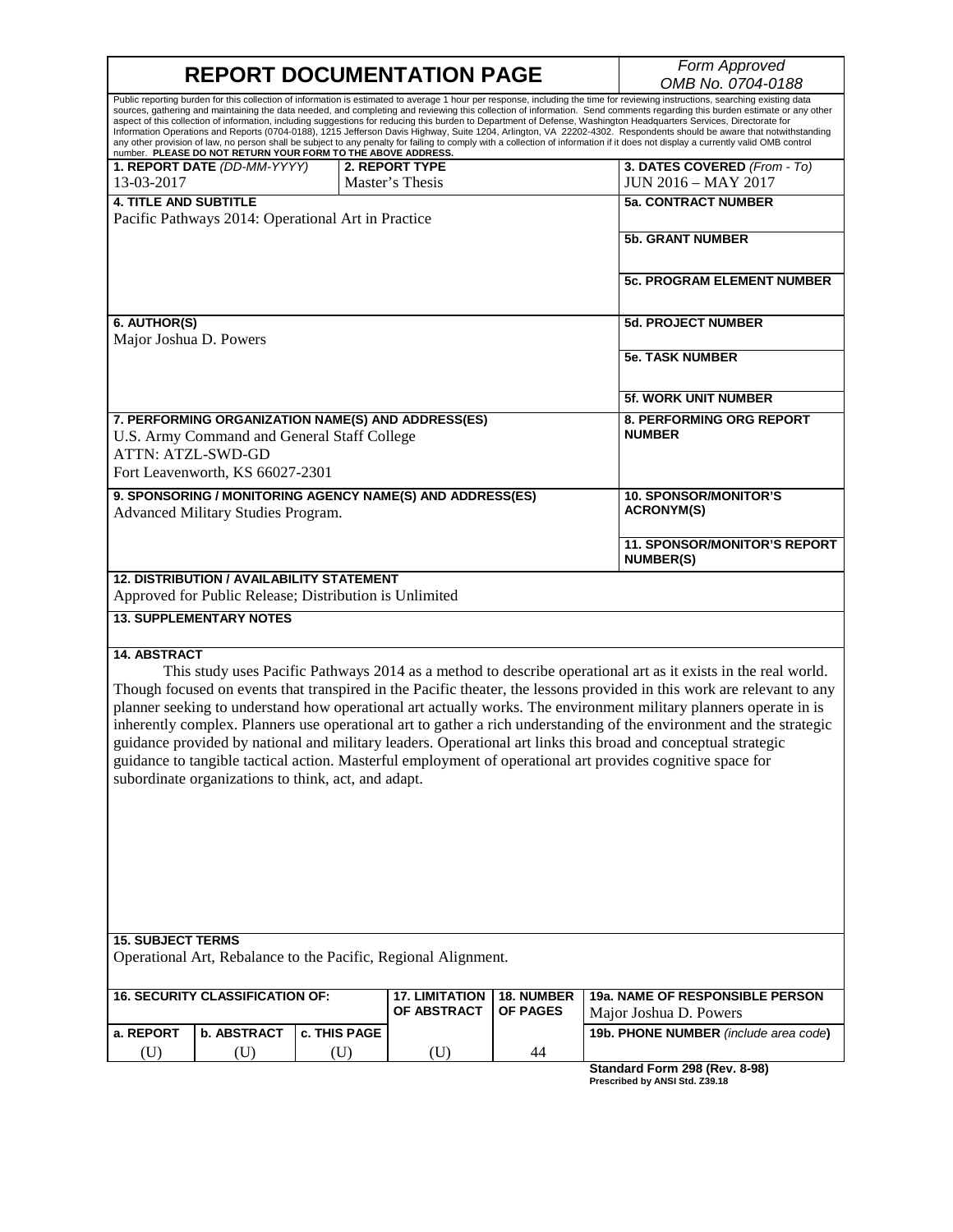**REPORT DOCUMENTATION PAGE** *Form Approved OMB No. 0704-0188* Public reporting burden for this collection of information is estimated to average 1 hour per response, including the time for reviewing instructions, searching existing data sources, gathering and maintaining the data needed, and completing and reviewing this collection of information. Send comments regarding this burden estimate or any other aspect of this collection of information, including suggestions for reducing this burden to Department of Defense, Washington Headquarters Services, Directorate for<br>Information Operations and Reports (0704-0188), 1215 Jeff any other provision of law, no person shall be subject to any penalty for failing to comply with a collection of information if it does not display a currently valid OMB control<br>number. PLEASE DO NOT RETURN YOUR FORM TO TH **1. REPORT DATE** *(DD-MM-YYYY)* 13-03-2017 **2. REPORT TYPE** Master's Thesis **3. DATES COVERED** *(From - To)* JUN 2016 – MAY 2017 **4. TITLE AND SUBTITLE** Pacific Pathways 2014: Operational Art in Practice **5a. CONTRACT NUMBER 5b. GRANT NUMBER 5c. PROGRAM ELEMENT NUMBER 6. AUTHOR(S)** Major Joshua D. Powers **5d. PROJECT NUMBER 5e. TASK NUMBER 5f. WORK UNIT NUMBER 7. PERFORMING ORGANIZATION NAME(S) AND ADDRESS(ES)** U.S. Army Command and General Staff College ATTN: ATZL-SWD-GD Fort Leavenworth, KS 66027-2301 **8. PERFORMING ORG REPORT NUMBER 9. SPONSORING / MONITORING AGENCY NAME(S) AND ADDRESS(ES)** Advanced Military Studies Program. **10. SPONSOR/MONITOR'S ACRONYM(S) 11. SPONSOR/MONITOR'S REPORT NUMBER(S) 12. DISTRIBUTION / AVAILABILITY STATEMENT** Approved for Public Release; Distribution is Unlimited **13. SUPPLEMENTARY NOTES 14. ABSTRACT** This study uses Pacific Pathways 2014 as a method to describe operational art as it exists in the real world. Though focused on events that transpired in the Pacific theater, the lessons provided in this work are relevant to any planner seeking to understand how operational art actually works. The environment military planners operate in is inherently complex. Planners use operational art to gather a rich understanding of the environment and the strategic guidance provided by national and military leaders. Operational art links this broad and conceptual strategic guidance to tangible tactical action. Masterful employment of operational art provides cognitive space for subordinate organizations to think, act, and adapt.

#### **15. SUBJECT TERMS**

Operational Art, Rebalance to the Pacific, Regional Alignment.

| I 16. SECURITY CLASSIFICATION OF: I |             |                       | l 17. LIMITATION   18. NUMBER<br>OF ABSTRACT | <b>OF PAGES</b> | <b>19a. NAME OF RESPONSIBLE PERSON</b><br>l Maior Joshua D. Powers |
|-------------------------------------|-------------|-----------------------|----------------------------------------------|-----------------|--------------------------------------------------------------------|
| l a. REPORT                         | b. ABSTRACT | <b>I</b> c. THIS PAGE |                                              |                 | 19b. PHONE NUMBER (include area code)                              |
| U)                                  |             |                       |                                              | 44              |                                                                    |

**Standard Form 298 (Rev. 8-98) Prescribed by ANSI Std. Z39.18**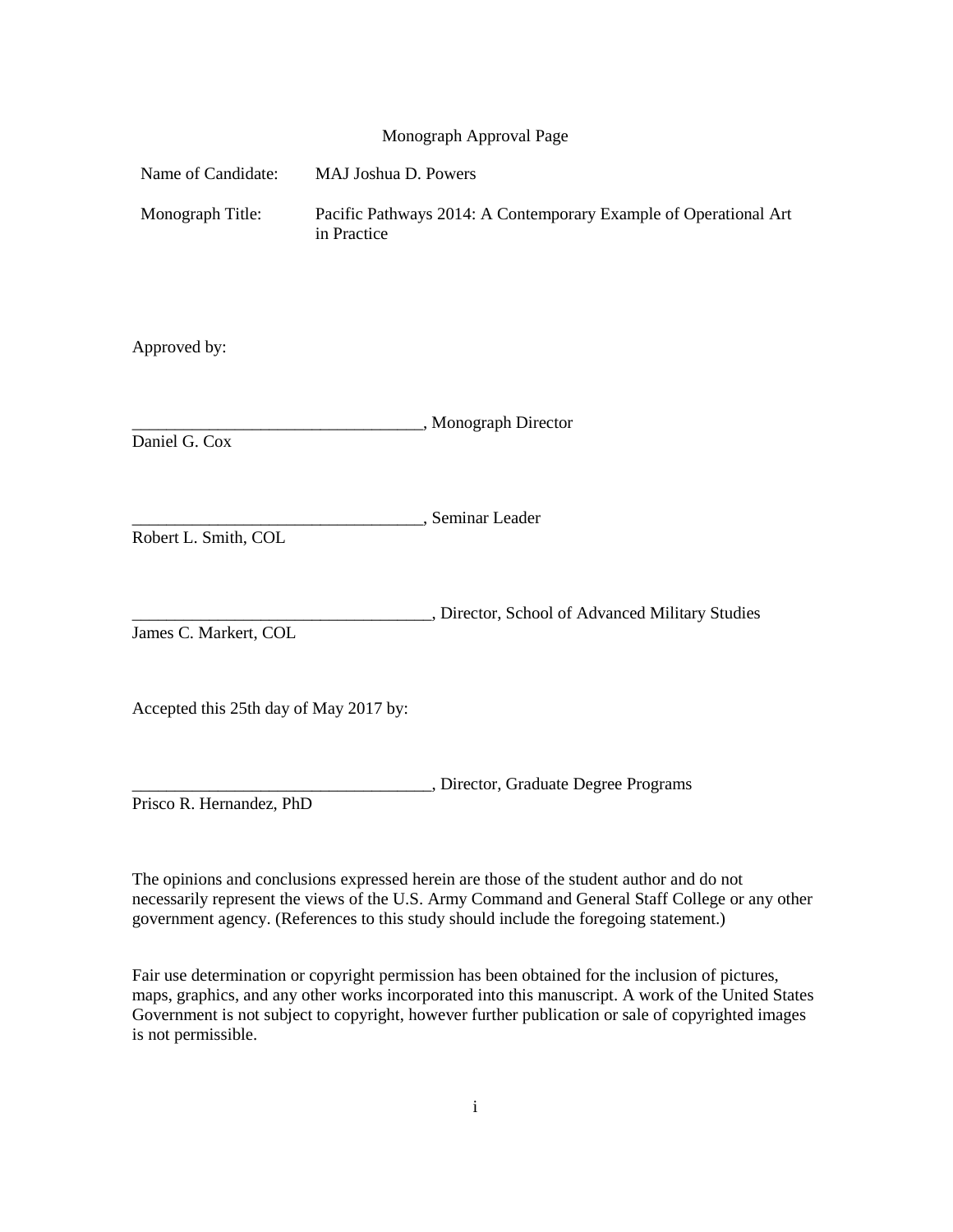#### Monograph Approval Page

| Name of Candidate:                     | MAJ Joshua D. Powers                                                            |  |  |
|----------------------------------------|---------------------------------------------------------------------------------|--|--|
| Monograph Title:                       | Pacific Pathways 2014: A Contemporary Example of Operational Art<br>in Practice |  |  |
| Approved by:                           |                                                                                 |  |  |
| Daniel G. Cox                          | "Monograph Director                                                             |  |  |
| Robert L. Smith, COL                   | , Seminar Leader                                                                |  |  |
| James C. Markert, COL                  | , Director, School of Advanced Military Studies                                 |  |  |
| Accepted this 25th day of May 2017 by: |                                                                                 |  |  |
| Prisco R. Hernandez, PhD               | , Director, Graduate Degree Programs                                            |  |  |

The opinions and conclusions expressed herein are those of the student author and do not necessarily represent the views of the U.S. Army Command and General Staff College or any other government agency. (References to this study should include the foregoing statement.)

Fair use determination or copyright permission has been obtained for the inclusion of pictures, maps, graphics, and any other works incorporated into this manuscript. A work of the United States Government is not subject to copyright, however further publication or sale of copyrighted images is not permissible.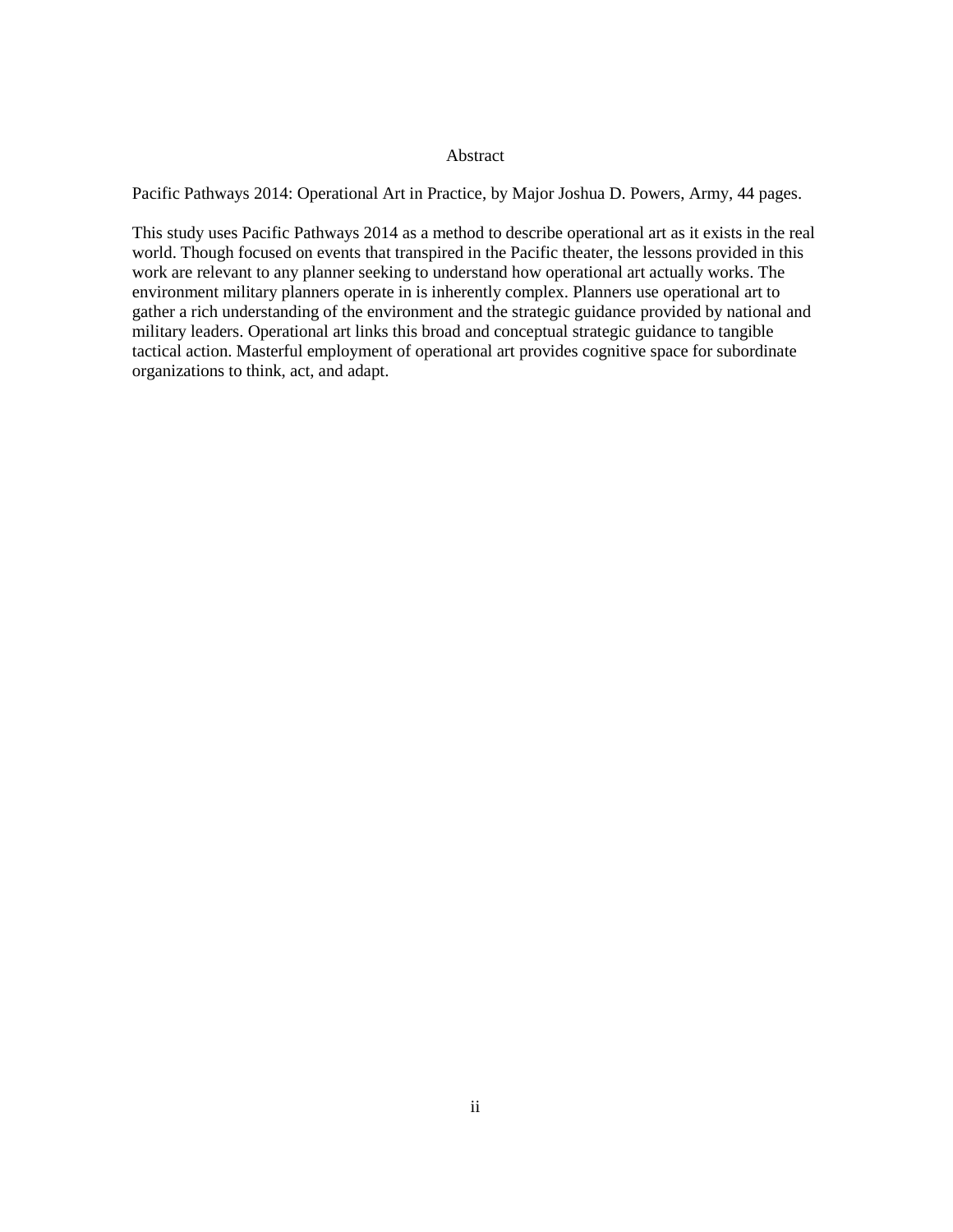#### Abstract

Pacific Pathways 2014: Operational Art in Practice, by Major Joshua D. Powers, Army, 44 pages.

This study uses Pacific Pathways 2014 as a method to describe operational art as it exists in the real world. Though focused on events that transpired in the Pacific theater, the lessons provided in this work are relevant to any planner seeking to understand how operational art actually works. The environment military planners operate in is inherently complex. Planners use operational art to gather a rich understanding of the environment and the strategic guidance provided by national and military leaders. Operational art links this broad and conceptual strategic guidance to tangible tactical action. Masterful employment of operational art provides cognitive space for subordinate organizations to think, act, and adapt.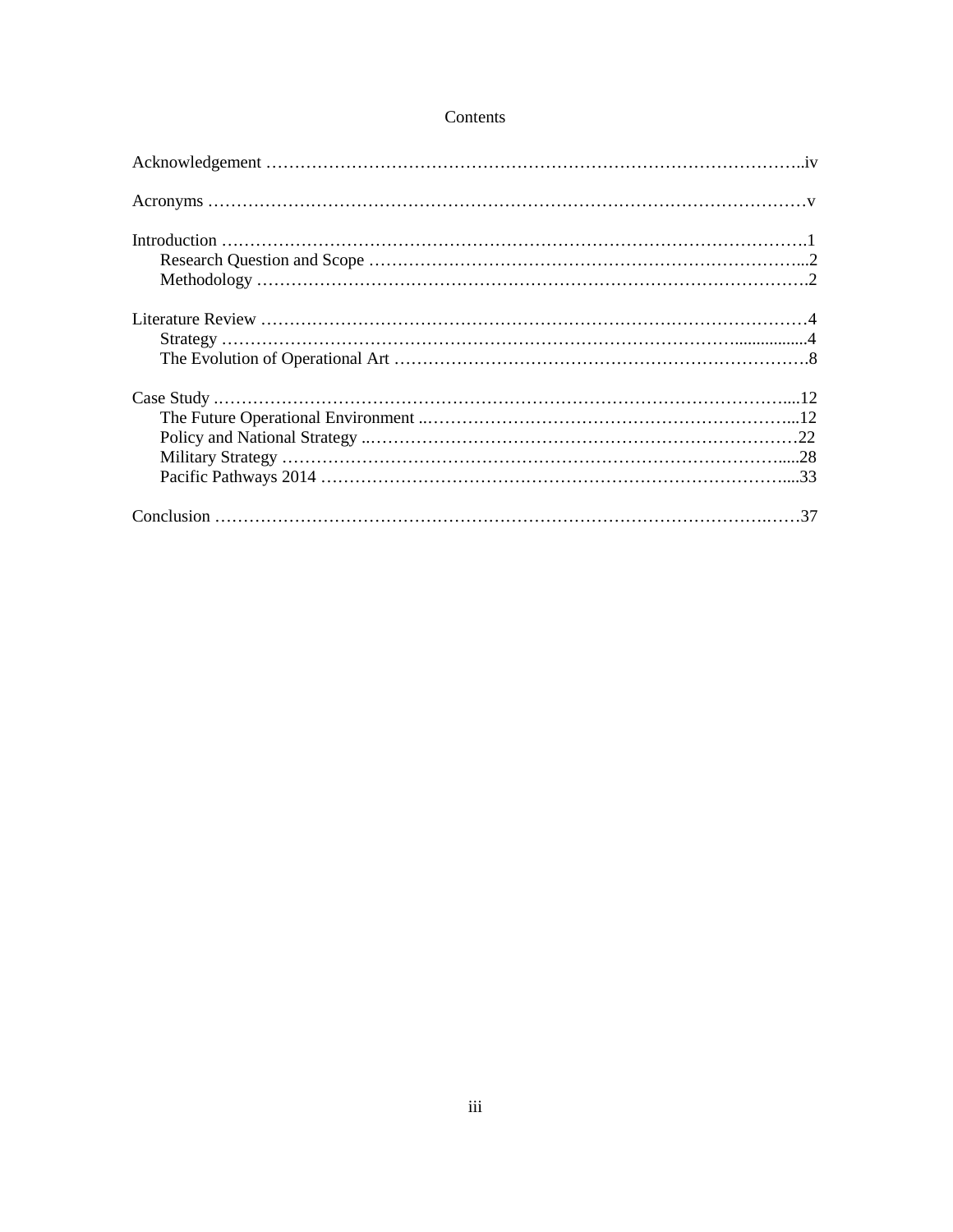#### Contents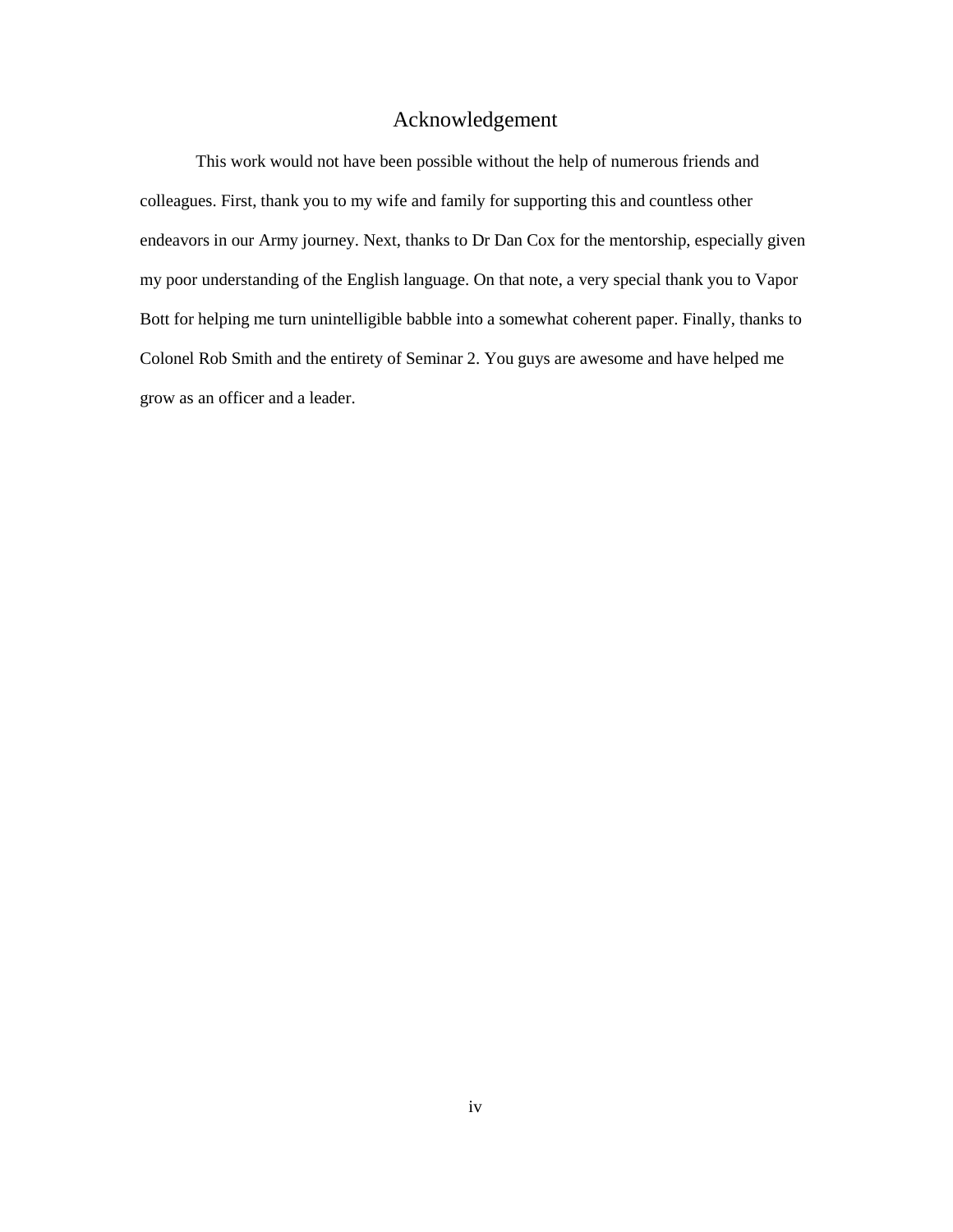## Acknowledgement

This work would not have been possible without the help of numerous friends and colleagues. First, thank you to my wife and family for supporting this and countless other endeavors in our Army journey. Next, thanks to Dr Dan Cox for the mentorship, especially given my poor understanding of the English language. On that note, a very special thank you to Vapor Bott for helping me turn unintelligible babble into a somewhat coherent paper. Finally, thanks to Colonel Rob Smith and the entirety of Seminar 2. You guys are awesome and have helped me grow as an officer and a leader.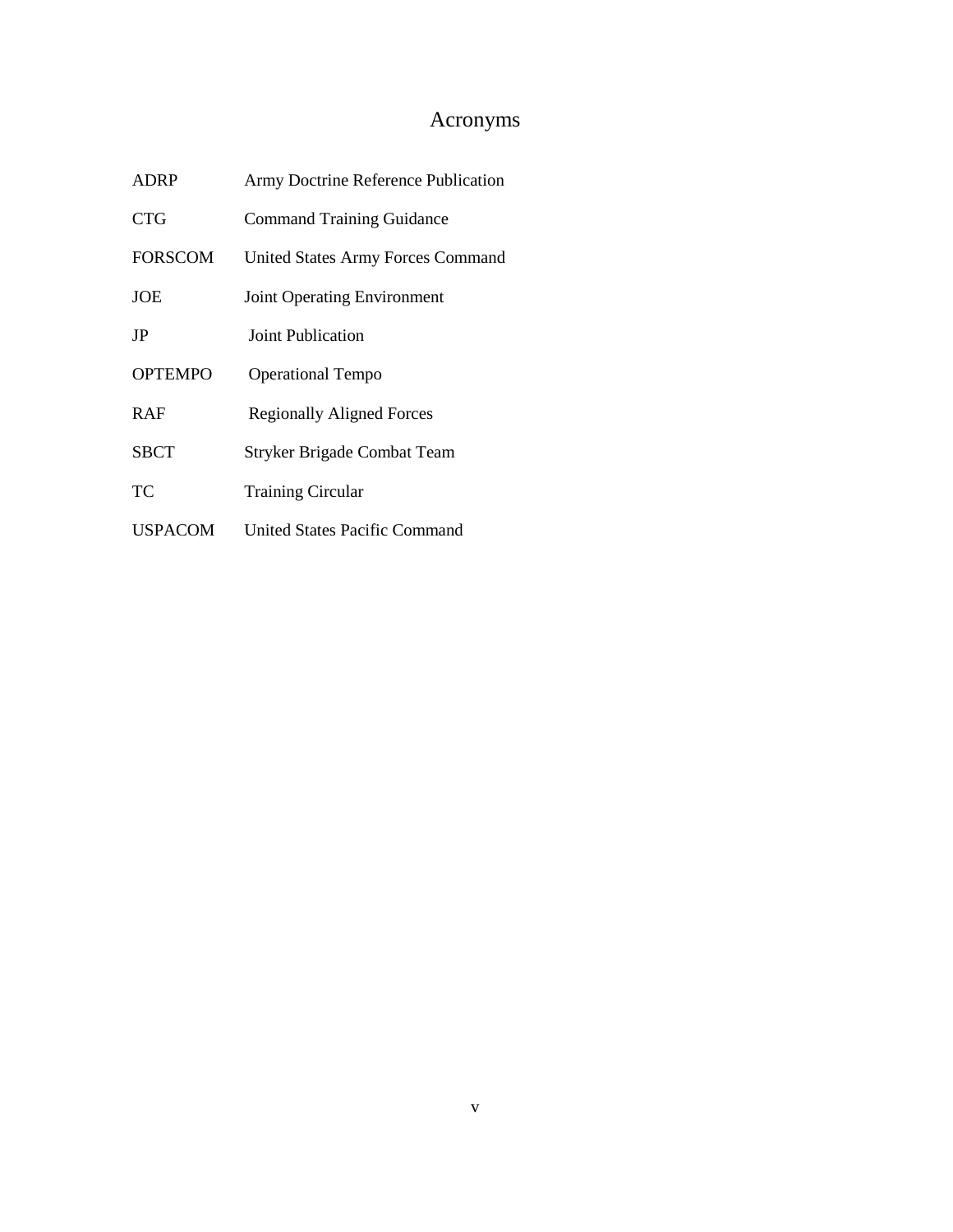# Acronyms

| <b>ADRP</b>    | Army Doctrine Reference Publication      |  |  |
|----------------|------------------------------------------|--|--|
| CTG            | <b>Command Training Guidance</b>         |  |  |
| <b>FORSCOM</b> | <b>United States Army Forces Command</b> |  |  |
| <b>JOE</b>     | <b>Joint Operating Environment</b>       |  |  |
| JP             | Joint Publication                        |  |  |
| <b>OPTEMPO</b> | <b>Operational Tempo</b>                 |  |  |
| <b>RAF</b>     | <b>Regionally Aligned Forces</b>         |  |  |
| <b>SBCT</b>    | <b>Stryker Brigade Combat Team</b>       |  |  |
| TC.            | <b>Training Circular</b>                 |  |  |
| <b>USPACOM</b> | <b>United States Pacific Command</b>     |  |  |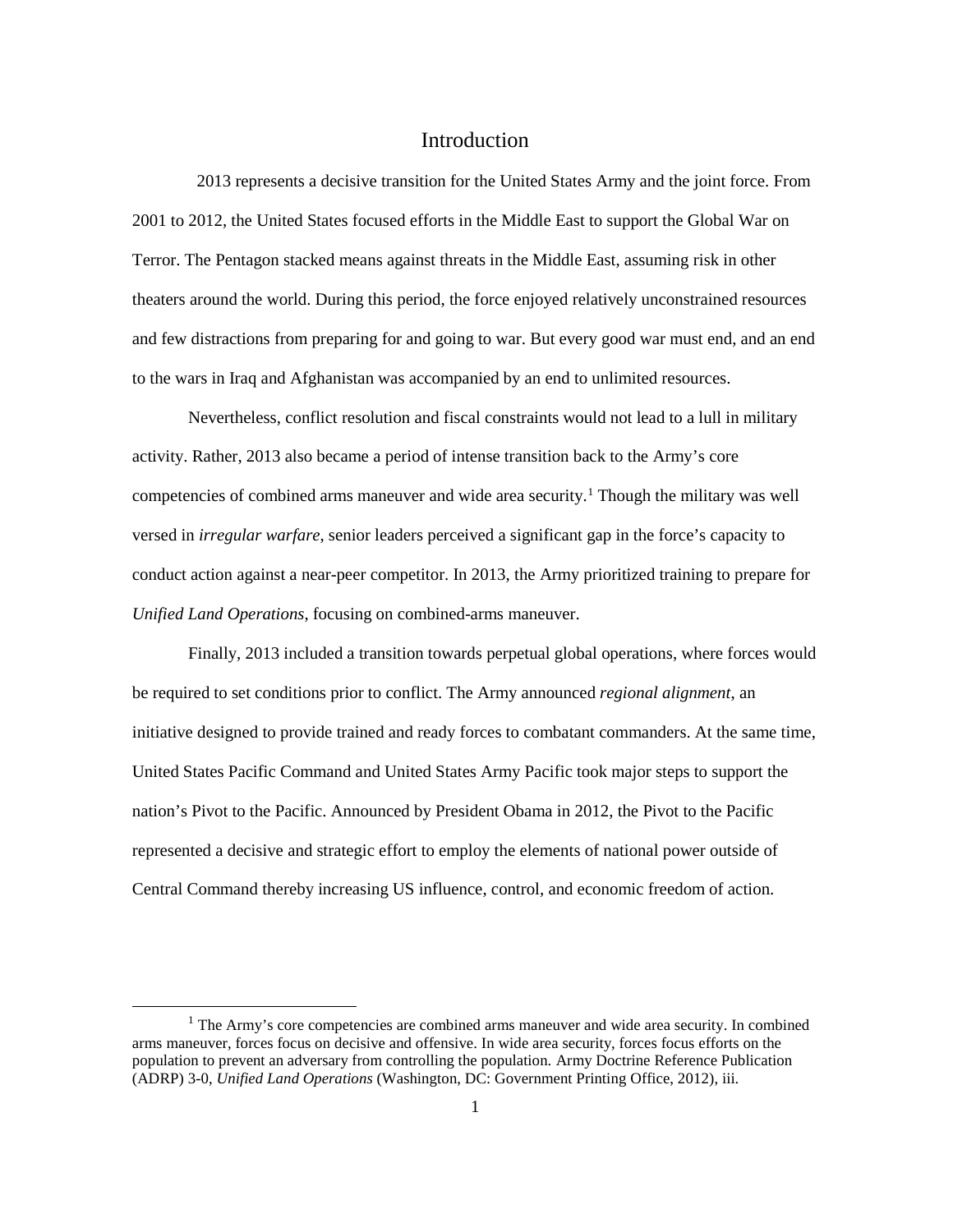## **Introduction**

2013 represents a decisive transition for the United States Army and the joint force. From 2001 to 2012, the United States focused efforts in the Middle East to support the Global War on Terror. The Pentagon stacked means against threats in the Middle East, assuming risk in other theaters around the world. During this period, the force enjoyed relatively unconstrained resources and few distractions from preparing for and going to war. But every good war must end, and an end to the wars in Iraq and Afghanistan was accompanied by an end to unlimited resources.

Nevertheless, conflict resolution and fiscal constraints would not lead to a lull in military activity. Rather, 2013 also became a period of intense transition back to the Army's core competencies of combined arms maneuver and wide area security. [1](#page-7-0) Though the military was well versed in *irregular warfare*, senior leaders perceived a significant gap in the force's capacity to conduct action against a near-peer competitor. In 2013, the Army prioritized training to prepare for *Unified Land Operations*, focusing on combined-arms maneuver.

Finally, 2013 included a transition towards perpetual global operations, where forces would be required to set conditions prior to conflict. The Army announced *regional alignment*, an initiative designed to provide trained and ready forces to combatant commanders. At the same time, United States Pacific Command and United States Army Pacific took major steps to support the nation's Pivot to the Pacific. Announced by President Obama in 2012, the Pivot to the Pacific represented a decisive and strategic effort to employ the elements of national power outside of Central Command thereby increasing US influence, control, and economic freedom of action.

<span id="page-7-0"></span><sup>&</sup>lt;sup>1</sup> The Army's core competencies are combined arms maneuver and wide area security. In combined arms maneuver, forces focus on decisive and offensive. In wide area security, forces focus efforts on the population to prevent an adversary from controlling the population. Army Doctrine Reference Publication (ADRP) 3-0, *Unified Land Operations* (Washington, DC: Government Printing Office, 2012), iii.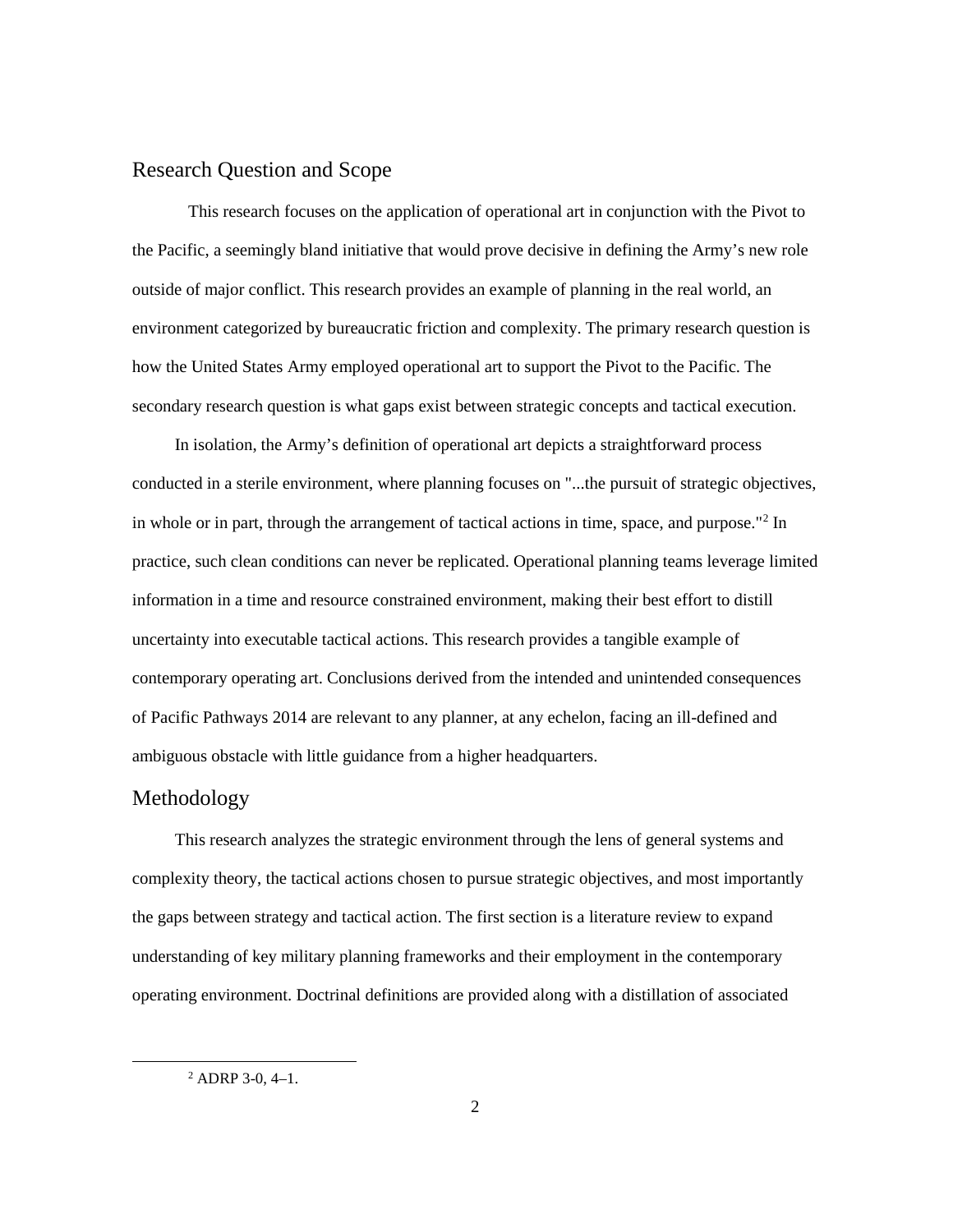## Research Question and Scope

This research focuses on the application of operational art in conjunction with the Pivot to the Pacific, a seemingly bland initiative that would prove decisive in defining the Army's new role outside of major conflict. This research provides an example of planning in the real world, an environment categorized by bureaucratic friction and complexity. The primary research question is how the United States Army employed operational art to support the Pivot to the Pacific. The secondary research question is what gaps exist between strategic concepts and tactical execution.

In isolation, the Army's definition of operational art depicts a straightforward process conducted in a sterile environment, where planning focuses on "...the pursuit of strategic objectives, in whole or in part, through the arrangement of tactical actions in time, space, and purpose.["2](#page-8-0) In practice, such clean conditions can never be replicated. Operational planning teams leverage limited information in a time and resource constrained environment, making their best effort to distill uncertainty into executable tactical actions. This research provides a tangible example of contemporary operating art. Conclusions derived from the intended and unintended consequences of Pacific Pathways 2014 are relevant to any planner, at any echelon, facing an ill-defined and ambiguous obstacle with little guidance from a higher headquarters.

# Methodology

This research analyzes the strategic environment through the lens of general systems and complexity theory, the tactical actions chosen to pursue strategic objectives, and most importantly the gaps between strategy and tactical action. The first section is a literature review to expand understanding of key military planning frameworks and their employment in the contemporary operating environment. Doctrinal definitions are provided along with a distillation of associated

<span id="page-8-0"></span> $2$  ADRP 3-0, 4-1.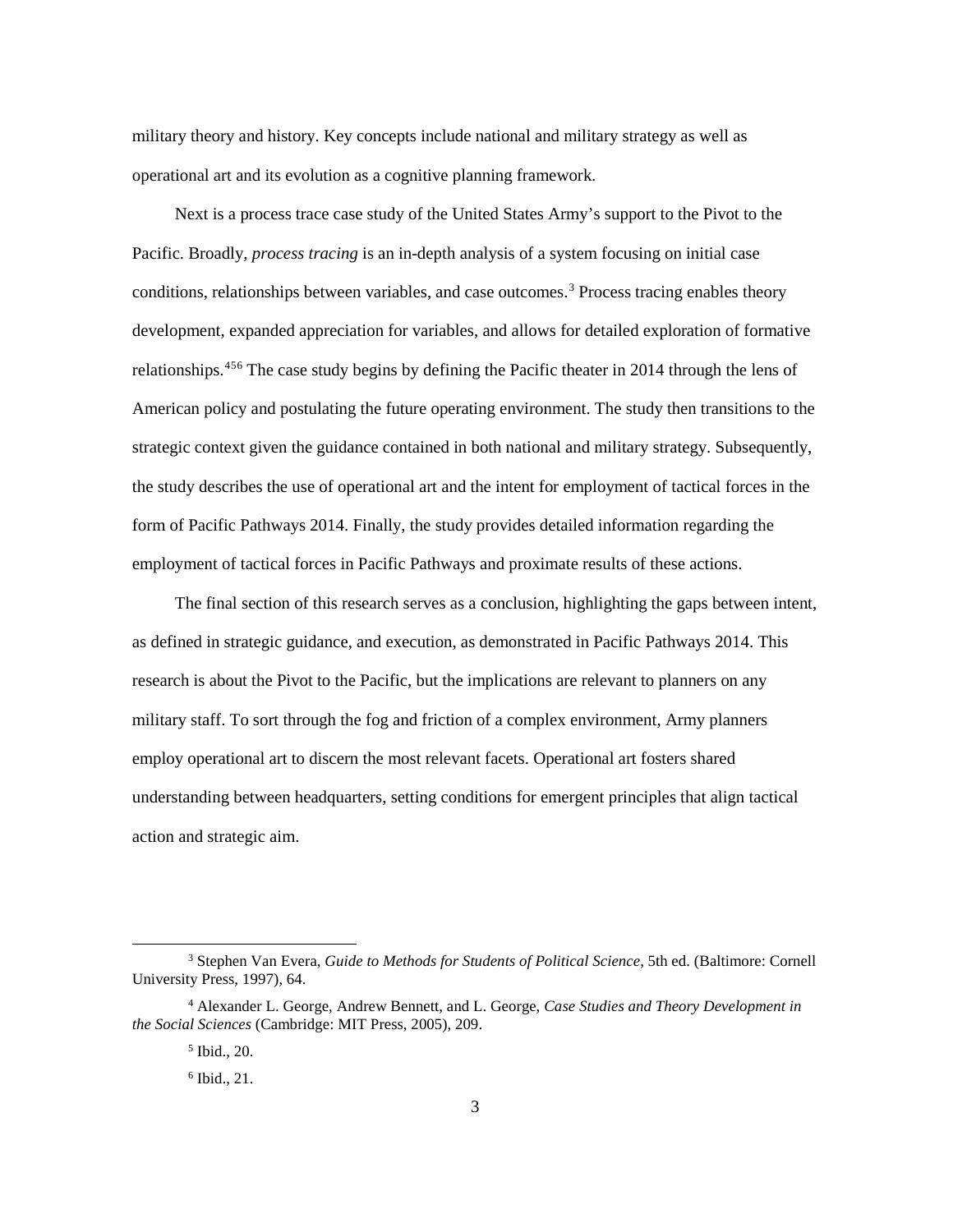military theory and history. Key concepts include national and military strategy as well as operational art and its evolution as a cognitive planning framework.

Next is a process trace case study of the United States Army's support to the Pivot to the Pacific. Broadly, *process tracing* is an in-depth analysis of a system focusing on initial case conditions, relationships between variables, and case outcomes.[3](#page-9-0) Process tracing enables theory development, expanded appreciation for variables, and allows for detailed exploration of formative relationships.<sup>[4](#page-9-1)[5](#page-9-2)[6](#page-9-3)</sup> The case study begins by defining the Pacific theater in 2014 through the lens of American policy and postulating the future operating environment. The study then transitions to the strategic context given the guidance contained in both national and military strategy. Subsequently, the study describes the use of operational art and the intent for employment of tactical forces in the form of Pacific Pathways 2014. Finally, the study provides detailed information regarding the employment of tactical forces in Pacific Pathways and proximate results of these actions.

The final section of this research serves as a conclusion, highlighting the gaps between intent, as defined in strategic guidance, and execution, as demonstrated in Pacific Pathways 2014. This research is about the Pivot to the Pacific, but the implications are relevant to planners on any military staff. To sort through the fog and friction of a complex environment, Army planners employ operational art to discern the most relevant facets. Operational art fosters shared understanding between headquarters, setting conditions for emergent principles that align tactical action and strategic aim.

<span id="page-9-0"></span> <sup>3</sup> Stephen Van Evera, *Guide to Methods for Students of Political Science*, 5th ed. (Baltimore: Cornell University Press, 1997), 64.

<span id="page-9-3"></span><span id="page-9-2"></span><span id="page-9-1"></span><sup>4</sup> Alexander L. George, Andrew Bennett, and L. George, *Case Studies and Theory Development in the Social Sciences* (Cambridge: MIT Press, 2005), 209.

<sup>5</sup> Ibid., 20.

<sup>6</sup> Ibid., 21.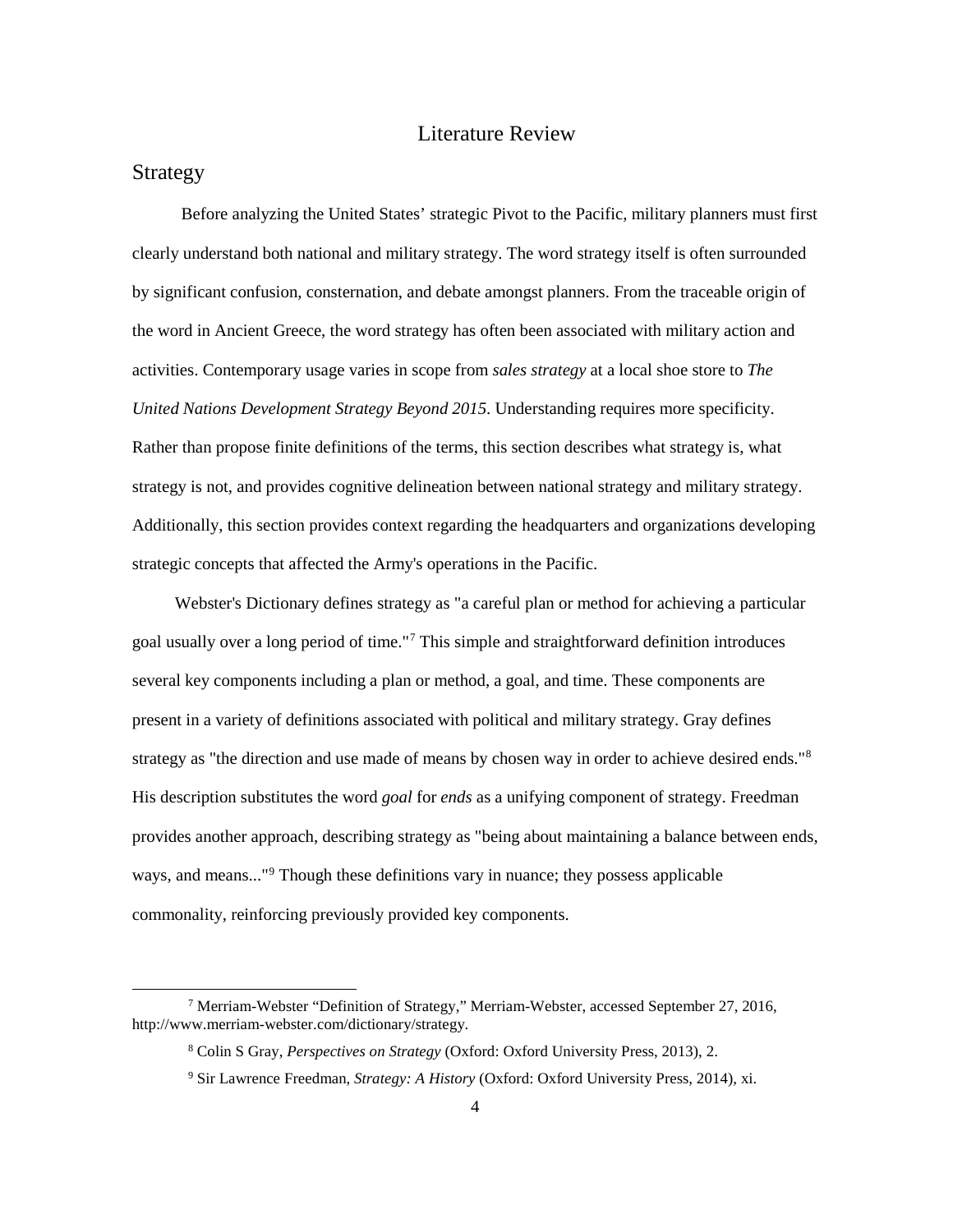## Literature Review

## Strategy

Before analyzing the United States' strategic Pivot to the Pacific, military planners must first clearly understand both national and military strategy. The word strategy itself is often surrounded by significant confusion, consternation, and debate amongst planners. From the traceable origin of the word in Ancient Greece, the word strategy has often been associated with military action and activities. Contemporary usage varies in scope from *sales strategy* at a local shoe store to *The United Nations Development Strategy Beyond 2015*. Understanding requires more specificity. Rather than propose finite definitions of the terms, this section describes what strategy is, what strategy is not, and provides cognitive delineation between national strategy and military strategy. Additionally, this section provides context regarding the headquarters and organizations developing strategic concepts that affected the Army's operations in the Pacific.

Webster's Dictionary defines strategy as "a careful plan or method for achieving a particular goal usually over a long period of time."[7](#page-10-0) This simple and straightforward definition introduces several key components including a plan or method, a goal, and time. These components are present in a variety of definitions associated with political and military strategy. Gray defines strategy as "the direction and use made of means by chosen way in order to achieve desired ends."<sup>[8](#page-10-1)</sup> His description substitutes the word *goal* for *ends* as a unifying component of strategy. Freedman provides another approach, describing strategy as "being about maintaining a balance between ends, ways, and means..."[9](#page-10-2) Though these definitions vary in nuance; they possess applicable commonality, reinforcing previously provided key components.

<span id="page-10-2"></span><span id="page-10-1"></span><span id="page-10-0"></span> <sup>7</sup> Merriam-Webster "Definition of Strategy," Merriam-Webster, accessed September 27, 2016, http://www.merriam-webster.com/dictionary/strategy.

<sup>8</sup> Colin S Gray, *Perspectives on Strategy* (Oxford: Oxford University Press, 2013), 2.

<sup>9</sup> Sir Lawrence Freedman, *Strategy: A History* (Oxford: Oxford University Press, 2014), xi.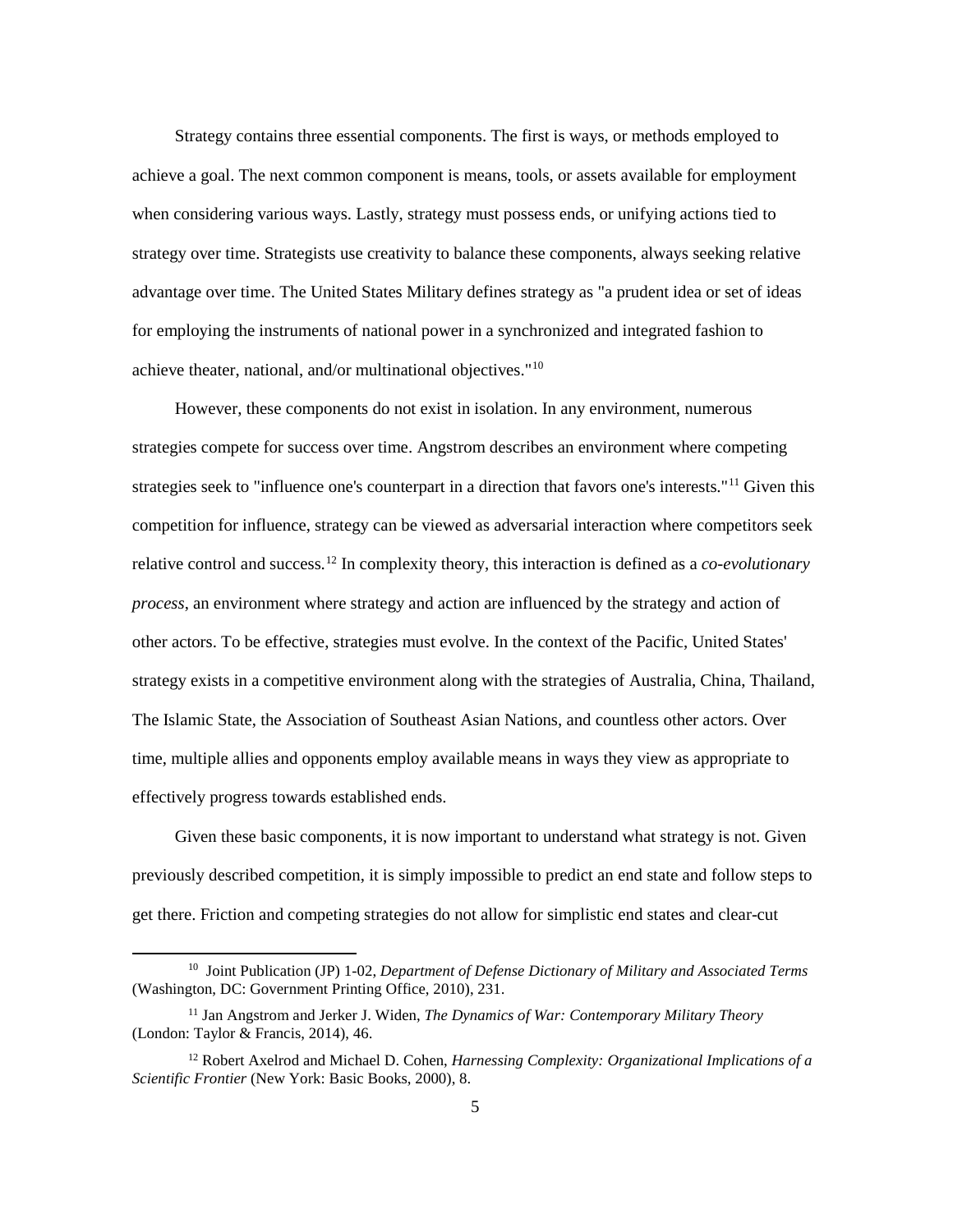Strategy contains three essential components. The first is ways, or methods employed to achieve a goal. The next common component is means, tools, or assets available for employment when considering various ways. Lastly, strategy must possess ends, or unifying actions tied to strategy over time. Strategists use creativity to balance these components, always seeking relative advantage over time. The United States Military defines strategy as "a prudent idea or set of ideas for employing the instruments of national power in a synchronized and integrated fashion to achieve theater, national, and/or multinational objectives."[10](#page-11-0)

However, these components do not exist in isolation. In any environment, numerous strategies compete for success over time. Angstrom describes an environment where competing strategies seek to "influence one's counterpart in a direction that favors one's interests."[11](#page-11-1) Given this competition for influence, strategy can be viewed as adversarial interaction where competitors seek relative control and success.[12](#page-11-2) In complexity theory, this interaction is defined as a *co-evolutionary process*, an environment where strategy and action are influenced by the strategy and action of other actors. To be effective, strategies must evolve. In the context of the Pacific, United States' strategy exists in a competitive environment along with the strategies of Australia, China, Thailand, The Islamic State, the Association of Southeast Asian Nations, and countless other actors. Over time, multiple allies and opponents employ available means in ways they view as appropriate to effectively progress towards established ends.

Given these basic components, it is now important to understand what strategy is not. Given previously described competition, it is simply impossible to predict an end state and follow steps to get there. Friction and competing strategies do not allow for simplistic end states and clear-cut

<span id="page-11-0"></span> <sup>10</sup> Joint Publication (JP) 1-02, *Department of Defense Dictionary of Military and Associated Terms* (Washington, DC: Government Printing Office, 2010), 231.

<span id="page-11-1"></span><sup>11</sup> Jan Angstrom and Jerker J. Widen, *The Dynamics of War: Contemporary Military Theory* (London: Taylor & Francis, 2014), 46.

<span id="page-11-2"></span><sup>12</sup> Robert Axelrod and Michael D. Cohen, *Harnessing Complexity: Organizational Implications of a Scientific Frontier* (New York: Basic Books, 2000), 8.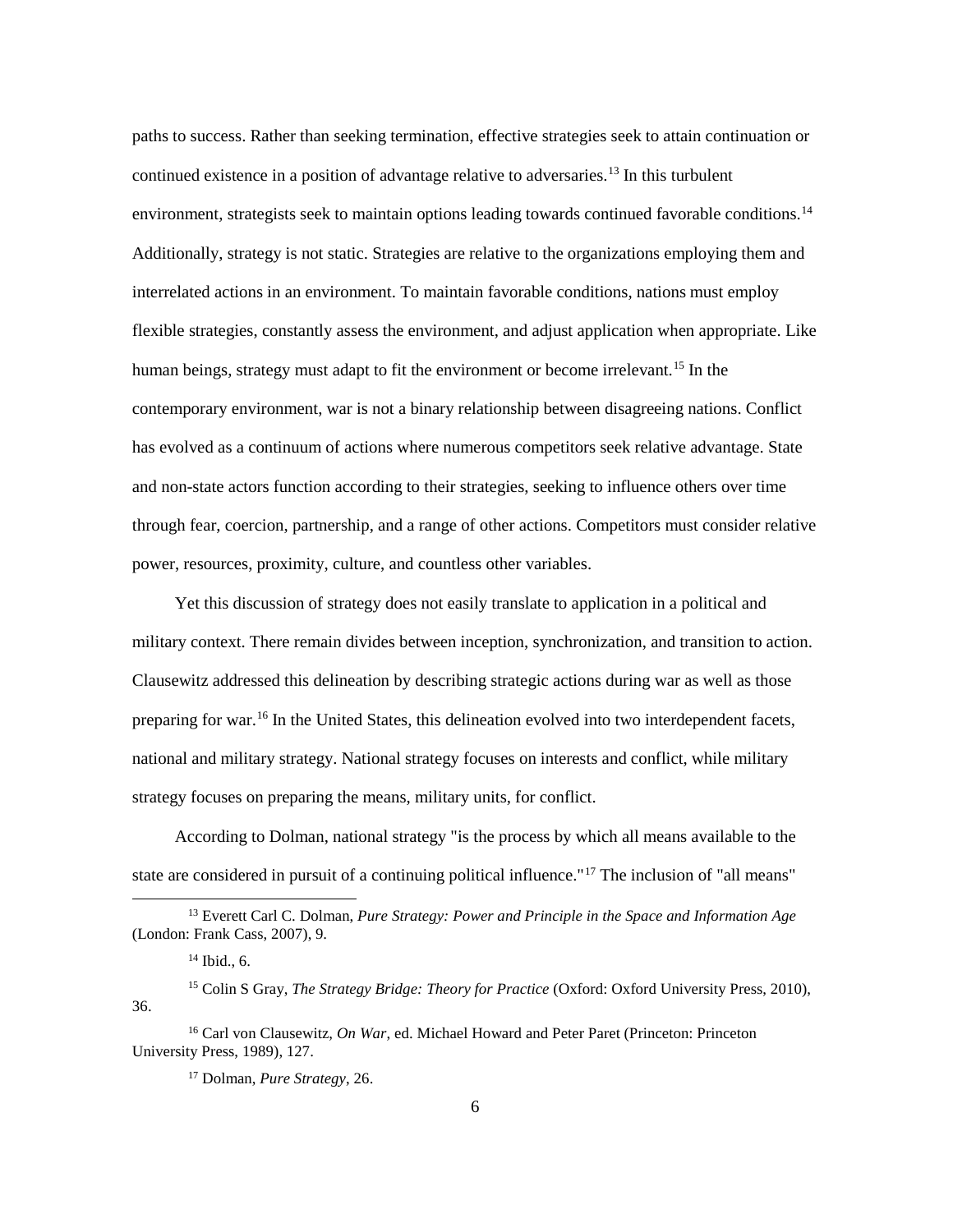paths to success. Rather than seeking termination, effective strategies seek to attain continuation or continued existence in a position of advantage relative to adversaries. [13](#page-12-0) In this turbulent environment, strategists seek to maintain options leading towards continued favorable conditions.<sup>[14](#page-12-1)</sup> Additionally, strategy is not static. Strategies are relative to the organizations employing them and interrelated actions in an environment. To maintain favorable conditions, nations must employ flexible strategies, constantly assess the environment, and adjust application when appropriate. Like human beings, strategy must adapt to fit the environment or become irrelevant.<sup>[15](#page-12-2)</sup> In the contemporary environment, war is not a binary relationship between disagreeing nations. Conflict has evolved as a continuum of actions where numerous competitors seek relative advantage. State and non-state actors function according to their strategies, seeking to influence others over time through fear, coercion, partnership, and a range of other actions. Competitors must consider relative power, resources, proximity, culture, and countless other variables.

Yet this discussion of strategy does not easily translate to application in a political and military context. There remain divides between inception, synchronization, and transition to action. Clausewitz addressed this delineation by describing strategic actions during war as well as those preparing for war.[16](#page-12-3) In the United States, this delineation evolved into two interdependent facets, national and military strategy. National strategy focuses on interests and conflict, while military strategy focuses on preparing the means, military units, for conflict.

According to Dolman, national strategy "is the process by which all means available to the state are considered in pursuit of a continuing political influence."[17](#page-12-4) The inclusion of "all means"

<span id="page-12-0"></span> <sup>13</sup> Everett Carl C. Dolman, *Pure Strategy: Power and Principle in the Space and Information Age* (London: Frank Cass, 2007), 9.

 $14$  Ibid., 6.

<span id="page-12-2"></span><span id="page-12-1"></span><sup>15</sup> Colin S Gray, *The Strategy Bridge: Theory for Practice* (Oxford: Oxford University Press, 2010), 36.

<span id="page-12-4"></span><span id="page-12-3"></span><sup>16</sup> Carl von Clausewitz, *On War*, ed. Michael Howard and Peter Paret (Princeton: Princeton University Press, 1989), 127.

<sup>17</sup> Dolman, *Pure Strategy*, 26.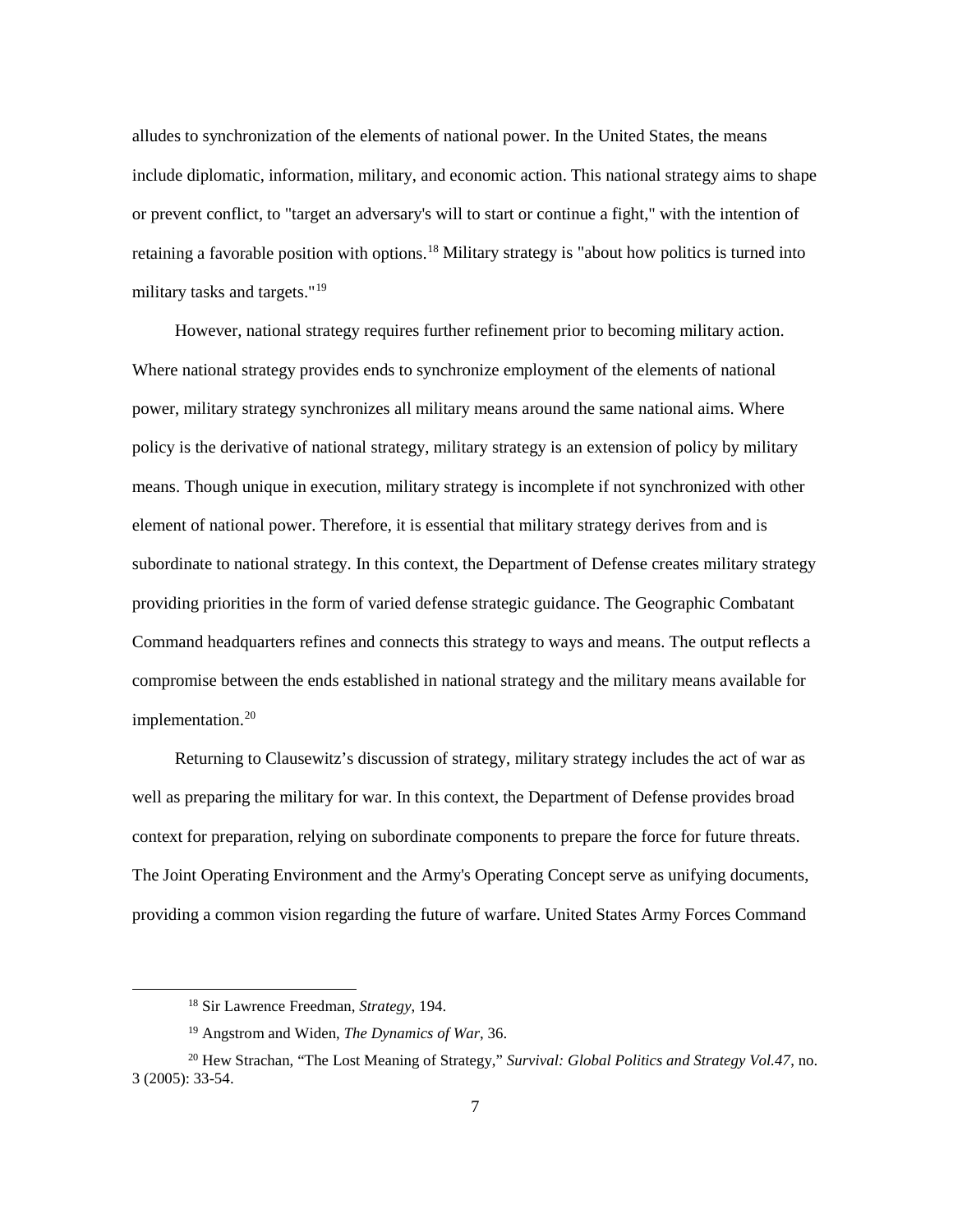alludes to synchronization of the elements of national power. In the United States, the means include diplomatic, information, military, and economic action. This national strategy aims to shape or prevent conflict, to "target an adversary's will to start or continue a fight," with the intention of retaining a favorable position with options.[18](#page-13-0) Military strategy is "about how politics is turned into military tasks and targets."<sup>[19](#page-13-1)</sup>

However, national strategy requires further refinement prior to becoming military action. Where national strategy provides ends to synchronize employment of the elements of national power, military strategy synchronizes all military means around the same national aims. Where policy is the derivative of national strategy, military strategy is an extension of policy by military means. Though unique in execution, military strategy is incomplete if not synchronized with other element of national power. Therefore, it is essential that military strategy derives from and is subordinate to national strategy. In this context, the Department of Defense creates military strategy providing priorities in the form of varied defense strategic guidance. The Geographic Combatant Command headquarters refines and connects this strategy to ways and means. The output reflects a compromise between the ends established in national strategy and the military means available for implementation.<sup>[20](#page-13-2)</sup>

Returning to Clausewitz's discussion of strategy, military strategy includes the act of war as well as preparing the military for war. In this context, the Department of Defense provides broad context for preparation, relying on subordinate components to prepare the force for future threats. The Joint Operating Environment and the Army's Operating Concept serve as unifying documents, providing a common vision regarding the future of warfare. United States Army Forces Command

 <sup>18</sup> Sir Lawrence Freedman, *Strategy*, 194.

<sup>19</sup> Angstrom and Widen, *The Dynamics of War*, 36.

<span id="page-13-2"></span><span id="page-13-1"></span><span id="page-13-0"></span><sup>20</sup> Hew Strachan, "The Lost Meaning of Strategy," *Survival: Global Politics and Strategy Vol.47*, no. 3 (2005): 33-54.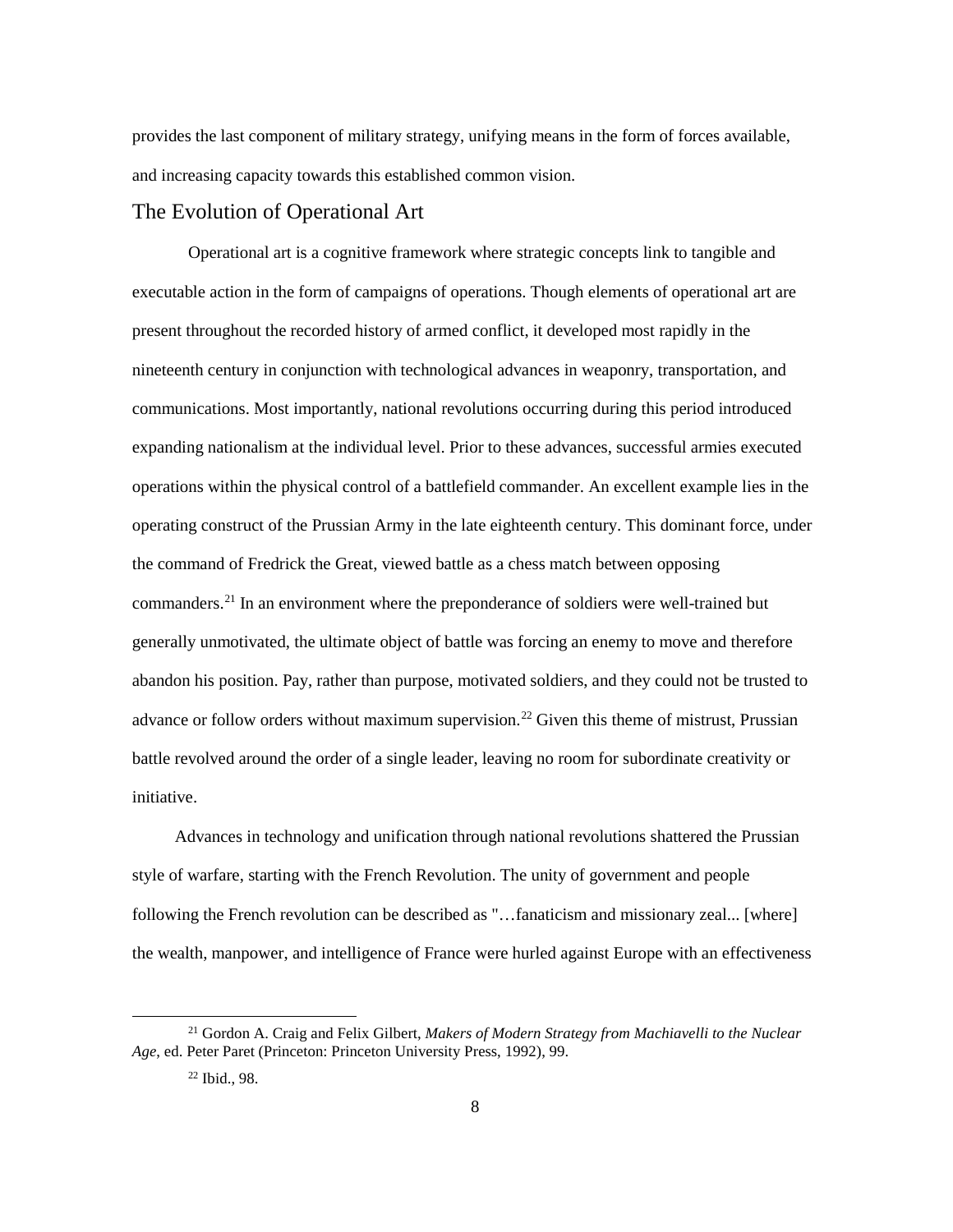provides the last component of military strategy, unifying means in the form of forces available, and increasing capacity towards this established common vision.

## The Evolution of Operational Art

Operational art is a cognitive framework where strategic concepts link to tangible and executable action in the form of campaigns of operations. Though elements of operational art are present throughout the recorded history of armed conflict, it developed most rapidly in the nineteenth century in conjunction with technological advances in weaponry, transportation, and communications. Most importantly, national revolutions occurring during this period introduced expanding nationalism at the individual level. Prior to these advances, successful armies executed operations within the physical control of a battlefield commander. An excellent example lies in the operating construct of the Prussian Army in the late eighteenth century. This dominant force, under the command of Fredrick the Great, viewed battle as a chess match between opposing commanders[.21](#page-14-0) In an environment where the preponderance of soldiers were well-trained but generally unmotivated, the ultimate object of battle was forcing an enemy to move and therefore abandon his position. Pay, rather than purpose, motivated soldiers, and they could not be trusted to advance or follow orders without maximum supervision.<sup>[22](#page-14-1)</sup> Given this theme of mistrust, Prussian battle revolved around the order of a single leader, leaving no room for subordinate creativity or initiative.

Advances in technology and unification through national revolutions shattered the Prussian style of warfare, starting with the French Revolution. The unity of government and people following the French revolution can be described as "…fanaticism and missionary zeal... [where] the wealth, manpower, and intelligence of France were hurled against Europe with an effectiveness

<span id="page-14-1"></span><span id="page-14-0"></span> <sup>21</sup> Gordon A. Craig and Felix Gilbert, *Makers of Modern Strategy from Machiavelli to the Nuclear Age*, ed. Peter Paret (Princeton: Princeton University Press, 1992), 99.

<sup>22</sup> Ibid., 98.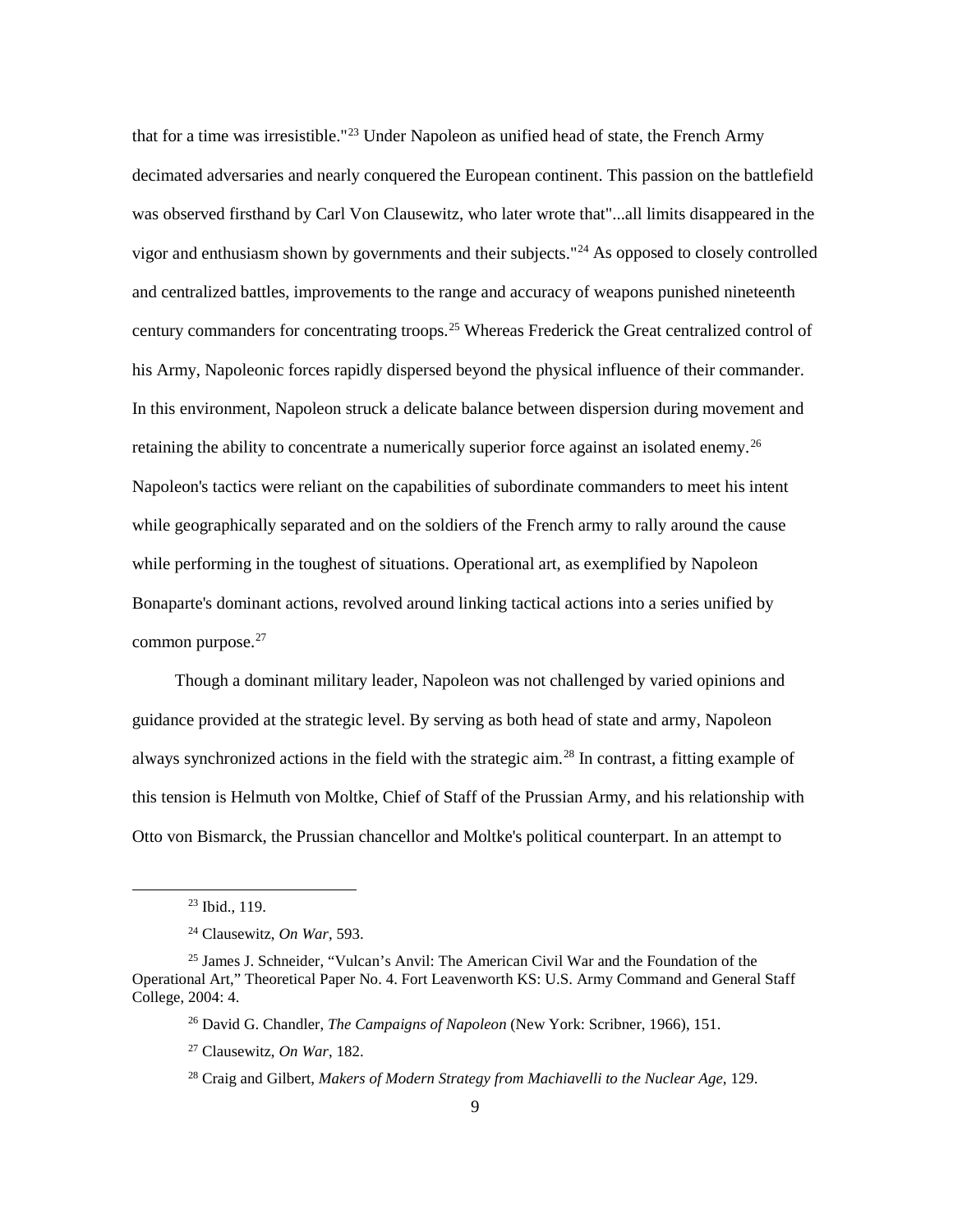that for a time was irresistible."<sup>[23](#page-15-0)</sup> Under Napoleon as unified head of state, the French Army decimated adversaries and nearly conquered the European continent. This passion on the battlefield was observed firsthand by Carl Von Clausewitz, who later wrote that"...all limits disappeared in the vigor and enthusiasm shown by governments and their subjects."[24](#page-15-1) As opposed to closely controlled and centralized battles, improvements to the range and accuracy of weapons punished nineteenth century commanders for concentrating troops.[25](#page-15-2) Whereas Frederick the Great centralized control of his Army, Napoleonic forces rapidly dispersed beyond the physical influence of their commander. In this environment, Napoleon struck a delicate balance between dispersion during movement and retaining the ability to concentrate a numerically superior force against an isolated enemy.<sup>[26](#page-15-3)</sup> Napoleon's tactics were reliant on the capabilities of subordinate commanders to meet his intent while geographically separated and on the soldiers of the French army to rally around the cause while performing in the toughest of situations. Operational art, as exemplified by Napoleon Bonaparte's dominant actions, revolved around linking tactical actions into a series unified by common purpose.<sup>[27](#page-15-4)</sup>

Though a dominant military leader, Napoleon was not challenged by varied opinions and guidance provided at the strategic level. By serving as both head of state and army, Napoleon always synchronized actions in the field with the strategic aim.[28](#page-15-5) In contrast, a fitting example of this tension is Helmuth von Moltke, Chief of Staff of the Prussian Army, and his relationship with Otto von Bismarck, the Prussian chancellor and Moltke's political counterpart. In an attempt to

 <sup>23</sup> Ibid., 119.

<sup>24</sup> Clausewitz, *On War*, 593.

<span id="page-15-5"></span><span id="page-15-4"></span><span id="page-15-3"></span><span id="page-15-2"></span><span id="page-15-1"></span><span id="page-15-0"></span><sup>25</sup> James J. Schneider, "Vulcan's Anvil: The American Civil War and the Foundation of the Operational Art," Theoretical Paper No. 4. Fort Leavenworth KS: U.S. Army Command and General Staff College, 2004: 4.

<sup>26</sup> David G. Chandler, *The Campaigns of Napoleon* (New York: Scribner, 1966), 151.

<sup>27</sup> Clausewitz, *On War*, 182.

<sup>28</sup> Craig and Gilbert, *Makers of Modern Strategy from Machiavelli to the Nuclear Age*, 129.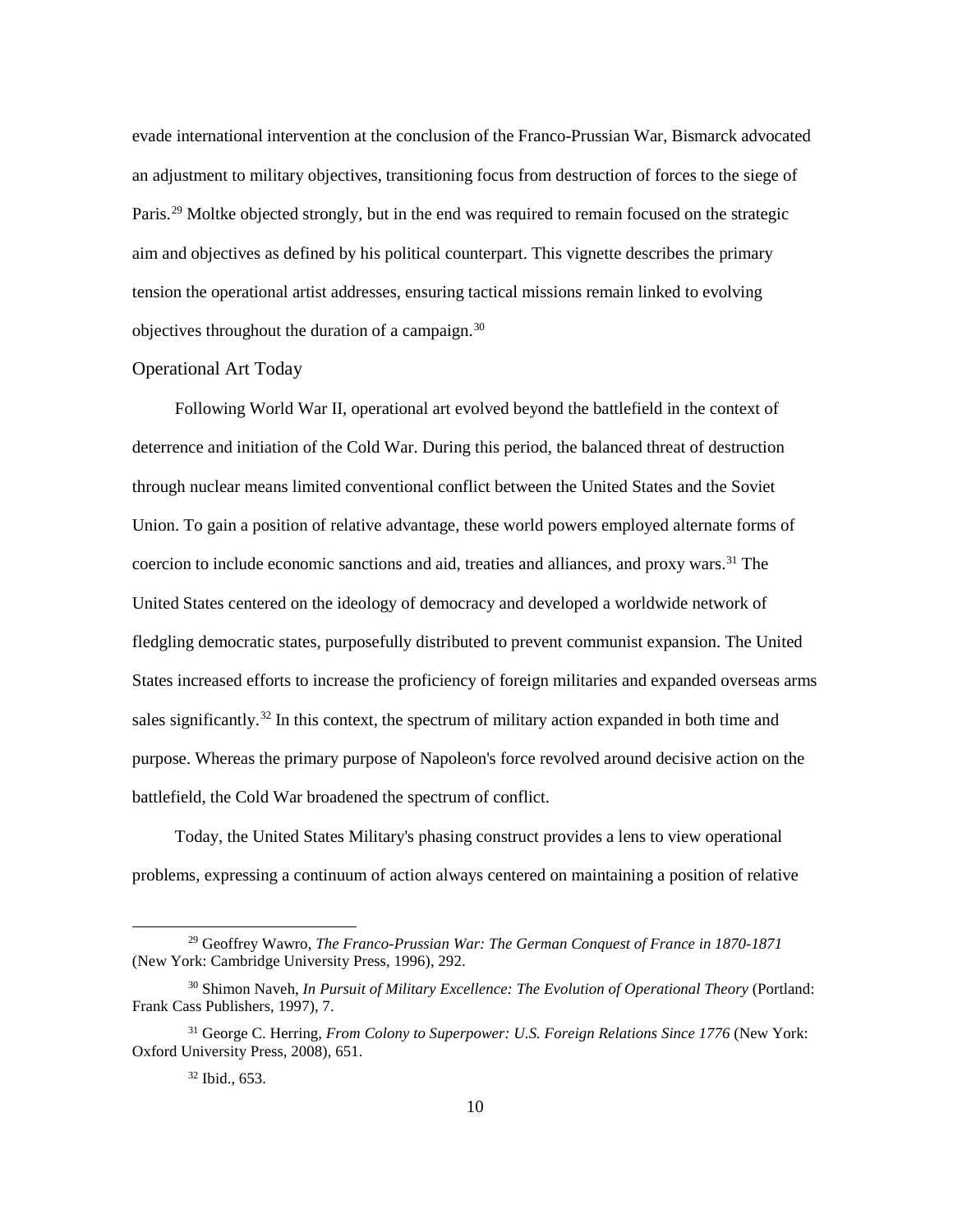evade international intervention at the conclusion of the Franco-Prussian War, Bismarck advocated an adjustment to military objectives, transitioning focus from destruction of forces to the siege of Paris.<sup>[29](#page-16-0)</sup> Moltke objected strongly, but in the end was required to remain focused on the strategic aim and objectives as defined by his political counterpart. This vignette describes the primary tension the operational artist addresses, ensuring tactical missions remain linked to evolving objectives throughout the duration of a campaign.[30](#page-16-1)

#### Operational Art Today

Following World War II, operational art evolved beyond the battlefield in the context of deterrence and initiation of the Cold War. During this period, the balanced threat of destruction through nuclear means limited conventional conflict between the United States and the Soviet Union. To gain a position of relative advantage, these world powers employed alternate forms of coercion to include economic sanctions and aid, treaties and alliances, and proxy wars.<sup>[31](#page-16-2)</sup> The United States centered on the ideology of democracy and developed a worldwide network of fledgling democratic states, purposefully distributed to prevent communist expansion. The United States increased efforts to increase the proficiency of foreign militaries and expanded overseas arms sales significantly.<sup>[32](#page-16-3)</sup> In this context, the spectrum of military action expanded in both time and purpose. Whereas the primary purpose of Napoleon's force revolved around decisive action on the battlefield, the Cold War broadened the spectrum of conflict.

Today, the United States Military's phasing construct provides a lens to view operational problems, expressing a continuum of action always centered on maintaining a position of relative

<span id="page-16-0"></span> <sup>29</sup> Geoffrey Wawro, *The Franco-Prussian War: The German Conquest of France in 1870-1871*  (New York: Cambridge University Press, 1996), 292.

<span id="page-16-1"></span><sup>&</sup>lt;sup>30</sup> Shimon Naveh, *In Pursuit of Military Excellence: The Evolution of Operational Theory (Portland:* Frank Cass Publishers, 1997), 7.

<span id="page-16-3"></span><span id="page-16-2"></span><sup>31</sup> George C. Herring, *From Colony to Superpower: U.S. Foreign Relations Since 1776* (New York: Oxford University Press, 2008), 651.

<sup>32</sup> Ibid., 653.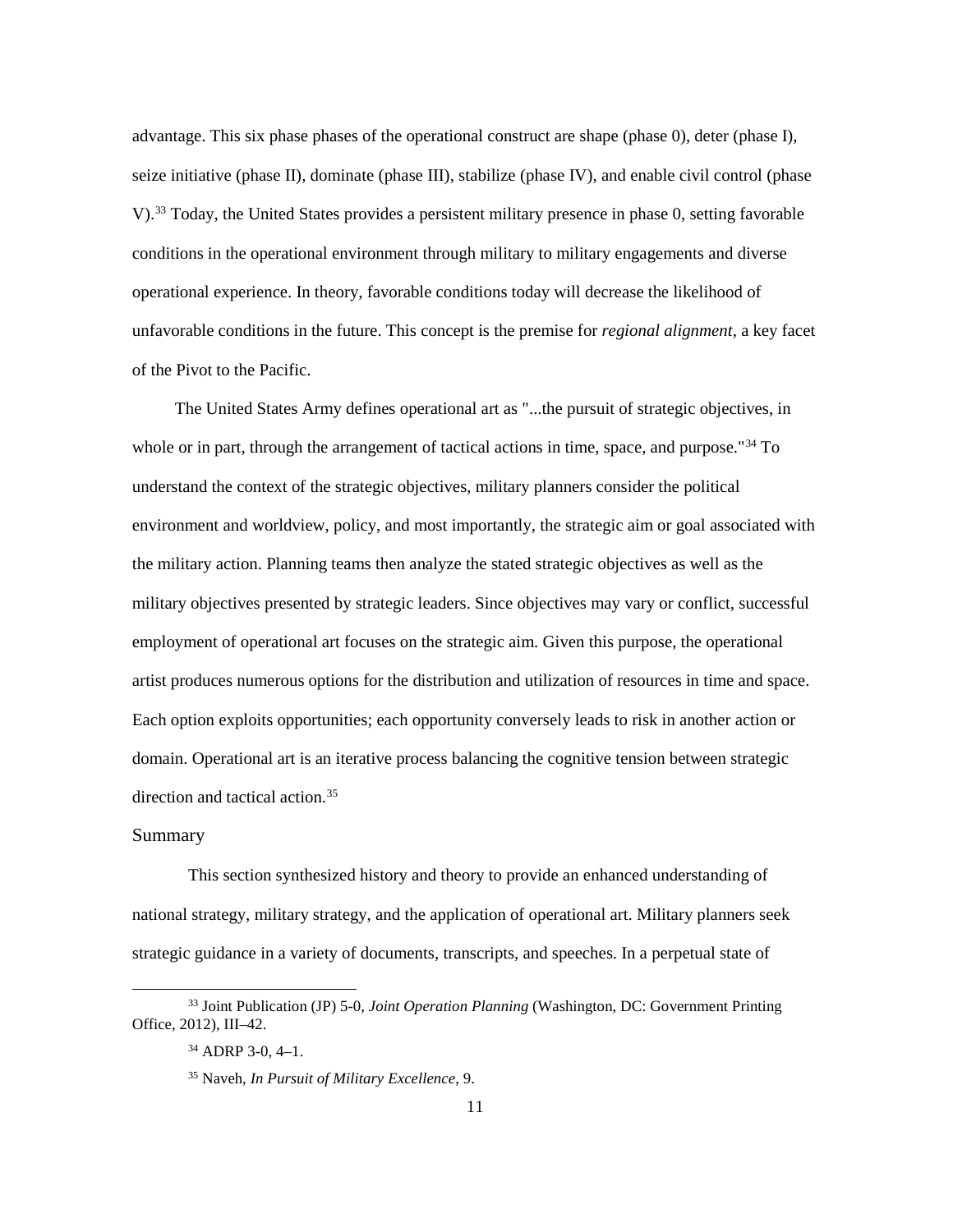advantage. This six phase phases of the operational construct are shape (phase 0), deter (phase I), seize initiative (phase II), dominate (phase III), stabilize (phase IV), and enable civil control (phase V).[33](#page-17-0) Today, the United States provides a persistent military presence in phase 0, setting favorable conditions in the operational environment through military to military engagements and diverse operational experience. In theory, favorable conditions today will decrease the likelihood of unfavorable conditions in the future. This concept is the premise for *regional alignment*, a key facet of the Pivot to the Pacific.

The United States Army defines operational art as "...the pursuit of strategic objectives, in whole or in part, through the arrangement of tactical actions in time, space, and purpose."<sup>[34](#page-17-1)</sup> To understand the context of the strategic objectives, military planners consider the political environment and worldview, policy, and most importantly, the strategic aim or goal associated with the military action. Planning teams then analyze the stated strategic objectives as well as the military objectives presented by strategic leaders. Since objectives may vary or conflict, successful employment of operational art focuses on the strategic aim. Given this purpose, the operational artist produces numerous options for the distribution and utilization of resources in time and space. Each option exploits opportunities; each opportunity conversely leads to risk in another action or domain. Operational art is an iterative process balancing the cognitive tension between strategic direction and tactical action.<sup>[35](#page-17-2)</sup>

#### Summary

This section synthesized history and theory to provide an enhanced understanding of national strategy, military strategy, and the application of operational art. Military planners seek strategic guidance in a variety of documents, transcripts, and speeches. In a perpetual state of

<span id="page-17-2"></span><span id="page-17-1"></span><span id="page-17-0"></span> <sup>33</sup> Joint Publication (JP) 5-0, *Joint Operation Planning* (Washington, DC: Government Printing Office, 2012), III–42.

<sup>34</sup> ADRP 3-0, 4–1.

<sup>35</sup> Naveh, *In Pursuit of Military Excellence*, 9.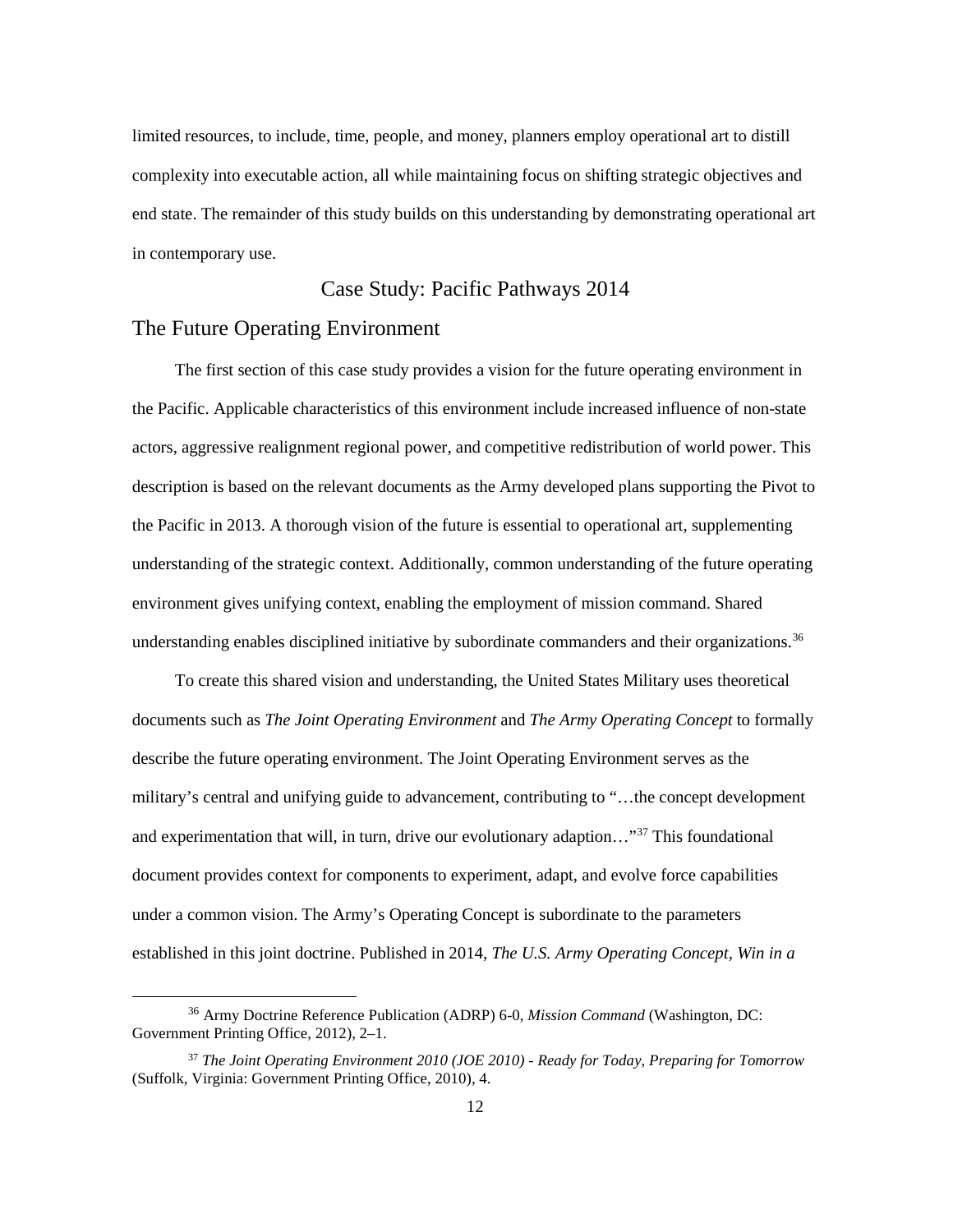limited resources, to include, time, people, and money, planners employ operational art to distill complexity into executable action, all while maintaining focus on shifting strategic objectives and end state. The remainder of this study builds on this understanding by demonstrating operational art in contemporary use.

#### Case Study: Pacific Pathways 2014

### The Future Operating Environment

The first section of this case study provides a vision for the future operating environment in the Pacific. Applicable characteristics of this environment include increased influence of non-state actors, aggressive realignment regional power, and competitive redistribution of world power. This description is based on the relevant documents as the Army developed plans supporting the Pivot to the Pacific in 2013. A thorough vision of the future is essential to operational art, supplementing understanding of the strategic context. Additionally, common understanding of the future operating environment gives unifying context, enabling the employment of mission command. Shared understanding enables disciplined initiative by subordinate commanders and their organizations.<sup>36</sup>

To create this shared vision and understanding, the United States Military uses theoretical documents such as *The Joint Operating Environment* and *The Army Operating Concept* to formally describe the future operating environment. The Joint Operating Environment serves as the military's central and unifying guide to advancement, contributing to "…the concept development and experimentation that will, in turn, drive our evolutionary adaption…"[37](#page-18-1) This foundational document provides context for components to experiment, adapt, and evolve force capabilities under a common vision. The Army's Operating Concept is subordinate to the parameters established in this joint doctrine. Published in 2014, *The U.S. Army Operating Concept, Win in a* 

<span id="page-18-0"></span> <sup>36</sup> Army Doctrine Reference Publication (ADRP) 6-0, *Mission Command* (Washington, DC: Government Printing Office, 2012), 2–1.

<span id="page-18-1"></span><sup>37</sup> *The Joint Operating Environment 2010 (JOE 2010) - Ready for Today, Preparing for Tomorrow*  (Suffolk, Virginia: Government Printing Office, 2010), 4.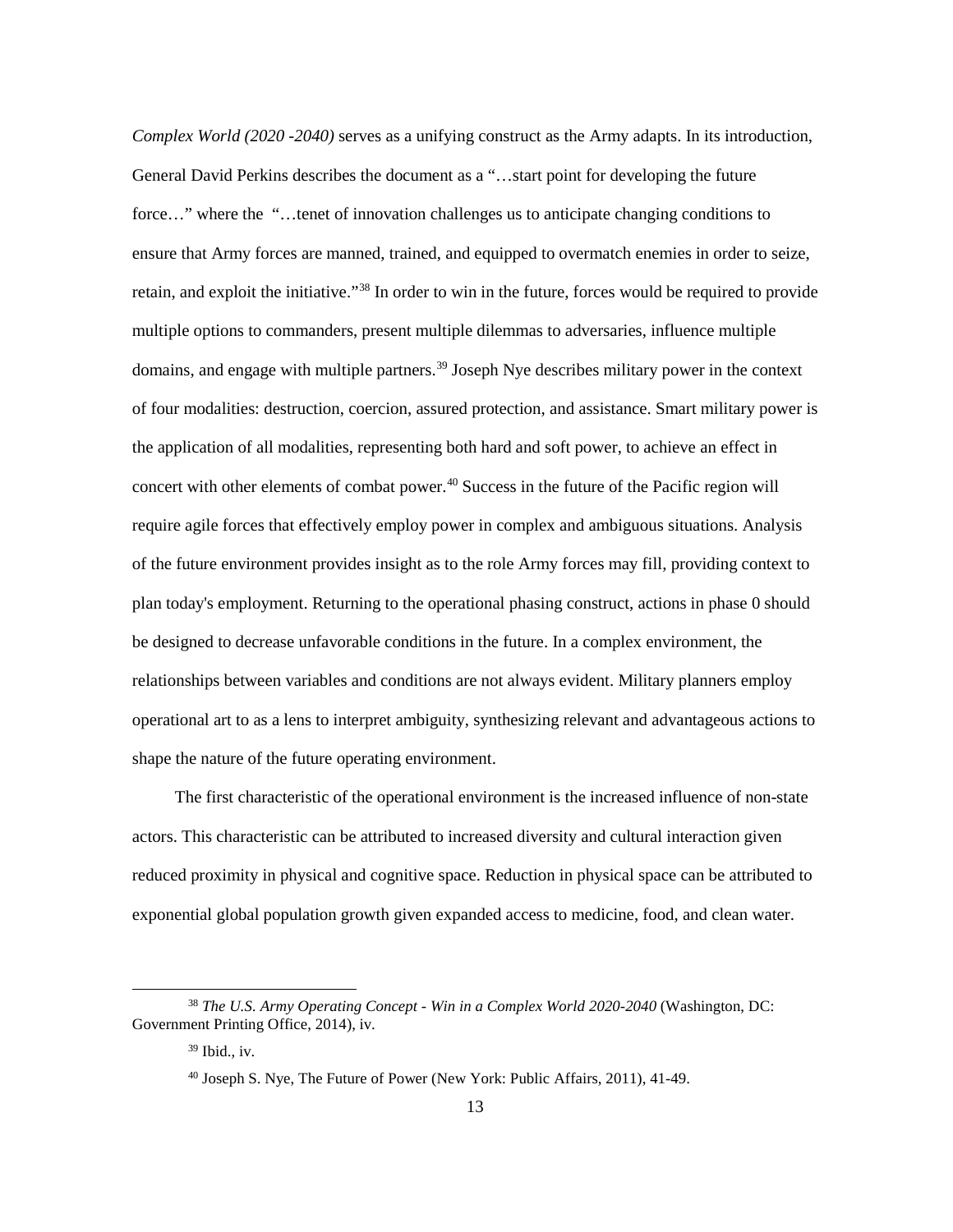*Complex World (2020 -2040)* serves as a unifying construct as the Army adapts. In its introduction, General David Perkins describes the document as a "…start point for developing the future force…" where the "…tenet of innovation challenges us to anticipate changing conditions to ensure that Army forces are manned, trained, and equipped to overmatch enemies in order to seize, retain, and exploit the initiative."[38](#page-19-0) In order to win in the future, forces would be required to provide multiple options to commanders, present multiple dilemmas to adversaries, influence multiple domains, and engage with multiple partners.<sup>[39](#page-19-1)</sup> Joseph Nye describes military power in the context of four modalities: destruction, coercion, assured protection, and assistance. Smart military power is the application of all modalities, representing both hard and soft power, to achieve an effect in concert with other elements of combat power.<sup>40</sup> Success in the future of the Pacific region will require agile forces that effectively employ power in complex and ambiguous situations. Analysis of the future environment provides insight as to the role Army forces may fill, providing context to plan today's employment. Returning to the operational phasing construct, actions in phase 0 should be designed to decrease unfavorable conditions in the future. In a complex environment, the relationships between variables and conditions are not always evident. Military planners employ operational art to as a lens to interpret ambiguity, synthesizing relevant and advantageous actions to shape the nature of the future operating environment.

The first characteristic of the operational environment is the increased influence of non-state actors. This characteristic can be attributed to increased diversity and cultural interaction given reduced proximity in physical and cognitive space. Reduction in physical space can be attributed to exponential global population growth given expanded access to medicine, food, and clean water.

<span id="page-19-2"></span><span id="page-19-1"></span><span id="page-19-0"></span> <sup>38</sup> *The U.S. Army Operating Concept - Win in a Complex World 2020-2040* (Washington, DC: Government Printing Office, 2014), iv.

 $39$  Ibid., iv.

<sup>40</sup> Joseph S. Nye, The Future of Power (New York: Public Affairs, 2011), 41-49.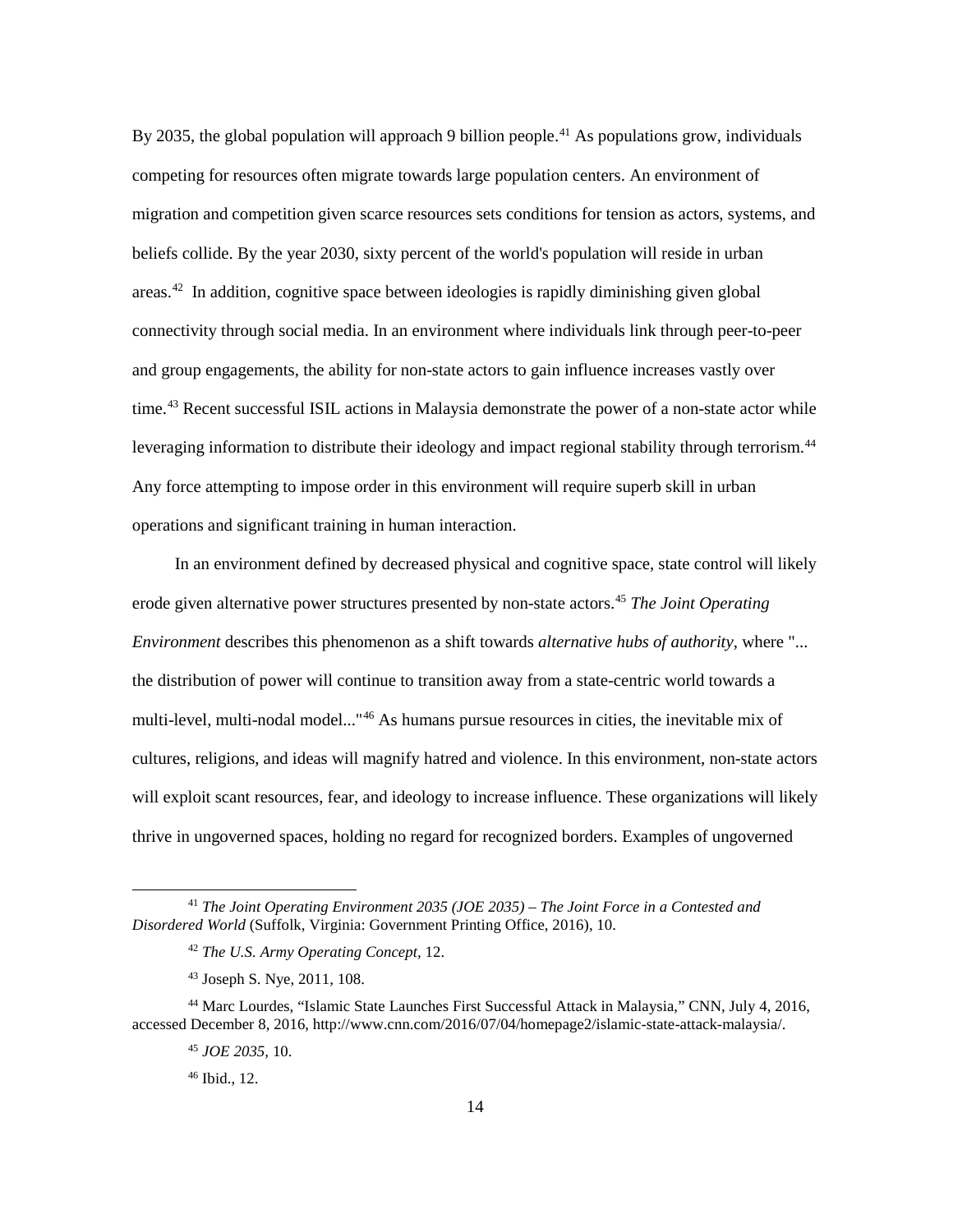By 2035, the global population will approach 9 billion people.<sup>[41](#page-20-0)</sup> As populations grow, individuals competing for resources often migrate towards large population centers. An environment of migration and competition given scarce resources sets conditions for tension as actors, systems, and beliefs collide. By the year 2030, sixty percent of the world's population will reside in urban areas.[42](#page-20-1) In addition, cognitive space between ideologies is rapidly diminishing given global connectivity through social media. In an environment where individuals link through peer-to-peer and group engagements, the ability for non-state actors to gain influence increases vastly over time.<sup>[43](#page-20-2)</sup> Recent successful ISIL actions in Malaysia demonstrate the power of a non-state actor while leveraging information to distribute their ideology and impact regional stability through terrorism.<sup>[44](#page-20-3)</sup> Any force attempting to impose order in this environment will require superb skill in urban operations and significant training in human interaction.

In an environment defined by decreased physical and cognitive space, state control will likely erode given alternative power structures presented by non-state actors.<sup>[45](#page-20-4)</sup> *The Joint Operating Environment* describes this phenomenon as a shift towards *alternative hubs of authority*, where "... the distribution of power will continue to transition away from a state-centric world towards a multi-level, multi-nodal model..."[46](#page-20-5) As humans pursue resources in cities, the inevitable mix of cultures, religions, and ideas will magnify hatred and violence. In this environment, non-state actors will exploit scant resources, fear, and ideology to increase influence. These organizations will likely thrive in ungoverned spaces, holding no regard for recognized borders. Examples of ungoverned

<span id="page-20-1"></span><span id="page-20-0"></span> <sup>41</sup> *The Joint Operating Environment 2035 (JOE 2035) – The Joint Force in a Contested and Disordered World* (Suffolk, Virginia: Government Printing Office, 2016), 10.

<sup>42</sup> *The U.S. Army Operating Concept,* 12.

<sup>43</sup> Joseph S. Nye, 2011*,* 108.

<span id="page-20-5"></span><span id="page-20-4"></span><span id="page-20-3"></span><span id="page-20-2"></span><sup>44</sup> Marc Lourdes, "Islamic State Launches First Successful Attack in Malaysia," CNN, July 4, 2016, accessed December 8, 2016, http://www.cnn.com/2016/07/04/homepage2/islamic-state-attack-malaysia/.

<sup>45</sup> *JOE 2035,* 10.

<sup>46</sup> Ibid., 12.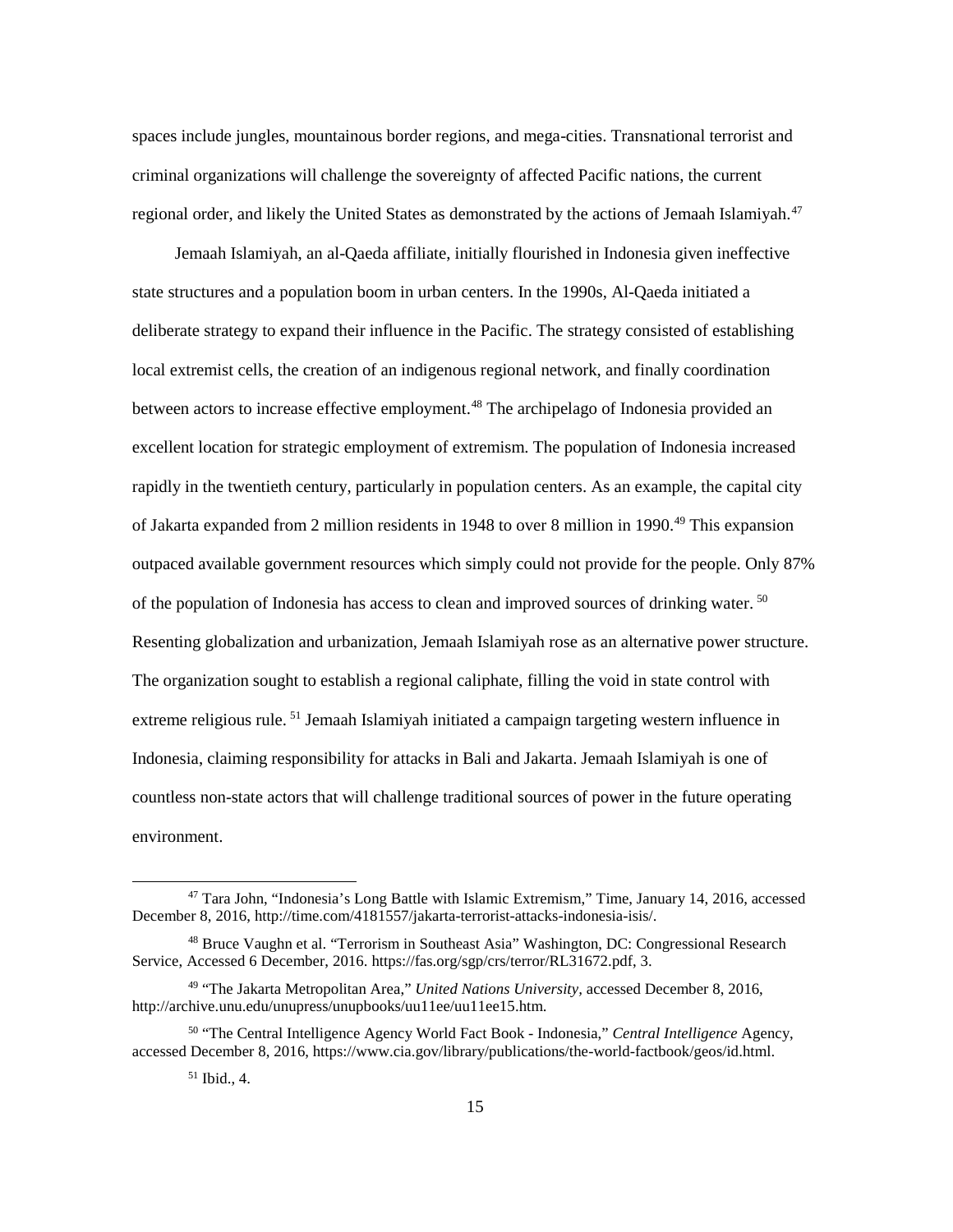spaces include jungles, mountainous border regions, and mega-cities. Transnational terrorist and criminal organizations will challenge the sovereignty of affected Pacific nations, the current regional order, and likely the United States as demonstrated by the actions of Jemaah Islamiyah.<sup>[47](#page-21-0)</sup>

Jemaah Islamiyah, an al-Qaeda affiliate, initially flourished in Indonesia given ineffective state structures and a population boom in urban centers. In the 1990s, Al-Qaeda initiated a deliberate strategy to expand their influence in the Pacific. The strategy consisted of establishing local extremist cells, the creation of an indigenous regional network, and finally coordination between actors to increase effective employment.<sup>[48](#page-21-1)</sup> The archipelago of Indonesia provided an excellent location for strategic employment of extremism. The population of Indonesia increased rapidly in the twentieth century, particularly in population centers. As an example, the capital city of Jakarta expanded from 2 million residents in 1948 to over 8 million in 1990[.49](#page-21-2) This expansion outpaced available government resources which simply could not provide for the people. Only 87% of the population of Indonesia has access to clean and improved sources of drinking water. [50](#page-21-3) Resenting globalization and urbanization, Jemaah Islamiyah rose as an alternative power structure. The organization sought to establish a regional caliphate, filling the void in state control with extreme religious rule. [51](#page-21-4) Jemaah Islamiyah initiated a campaign targeting western influence in Indonesia, claiming responsibility for attacks in Bali and Jakarta. Jemaah Islamiyah is one of countless non-state actors that will challenge traditional sources of power in the future operating environment.

<span id="page-21-0"></span> <sup>47</sup> Tara John, "Indonesia's Long Battle with Islamic Extremism," Time, January 14, 2016, accessed December 8, 2016, http://time.com/4181557/jakarta-terrorist-attacks-indonesia-isis/.

<span id="page-21-1"></span><sup>48</sup> Bruce Vaughn et al. "Terrorism in Southeast Asia" Washington, DC: Congressional Research Service, Accessed 6 December, 2016. https://fas.org/sgp/crs/terror/RL31672.pdf, 3.

<span id="page-21-2"></span><sup>49</sup> "The Jakarta Metropolitan Area," *United Nations University,* accessed December 8, 2016, http://archive.unu.edu/unupress/unupbooks/uu11ee/uu11ee15.htm.

<span id="page-21-4"></span><span id="page-21-3"></span><sup>50</sup> "The Central Intelligence Agency World Fact Book - Indonesia," *Central Intelligence* Agency, accessed December 8, 2016, https://www.cia.gov/library/publications/the-world-factbook/geos/id.html.

<sup>51</sup> Ibid., 4.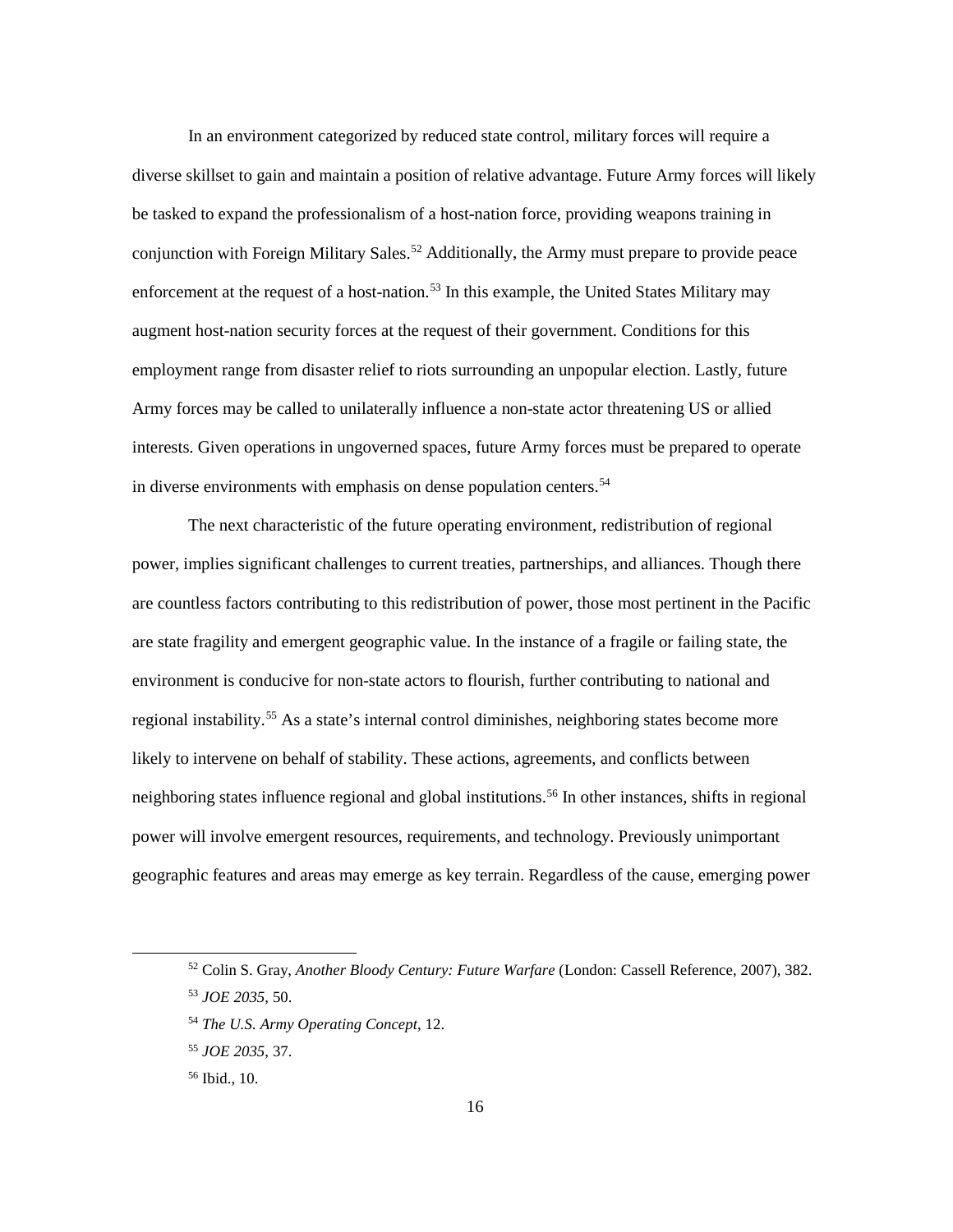In an environment categorized by reduced state control, military forces will require a diverse skillset to gain and maintain a position of relative advantage. Future Army forces will likely be tasked to expand the professionalism of a host-nation force, providing weapons training in conjunction with Foreign Military Sales. [52](#page-22-0) Additionally, the Army must prepare to provide peace enforcement at the request of a host-nation.<sup>[53](#page-22-1)</sup> In this example, the United States Military may augment host-nation security forces at the request of their government. Conditions for this employment range from disaster relief to riots surrounding an unpopular election. Lastly, future Army forces may be called to unilaterally influence a non-state actor threatening US or allied interests. Given operations in ungoverned spaces, future Army forces must be prepared to operate in diverse environments with emphasis on dense population centers.<sup>[54](#page-22-2)</sup>

The next characteristic of the future operating environment, redistribution of regional power, implies significant challenges to current treaties, partnerships, and alliances. Though there are countless factors contributing to this redistribution of power, those most pertinent in the Pacific are state fragility and emergent geographic value. In the instance of a fragile or failing state, the environment is conducive for non-state actors to flourish, further contributing to national and regional instability.<sup>[55](#page-22-3)</sup> As a state's internal control diminishes, neighboring states become more likely to intervene on behalf of stability. These actions, agreements, and conflicts between neighboring states influence regional and global institutions[.56](#page-22-4) In other instances, shifts in regional power will involve emergent resources, requirements, and technology. Previously unimportant geographic features and areas may emerge as key terrain. Regardless of the cause, emerging power

<span id="page-22-1"></span><span id="page-22-0"></span> <sup>52</sup> Colin S. Gray, *Another Bloody Century: Future Warfare* (London: Cassell Reference, 2007), 382. <sup>53</sup> *JOE 2035*, 50.

<span id="page-22-2"></span><sup>54</sup> *The U.S. Army Operating Concept*, 12.

<span id="page-22-3"></span><sup>55</sup> *JOE 2035*, 37.

<span id="page-22-4"></span><sup>56</sup> Ibid., 10.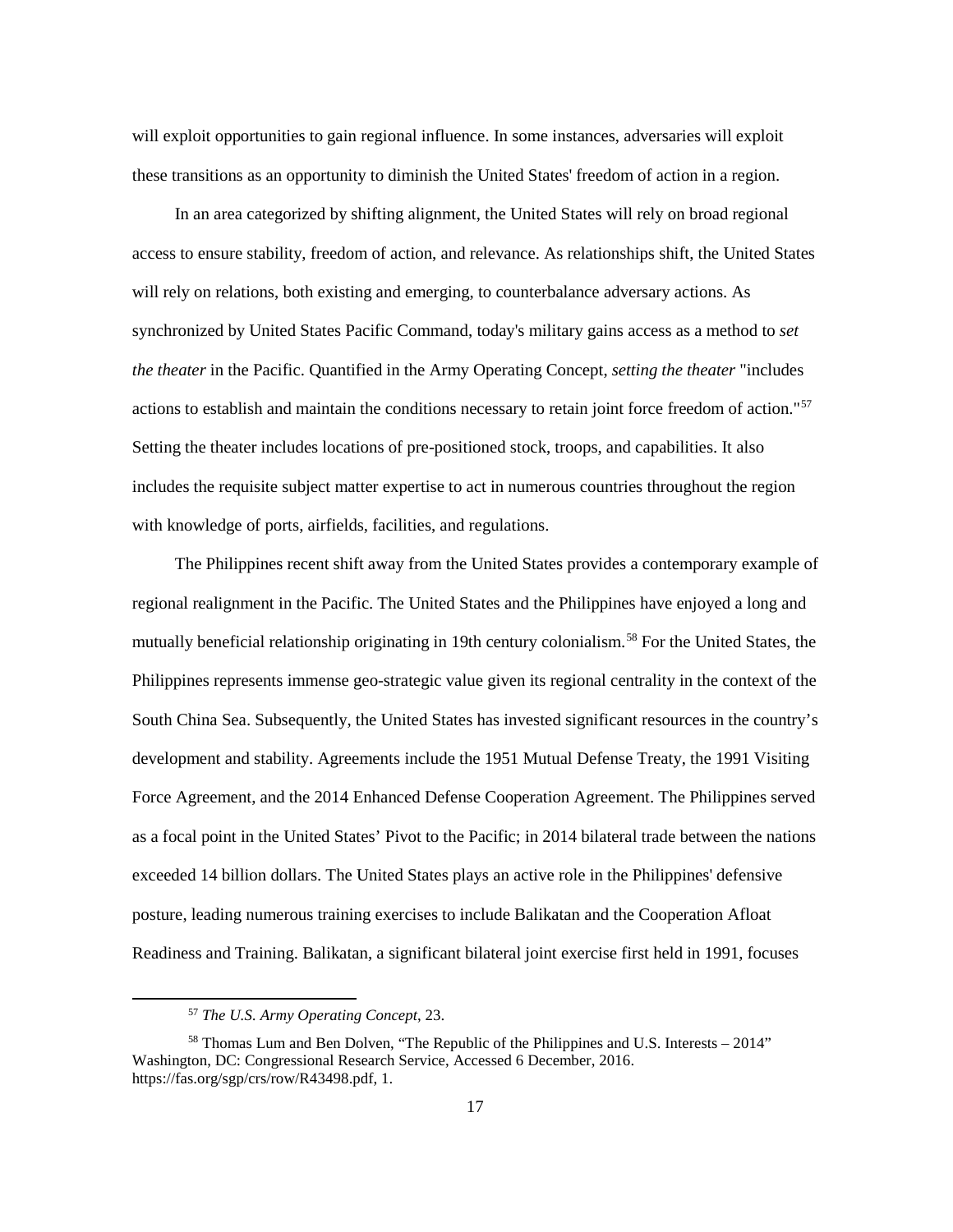will exploit opportunities to gain regional influence. In some instances, adversaries will exploit these transitions as an opportunity to diminish the United States' freedom of action in a region.

In an area categorized by shifting alignment, the United States will rely on broad regional access to ensure stability, freedom of action, and relevance. As relationships shift, the United States will rely on relations, both existing and emerging, to counterbalance adversary actions. As synchronized by United States Pacific Command, today's military gains access as a method to *set the theater* in the Pacific. Quantified in the Army Operating Concept, *setting the theater* "includes actions to establish and maintain the conditions necessary to retain joint force freedom of action."[57](#page-23-0) Setting the theater includes locations of pre-positioned stock, troops, and capabilities. It also includes the requisite subject matter expertise to act in numerous countries throughout the region with knowledge of ports, airfields, facilities, and regulations.

The Philippines recent shift away from the United States provides a contemporary example of regional realignment in the Pacific. The United States and the Philippines have enjoyed a long and mutually beneficial relationship originating in 19th century colonialism.[58](#page-23-1) For the United States, the Philippines represents immense geo-strategic value given its regional centrality in the context of the South China Sea. Subsequently, the United States has invested significant resources in the country's development and stability. Agreements include the 1951 Mutual Defense Treaty, the 1991 Visiting Force Agreement, and the 2014 Enhanced Defense Cooperation Agreement. The Philippines served as a focal point in the United States' Pivot to the Pacific; in 2014 bilateral trade between the nations exceeded 14 billion dollars. The United States plays an active role in the Philippines' defensive posture, leading numerous training exercises to include Balikatan and the Cooperation Afloat Readiness and Training. Balikatan, a significant bilateral joint exercise first held in 1991, focuses

 <sup>57</sup> *The U.S. Army Operating Concept*, 23.

<span id="page-23-1"></span><span id="page-23-0"></span><sup>&</sup>lt;sup>58</sup> Thomas Lum and Ben Dolven, "The Republic of the Philippines and U.S. Interests – 2014" Washington, DC: Congressional Research Service, Accessed 6 December, 2016. https://fas.org/sgp/crs/row/R43498.pdf, 1.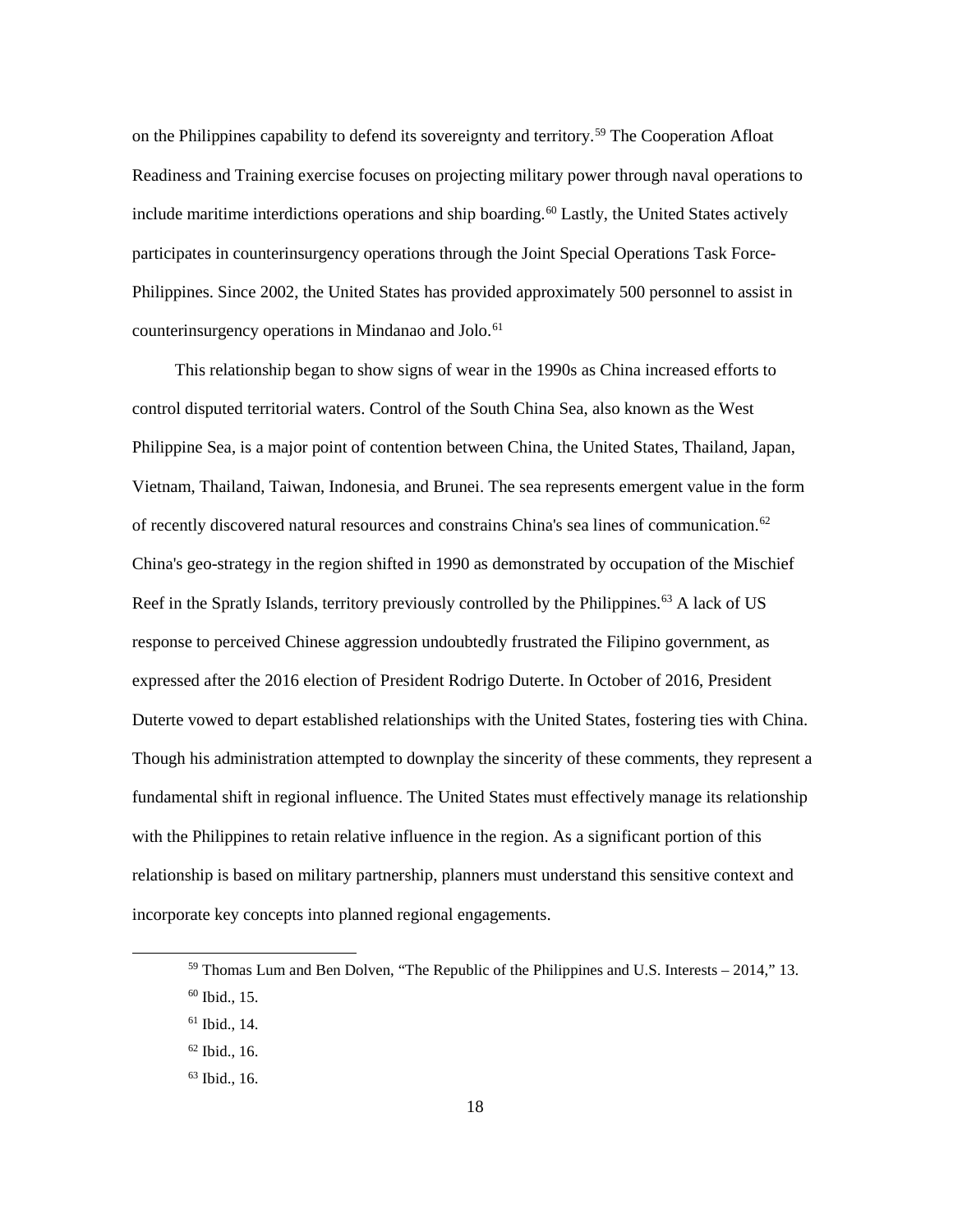on the Philippines capability to defend its sovereignty and territory.[59](#page-24-0) The Cooperation Afloat Readiness and Training exercise focuses on projecting military power through naval operations to include maritime interdictions operations and ship boarding.<sup>[60](#page-24-1)</sup> Lastly, the United States actively participates in counterinsurgency operations through the Joint Special Operations Task Force-Philippines. Since 2002, the United States has provided approximately 500 personnel to assist in counterinsurgency operations in Mindanao and Jolo.<sup>[61](#page-24-2)</sup>

This relationship began to show signs of wear in the 1990s as China increased efforts to control disputed territorial waters. Control of the South China Sea, also known as the West Philippine Sea, is a major point of contention between China, the United States, Thailand, Japan, Vietnam, Thailand, Taiwan, Indonesia, and Brunei. The sea represents emergent value in the form of recently discovered natural resources and constrains China's sea lines of communication. $62$ China's geo-strategy in the region shifted in 1990 as demonstrated by occupation of the Mischief Reef in the Spratly Islands, territory previously controlled by the Philippines.<sup>[63](#page-24-4)</sup> A lack of US response to perceived Chinese aggression undoubtedly frustrated the Filipino government, as expressed after the 2016 election of President Rodrigo Duterte. In October of 2016, President Duterte vowed to depart established relationships with the United States, fostering ties with China. Though his administration attempted to downplay the sincerity of these comments, they represent a fundamental shift in regional influence. The United States must effectively manage its relationship with the Philippines to retain relative influence in the region. As a significant portion of this relationship is based on military partnership, planners must understand this sensitive context and incorporate key concepts into planned regional engagements.

<span id="page-24-2"></span><sup>61</sup> Ibid., 14.

<span id="page-24-0"></span> $59$  Thomas Lum and Ben Dolven, "The Republic of the Philippines and U.S. Interests  $-2014$ ," 13.

<span id="page-24-1"></span><sup>60</sup> Ibid., 15.

<span id="page-24-3"></span> $62$  Ibid., 16.

<span id="page-24-4"></span><sup>63</sup> Ibid., 16.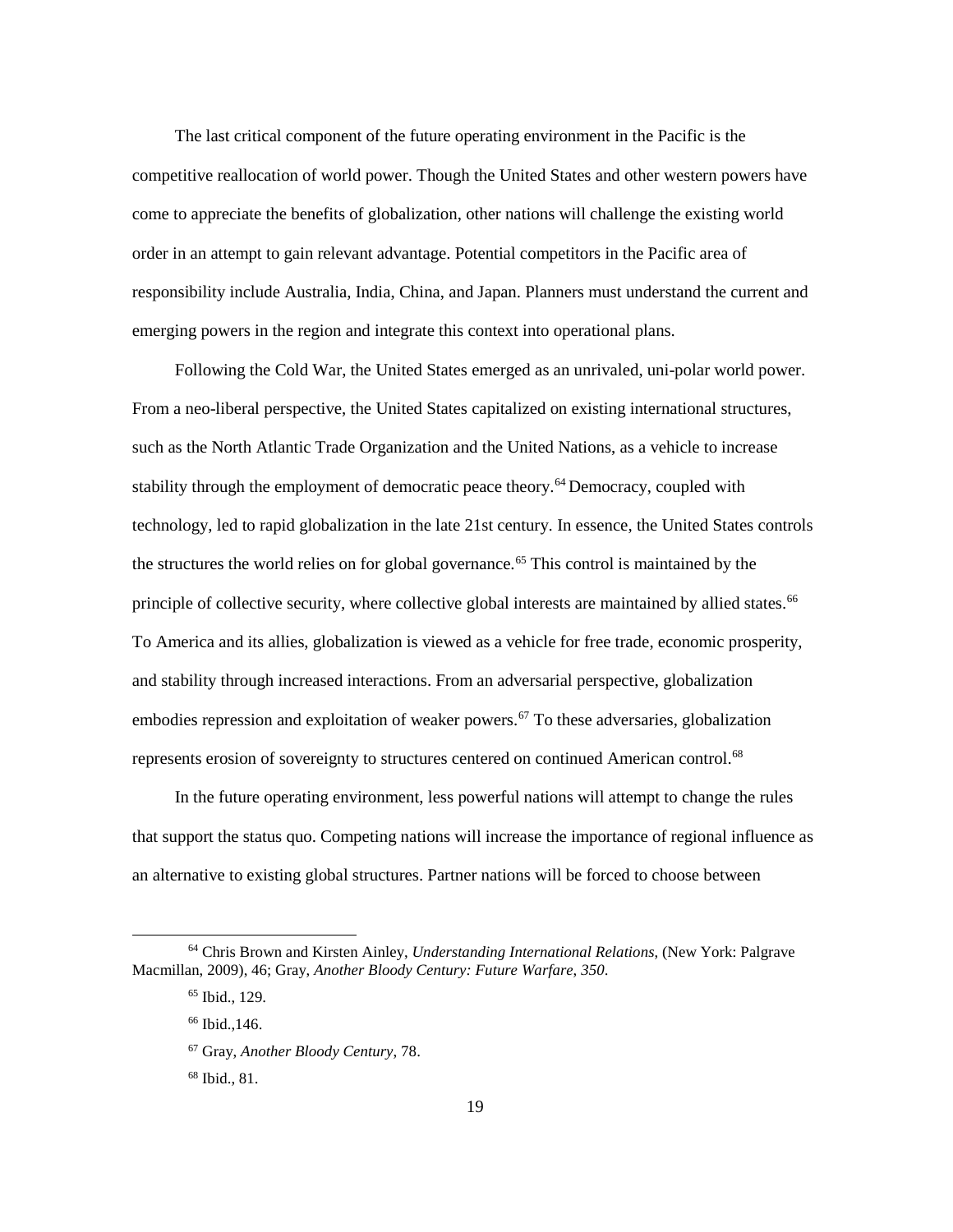The last critical component of the future operating environment in the Pacific is the competitive reallocation of world power. Though the United States and other western powers have come to appreciate the benefits of globalization, other nations will challenge the existing world order in an attempt to gain relevant advantage. Potential competitors in the Pacific area of responsibility include Australia, India, China, and Japan. Planners must understand the current and emerging powers in the region and integrate this context into operational plans.

Following the Cold War, the United States emerged as an unrivaled, uni-polar world power. From a neo-liberal perspective, the United States capitalized on existing international structures, such as the North Atlantic Trade Organization and the United Nations, as a vehicle to increase stability through the employment of democratic peace theory.<sup>[64](#page-25-0)</sup> Democracy, coupled with technology, led to rapid globalization in the late 21st century. In essence, the United States controls the structures the world relies on for global governance.<sup>[65](#page-25-1)</sup> This control is maintained by the principle of collective security, where collective global interests are maintained by allied states.<sup>[66](#page-25-2)</sup> To America and its allies, globalization is viewed as a vehicle for free trade, economic prosperity, and stability through increased interactions. From an adversarial perspective, globalization embodies repression and exploitation of weaker powers.<sup>[67](#page-25-3)</sup> To these adversaries, globalization represents erosion of sovereignty to structures centered on continued American control.[68](#page-25-4)

In the future operating environment, less powerful nations will attempt to change the rules that support the status quo. Competing nations will increase the importance of regional influence as an alternative to existing global structures. Partner nations will be forced to choose between

<span id="page-25-4"></span><span id="page-25-3"></span><span id="page-25-2"></span><span id="page-25-1"></span><span id="page-25-0"></span> <sup>64</sup> Chris Brown and Kirsten Ainley, *Understanding International Relations*, (New York: Palgrave Macmillan, 2009), 46; Gray, *Another Bloody Century: Future Warfare*, *350*.

<sup>65</sup> Ibid., 129.

<sup>66</sup> Ibid.,146.

<sup>67</sup> Gray, *Another Bloody Century*, 78.

<sup>68</sup> Ibid., 81.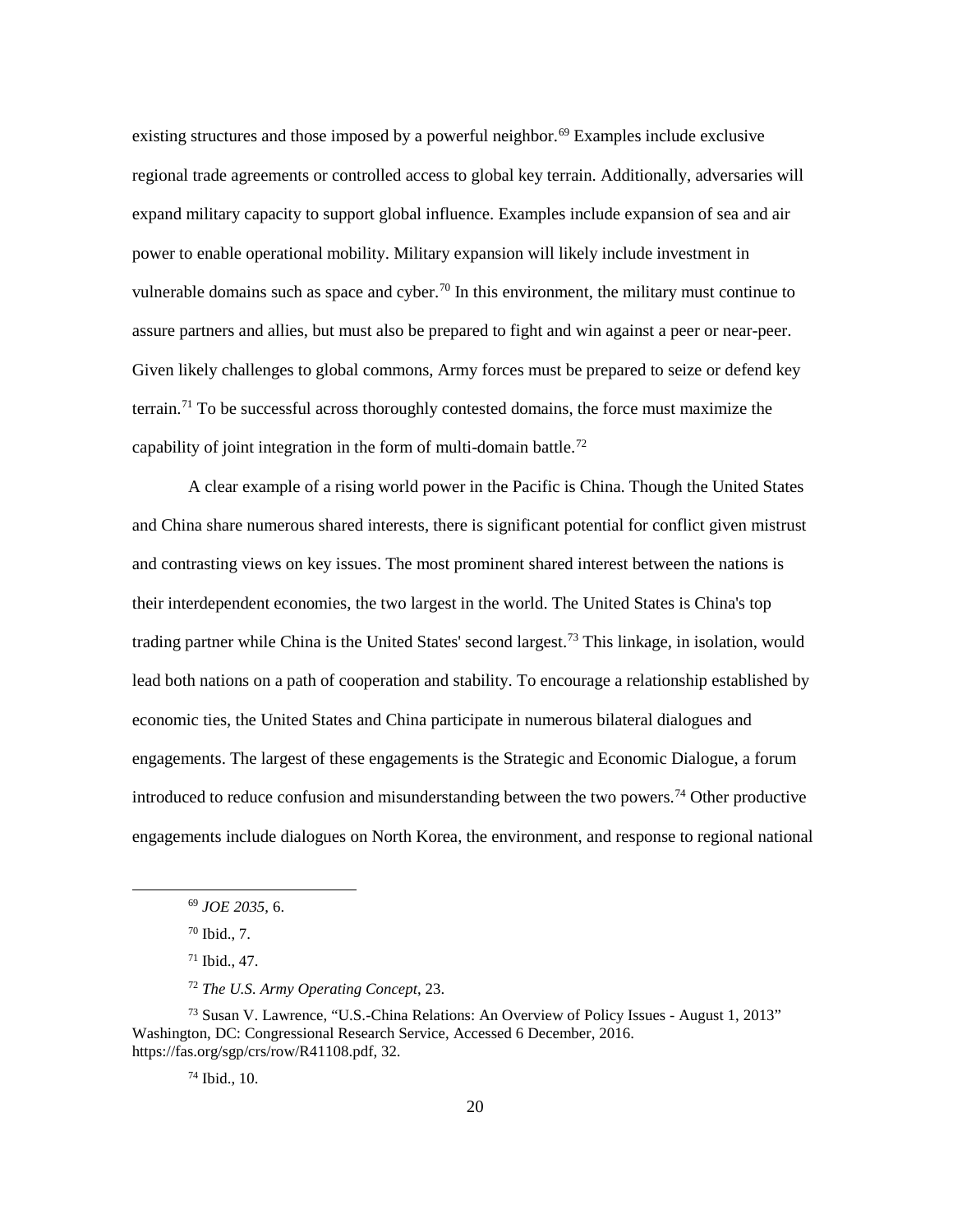existing structures and those imposed by a powerful neighbor.<sup>[69](#page-26-0)</sup> Examples include exclusive regional trade agreements or controlled access to global key terrain. Additionally, adversaries will expand military capacity to support global influence. Examples include expansion of sea and air power to enable operational mobility. Military expansion will likely include investment in vulnerable domains such as space and cyber.<sup>70</sup> In this environment, the military must continue to assure partners and allies, but must also be prepared to fight and win against a peer or near-peer. Given likely challenges to global commons, Army forces must be prepared to seize or defend key terrain.[71](#page-26-2) To be successful across thoroughly contested domains, the force must maximize the capability of joint integration in the form of multi-domain battle.<sup>[72](#page-26-3)</sup>

A clear example of a rising world power in the Pacific is China. Though the United States and China share numerous shared interests, there is significant potential for conflict given mistrust and contrasting views on key issues. The most prominent shared interest between the nations is their interdependent economies, the two largest in the world. The United States is China's top trading partner while China is the United States' second largest.[73](#page-26-4) This linkage, in isolation, would lead both nations on a path of cooperation and stability. To encourage a relationship established by economic ties, the United States and China participate in numerous bilateral dialogues and engagements. The largest of these engagements is the Strategic and Economic Dialogue, a forum introduced to reduce confusion and misunderstanding between the two powers.<sup>[74](#page-26-5)</sup> Other productive engagements include dialogues on North Korea, the environment, and response to regional national

<sup>74</sup> Ibid., 10.

 <sup>69</sup> *JOE 2035*, 6.

<sup>70</sup> Ibid., 7.

<sup>71</sup> Ibid., 47.

<sup>72</sup> *The U.S. Army Operating Concept*, 23.

<span id="page-26-5"></span><span id="page-26-4"></span><span id="page-26-3"></span><span id="page-26-2"></span><span id="page-26-1"></span><span id="page-26-0"></span><sup>73</sup> Susan V. Lawrence, "U.S.-China Relations: An Overview of Policy Issues - August 1, 2013" Washington, DC: Congressional Research Service, Accessed 6 December, 2016. https://fas.org/sgp/crs/row/R41108.pdf, 32.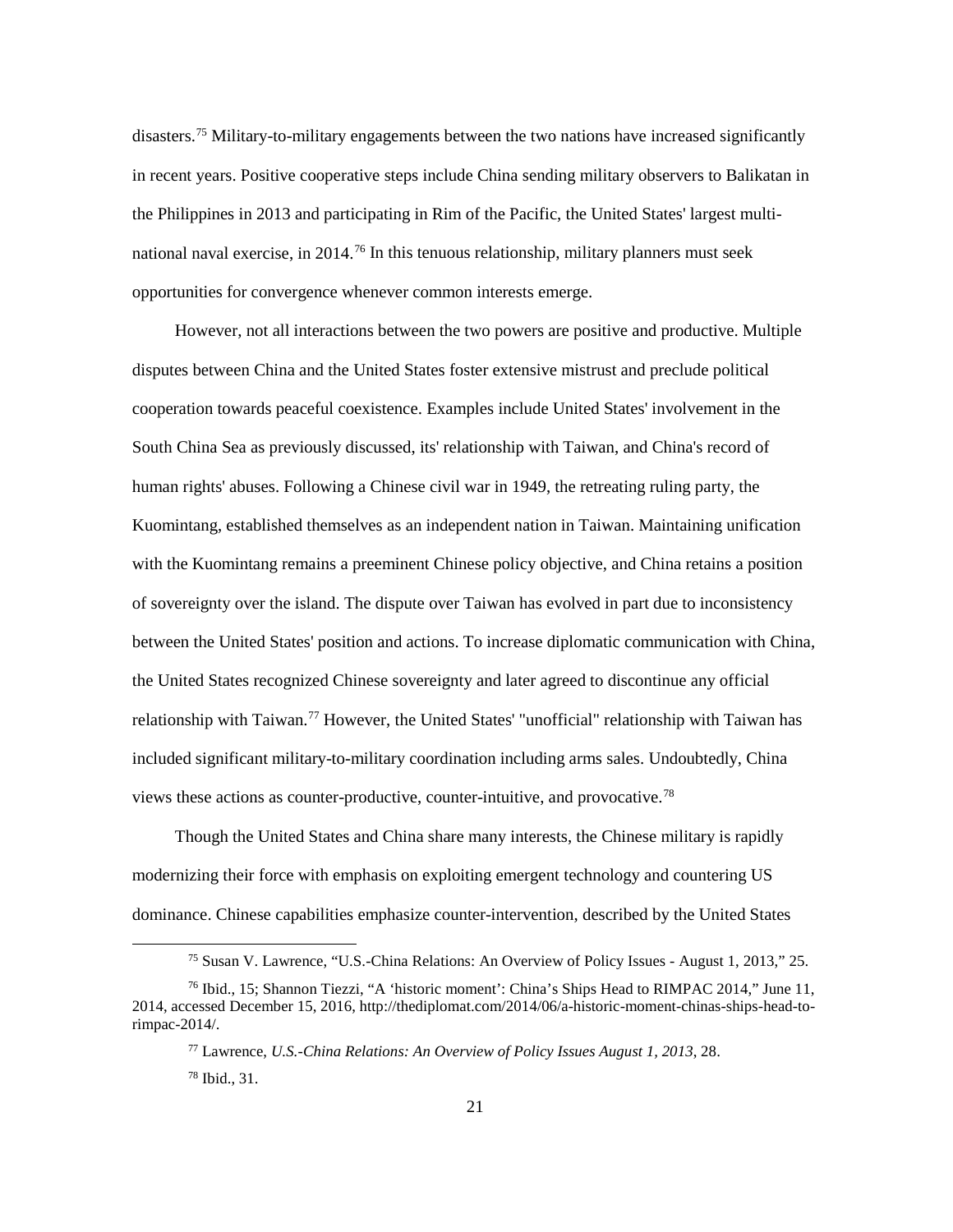disasters.[75](#page-27-0) Military-to-military engagements between the two nations have increased significantly in recent years. Positive cooperative steps include China sending military observers to Balikatan in the Philippines in 2013 and participating in Rim of the Pacific, the United States' largest multi-national naval exercise, in 2014.<sup>[76](#page-27-1)</sup> In this tenuous relationship, military planners must seek opportunities for convergence whenever common interests emerge.

However, not all interactions between the two powers are positive and productive. Multiple disputes between China and the United States foster extensive mistrust and preclude political cooperation towards peaceful coexistence. Examples include United States' involvement in the South China Sea as previously discussed, its' relationship with Taiwan, and China's record of human rights' abuses. Following a Chinese civil war in 1949, the retreating ruling party, the Kuomintang, established themselves as an independent nation in Taiwan. Maintaining unification with the Kuomintang remains a preeminent Chinese policy objective, and China retains a position of sovereignty over the island. The dispute over Taiwan has evolved in part due to inconsistency between the United States' position and actions. To increase diplomatic communication with China, the United States recognized Chinese sovereignty and later agreed to discontinue any official relationship with Taiwan.<sup>[77](#page-27-2)</sup> However, the United States' "unofficial" relationship with Taiwan has included significant military-to-military coordination including arms sales. Undoubtedly, China views these actions as counter-productive, counter-intuitive, and provocative.[78](#page-27-3)

Though the United States and China share many interests, the Chinese military is rapidly modernizing their force with emphasis on exploiting emergent technology and countering US dominance. Chinese capabilities emphasize counter-intervention, described by the United States

 <sup>75</sup> Susan V. Lawrence, "U.S.-China Relations: An Overview of Policy Issues - August 1, 2013," 25.

<span id="page-27-3"></span><span id="page-27-2"></span><span id="page-27-1"></span><span id="page-27-0"></span><sup>76</sup> Ibid., 15; Shannon Tiezzi, "A 'historic moment': China's Ships Head to RIMPAC 2014," June 11, 2014, accessed December 15, 2016, http://thediplomat.com/2014/06/a-historic-moment-chinas-ships-head-torimpac-2014/.

<sup>77</sup> Lawrence, *U.S.-China Relations: An Overview of Policy Issues August 1, 2013*, 28. <sup>78</sup> Ibid., 31.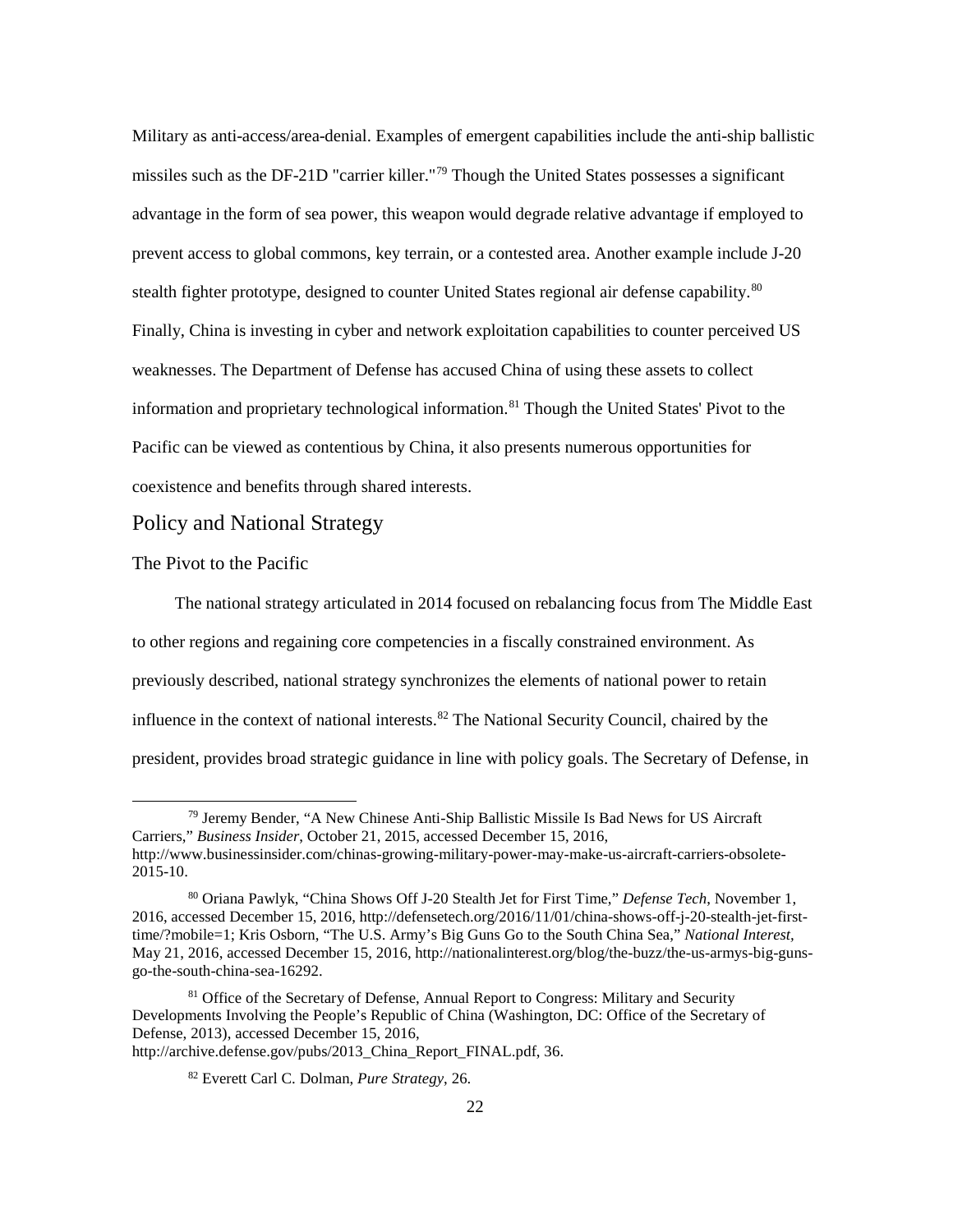Military as anti-access/area-denial. Examples of emergent capabilities include the anti-ship ballistic missiles such as the DF-21D "carrier killer."[79](#page-28-0) Though the United States possesses a significant advantage in the form of sea power, this weapon would degrade relative advantage if employed to prevent access to global commons, key terrain, or a contested area. Another example include J-20 stealth fighter prototype, designed to counter United States regional air defense capability.<sup>[80](#page-28-1)</sup> Finally, China is investing in cyber and network exploitation capabilities to counter perceived US weaknesses. The Department of Defense has accused China of using these assets to collect information and proprietary technological information.[81](#page-28-2) Though the United States' Pivot to the Pacific can be viewed as contentious by China, it also presents numerous opportunities for coexistence and benefits through shared interests.

#### Policy and National Strategy

The Pivot to the Pacific

The national strategy articulated in 2014 focused on rebalancing focus from The Middle East to other regions and regaining core competencies in a fiscally constrained environment. As previously described, national strategy synchronizes the elements of national power to retain influence in the context of national interests.<sup>[82](#page-28-3)</sup> The National Security Council, chaired by the president, provides broad strategic guidance in line with policy goals. The Secretary of Defense, in

<span id="page-28-0"></span> <sup>79</sup> Jeremy Bender, "A New Chinese Anti-Ship Ballistic Missile Is Bad News for US Aircraft Carriers," *Business Insider*, October 21, 2015, accessed December 15, 2016, http://www.businessinsider.com/chinas-growing-military-power-may-make-us-aircraft-carriers-obsolete-2015-10.

<span id="page-28-1"></span><sup>80</sup> Oriana Pawlyk, "China Shows Off J-20 Stealth Jet for First Time," *Defense Tech*, November 1, 2016, accessed December 15, 2016, http://defensetech.org/2016/11/01/china-shows-off-j-20-stealth-jet-firsttime/?mobile=1; Kris Osborn, "The U.S. Army's Big Guns Go to the South China Sea," *National Interest,* May 21, 2016, accessed December 15, 2016, http://nationalinterest.org/blog/the-buzz/the-us-armys-big-gunsgo-the-south-china-sea-16292.

<span id="page-28-3"></span><span id="page-28-2"></span><sup>&</sup>lt;sup>81</sup> Office of the Secretary of Defense, Annual Report to Congress: Military and Security Developments Involving the People's Republic of China (Washington, DC: Office of the Secretary of Defense, 2013), accessed December 15, 2016, http://archive.defense.gov/pubs/2013 China Report FINAL.pdf, 36.

<sup>82</sup> Everett Carl C. Dolman, *Pure Strategy*, 26.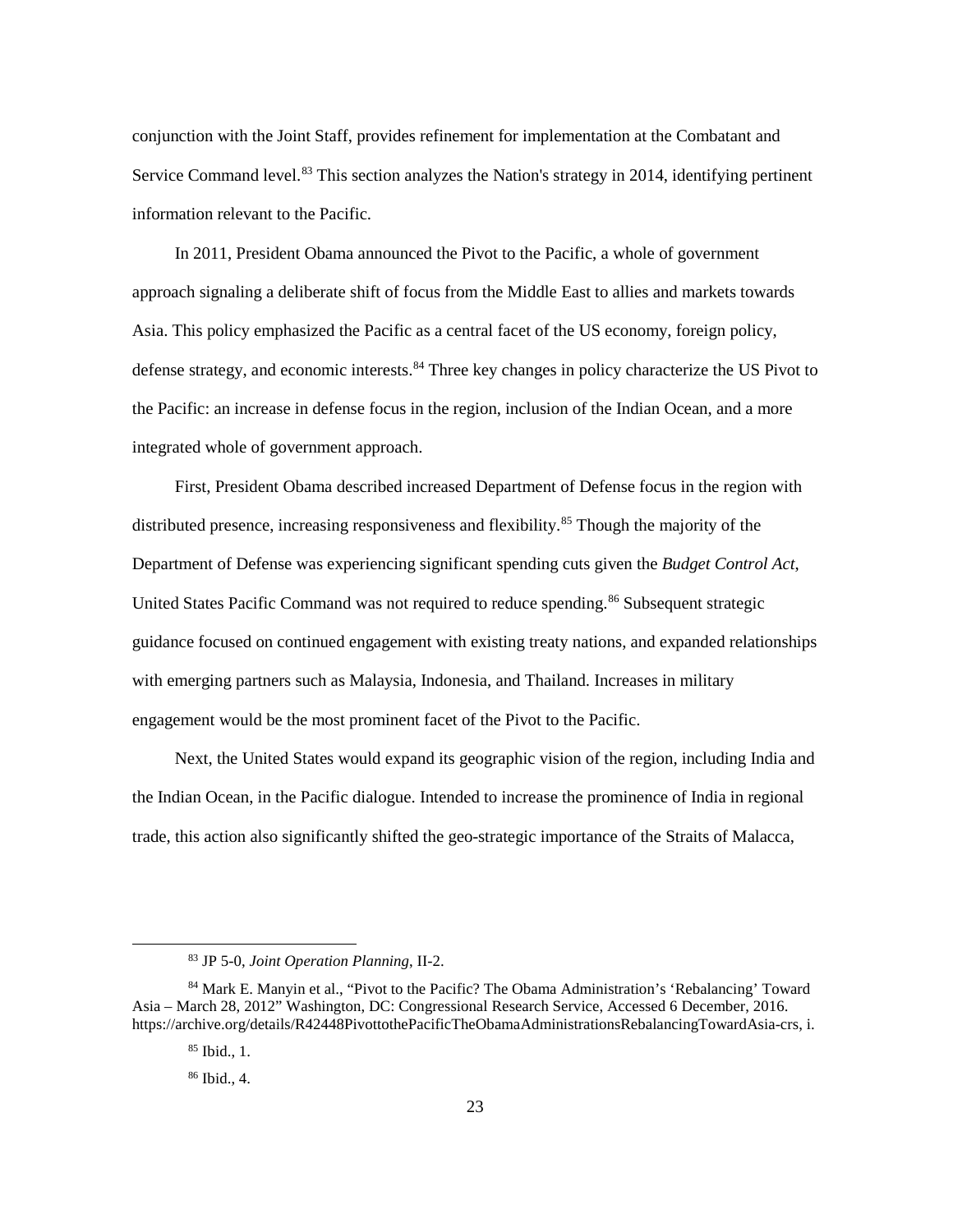conjunction with the Joint Staff, provides refinement for implementation at the Combatant and Service Command level.<sup>[83](#page-29-0)</sup> This section analyzes the Nation's strategy in 2014, identifying pertinent information relevant to the Pacific.

In 2011, President Obama announced the Pivot to the Pacific, a whole of government approach signaling a deliberate shift of focus from the Middle East to allies and markets towards Asia. This policy emphasized the Pacific as a central facet of the US economy, foreign policy, defense strategy, and economic interests.<sup>[84](#page-29-1)</sup> Three key changes in policy characterize the US Pivot to the Pacific: an increase in defense focus in the region, inclusion of the Indian Ocean, and a more integrated whole of government approach.

First, President Obama described increased Department of Defense focus in the region with distributed presence, increasing responsiveness and flexibility.<sup>[85](#page-29-2)</sup> Though the majority of the Department of Defense was experiencing significant spending cuts given the *Budget Control Act*, United States Pacific Command was not required to reduce spending.<sup>[86](#page-29-3)</sup> Subsequent strategic guidance focused on continued engagement with existing treaty nations, and expanded relationships with emerging partners such as Malaysia, Indonesia, and Thailand. Increases in military engagement would be the most prominent facet of the Pivot to the Pacific.

Next, the United States would expand its geographic vision of the region, including India and the Indian Ocean, in the Pacific dialogue. Intended to increase the prominence of India in regional trade, this action also significantly shifted the geo-strategic importance of the Straits of Malacca,

 <sup>83</sup> JP 5-0, *Joint Operation Planning*, II-2.

<span id="page-29-3"></span><span id="page-29-2"></span><span id="page-29-1"></span><span id="page-29-0"></span><sup>84</sup> Mark E. Manyin et al., "Pivot to the Pacific? The Obama Administration's 'Rebalancing' Toward Asia – March 28, 2012" Washington, DC: Congressional Research Service, Accessed 6 December, 2016. https://archive.org/details/R42448PivottothePacificTheObamaAdministrationsRebalancingTowardAsia-crs, i.

<sup>85</sup> Ibid., 1.

<sup>86</sup> Ibid., 4.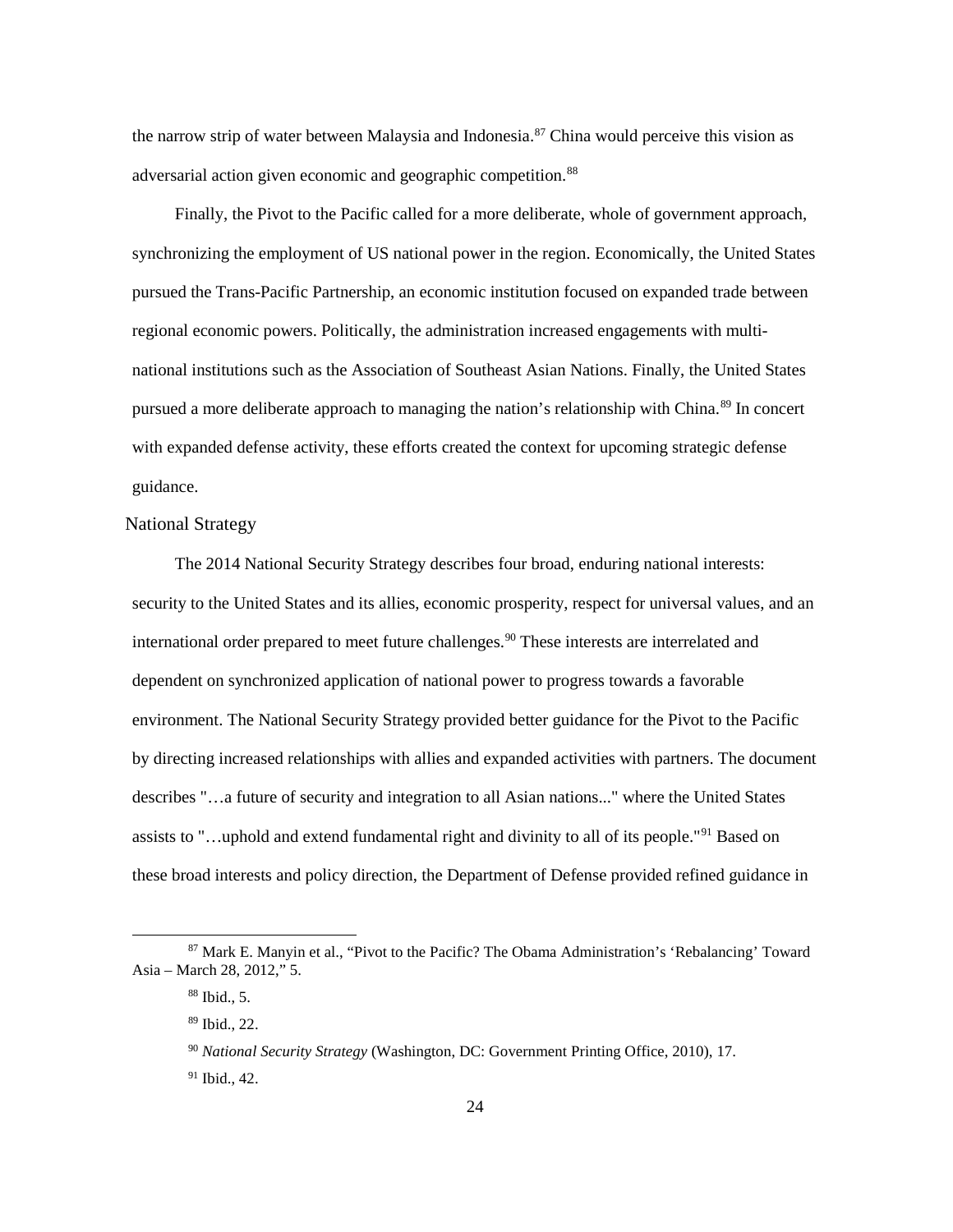the narrow strip of water between Malaysia and Indonesia.<sup>[87](#page-30-0)</sup> China would perceive this vision as adversarial action given economic and geographic competition.<sup>[88](#page-30-1)</sup>

Finally, the Pivot to the Pacific called for a more deliberate, whole of government approach, synchronizing the employment of US national power in the region. Economically, the United States pursued the Trans-Pacific Partnership, an economic institution focused on expanded trade between regional economic powers. Politically, the administration increased engagements with multinational institutions such as the Association of Southeast Asian Nations. Finally, the United States pursued a more deliberate approach to managing the nation's relationship with China.<sup>[89](#page-30-2)</sup> In concert with expanded defense activity, these efforts created the context for upcoming strategic defense guidance.

#### National Strategy

The 2014 National Security Strategy describes four broad, enduring national interests: security to the United States and its allies, economic prosperity, respect for universal values, and an international order prepared to meet future challenges.<sup>[90](#page-30-3)</sup> These interests are interrelated and dependent on synchronized application of national power to progress towards a favorable environment. The National Security Strategy provided better guidance for the Pivot to the Pacific by directing increased relationships with allies and expanded activities with partners. The document describes "…a future of security and integration to all Asian nations..." where the United States assists to "…uphold and extend fundamental right and divinity to all of its people."[91](#page-30-4) Based on these broad interests and policy direction, the Department of Defense provided refined guidance in

<span id="page-30-4"></span><span id="page-30-3"></span><span id="page-30-2"></span><span id="page-30-1"></span><span id="page-30-0"></span> <sup>87</sup> Mark E. Manyin et al., "Pivot to the Pacific? The Obama Administration's 'Rebalancing' Toward Asia – March 28, 2012," 5.

<sup>88</sup> Ibid., 5.

<sup>89</sup> Ibid., 22.

<sup>90</sup> *National Security Strategy* (Washington, DC: Government Printing Office, 2010), 17.

<sup>91</sup> Ibid., 42.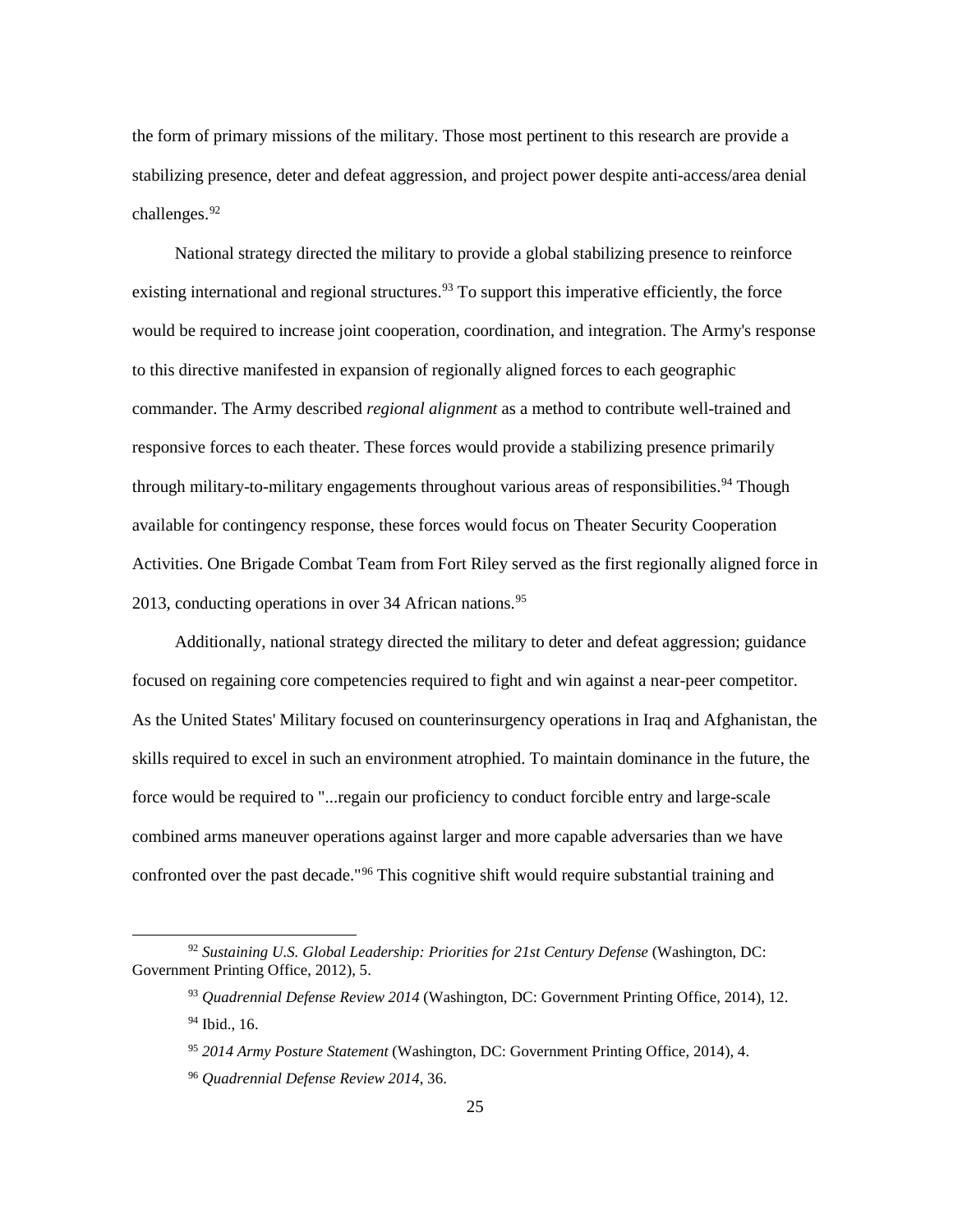the form of primary missions of the military. Those most pertinent to this research are provide a stabilizing presence, deter and defeat aggression, and project power despite anti-access/area denial challenges.<sup>[92](#page-31-0)</sup>

National strategy directed the military to provide a global stabilizing presence to reinforce existing international and regional structures.<sup>[93](#page-31-1)</sup> To support this imperative efficiently, the force would be required to increase joint cooperation, coordination, and integration. The Army's response to this directive manifested in expansion of regionally aligned forces to each geographic commander. The Army described *regional alignment* as a method to contribute well-trained and responsive forces to each theater. These forces would provide a stabilizing presence primarily through military-to-military engagements throughout various areas of responsibilities.<sup>[94](#page-31-2)</sup> Though available for contingency response, these forces would focus on Theater Security Cooperation Activities. One Brigade Combat Team from Fort Riley served as the first regionally aligned force in 2013, conducting operations in over  $34$  African nations.<sup>[95](#page-31-3)</sup>

Additionally, national strategy directed the military to deter and defeat aggression; guidance focused on regaining core competencies required to fight and win against a near-peer competitor. As the United States' Military focused on counterinsurgency operations in Iraq and Afghanistan, the skills required to excel in such an environment atrophied. To maintain dominance in the future, the force would be required to "...regain our proficiency to conduct forcible entry and large-scale combined arms maneuver operations against larger and more capable adversaries than we have confronted over the past decade."[96](#page-31-4) This cognitive shift would require substantial training and

<span id="page-31-4"></span><span id="page-31-3"></span><span id="page-31-2"></span><span id="page-31-1"></span><span id="page-31-0"></span> <sup>92</sup> *Sustaining U.S. Global Leadership: Priorities for 21st Century Defense* (Washington, DC: Government Printing Office, 2012), 5.

<sup>93</sup> *Quadrennial Defense Review 2014* (Washington, DC: Government Printing Office, 2014), 12. <sup>94</sup> Ibid., 16.

<sup>95</sup> *2014 Army Posture Statement* (Washington, DC: Government Printing Office, 2014), 4.

<sup>96</sup> *Quadrennial Defense Review 2014*, 36.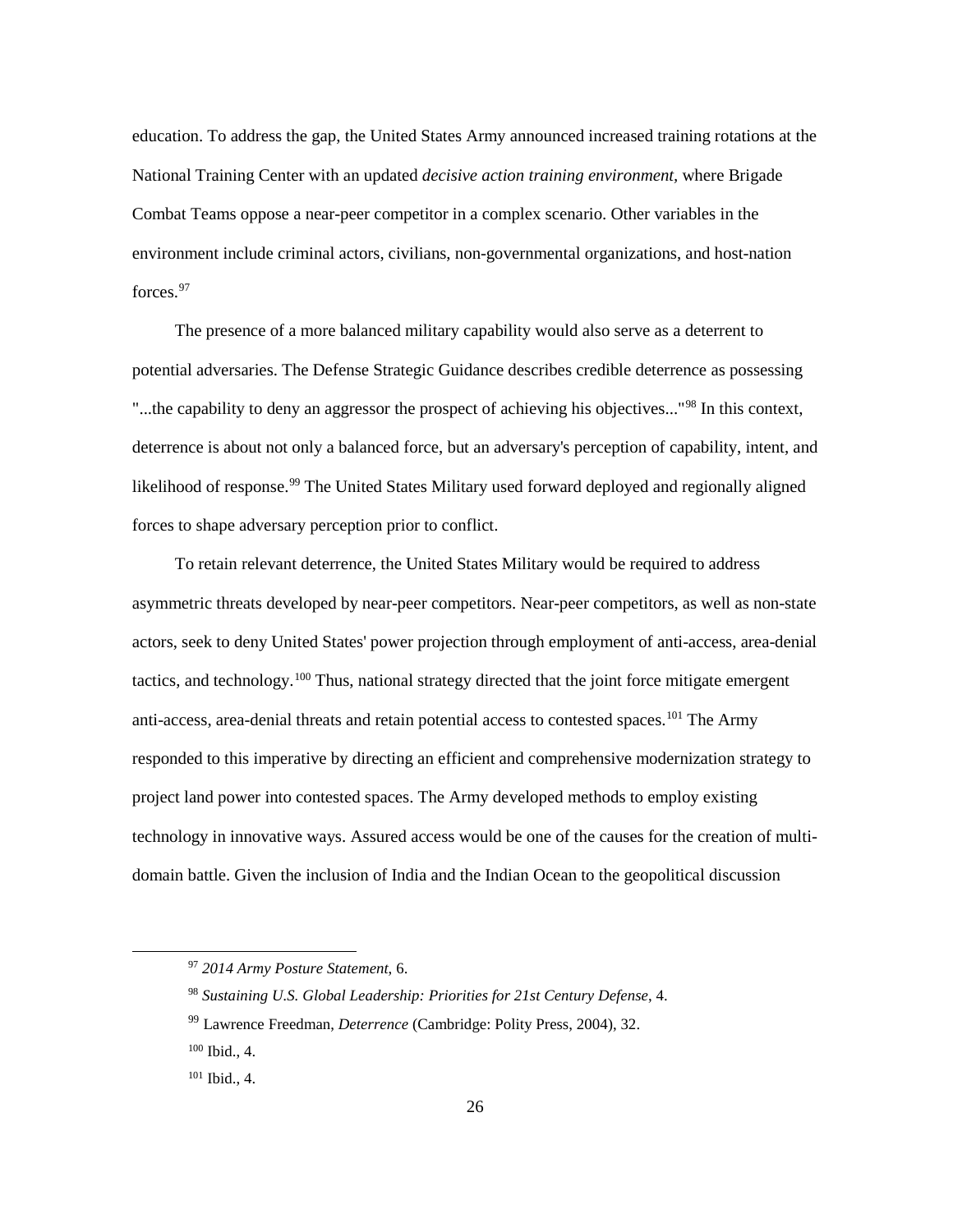education. To address the gap, the United States Army announced increased training rotations at the National Training Center with an updated *decisive action training environment,* where Brigade Combat Teams oppose a near-peer competitor in a complex scenario. Other variables in the environment include criminal actors, civilians, non-governmental organizations, and host-nation forces. [97](#page-32-0)

The presence of a more balanced military capability would also serve as a deterrent to potential adversaries. The Defense Strategic Guidance describes credible deterrence as possessing "...the capability to deny an aggressor the prospect of achieving his objectives..."<sup>[98](#page-32-1)</sup> In this context, deterrence is about not only a balanced force, but an adversary's perception of capability, intent, and likelihood of response.<sup>[99](#page-32-2)</sup> The United States Military used forward deployed and regionally aligned forces to shape adversary perception prior to conflict.

To retain relevant deterrence, the United States Military would be required to address asymmetric threats developed by near-peer competitors. Near-peer competitors, as well as non-state actors, seek to deny United States' power projection through employment of anti-access, area-denial tactics, and technology.[100](#page-32-3) Thus, national strategy directed that the joint force mitigate emergent anti-access, area-denial threats and retain potential access to contested spaces.<sup>101</sup> The Army responded to this imperative by directing an efficient and comprehensive modernization strategy to project land power into contested spaces. The Army developed methods to employ existing technology in innovative ways. Assured access would be one of the causes for the creation of multidomain battle. Given the inclusion of India and the Indian Ocean to the geopolitical discussion

<span id="page-32-0"></span> <sup>97</sup> *2014 Army Posture Statement*, 6.

<span id="page-32-1"></span><sup>98</sup> *Sustaining U.S. Global Leadership: Priorities for 21st Century Defense*, 4.

<span id="page-32-2"></span><sup>99</sup> Lawrence Freedman, *Deterrence* (Cambridge: Polity Press, 2004), 32.

<span id="page-32-3"></span><sup>100</sup> Ibid., 4.

<span id="page-32-4"></span><sup>101</sup> Ibid., 4.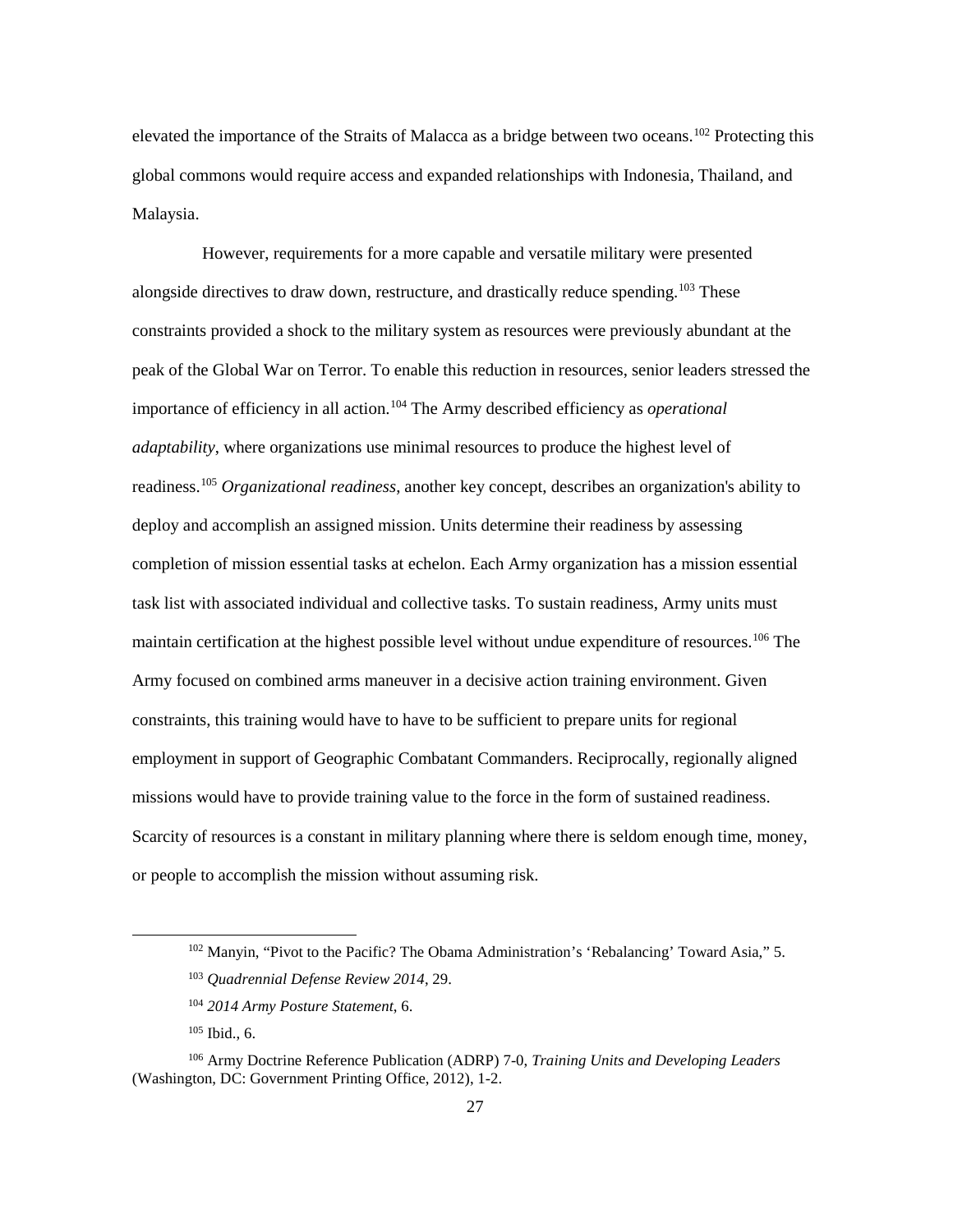elevated the importance of the Straits of Malacca as a bridge between two oceans.[102](#page-33-0) Protecting this global commons would require access and expanded relationships with Indonesia, Thailand, and Malaysia.

However, requirements for a more capable and versatile military were presented alongside directives to draw down, restructure, and drastically reduce spending.<sup>[103](#page-33-1)</sup> These constraints provided a shock to the military system as resources were previously abundant at the peak of the Global War on Terror. To enable this reduction in resources, senior leaders stressed the importance of efficiency in all action. [104](#page-33-2) The Army described efficiency as *operational adaptability*, where organizations use minimal resources to produce the highest level of readiness.[105](#page-33-3) *Organizational readiness*, another key concept, describes an organization's ability to deploy and accomplish an assigned mission. Units determine their readiness by assessing completion of mission essential tasks at echelon. Each Army organization has a mission essential task list with associated individual and collective tasks. To sustain readiness, Army units must maintain certification at the highest possible level without undue expenditure of resources.[106](#page-33-4) The Army focused on combined arms maneuver in a decisive action training environment. Given constraints, this training would have to have to be sufficient to prepare units for regional employment in support of Geographic Combatant Commanders. Reciprocally, regionally aligned missions would have to provide training value to the force in the form of sustained readiness. Scarcity of resources is a constant in military planning where there is seldom enough time, money, or people to accomplish the mission without assuming risk.

 <sup>102</sup> Manyin, "Pivot to the Pacific? The Obama Administration's 'Rebalancing' Toward Asia," 5.

<sup>103</sup> *Quadrennial Defense Review 2014*, 29.

<sup>104</sup> *2014 Army Posture Statement*, 6.

 $105$  Ibid., 6.

<span id="page-33-4"></span><span id="page-33-3"></span><span id="page-33-2"></span><span id="page-33-1"></span><span id="page-33-0"></span><sup>106</sup> Army Doctrine Reference Publication (ADRP) 7-0, *Training Units and Developing Leaders*  (Washington, DC: Government Printing Office, 2012), 1-2.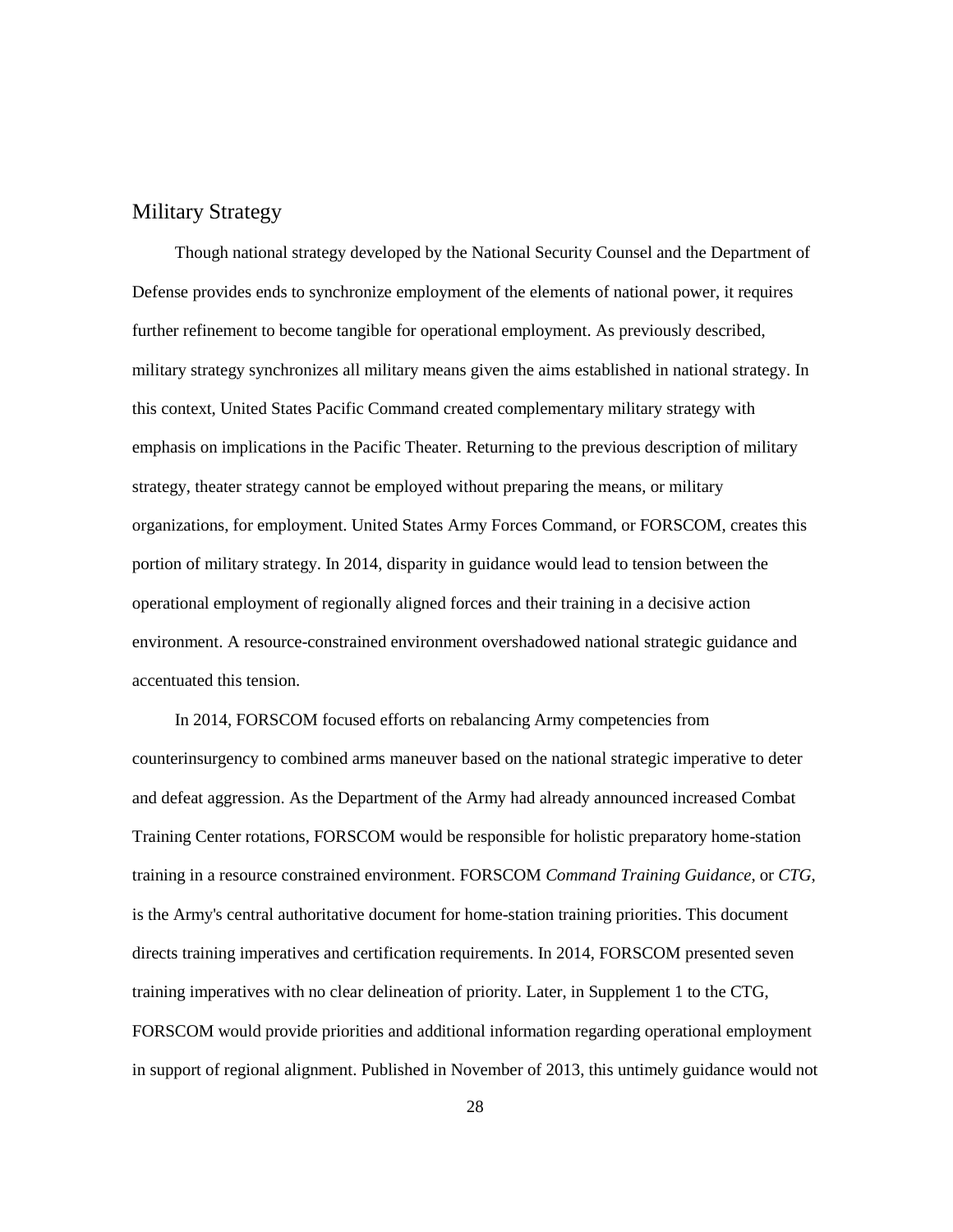# Military Strategy

Though national strategy developed by the National Security Counsel and the Department of Defense provides ends to synchronize employment of the elements of national power, it requires further refinement to become tangible for operational employment. As previously described, military strategy synchronizes all military means given the aims established in national strategy. In this context, United States Pacific Command created complementary military strategy with emphasis on implications in the Pacific Theater. Returning to the previous description of military strategy, theater strategy cannot be employed without preparing the means, or military organizations, for employment. United States Army Forces Command, or FORSCOM, creates this portion of military strategy. In 2014, disparity in guidance would lead to tension between the operational employment of regionally aligned forces and their training in a decisive action environment. A resource-constrained environment overshadowed national strategic guidance and accentuated this tension.

In 2014, FORSCOM focused efforts on rebalancing Army competencies from counterinsurgency to combined arms maneuver based on the national strategic imperative to deter and defeat aggression. As the Department of the Army had already announced increased Combat Training Center rotations, FORSCOM would be responsible for holistic preparatory home-station training in a resource constrained environment. FORSCOM *Command Training Guidance*, or *CTG*, is the Army's central authoritative document for home-station training priorities. This document directs training imperatives and certification requirements. In 2014, FORSCOM presented seven training imperatives with no clear delineation of priority. Later, in Supplement 1 to the CTG, FORSCOM would provide priorities and additional information regarding operational employment in support of regional alignment. Published in November of 2013, this untimely guidance would not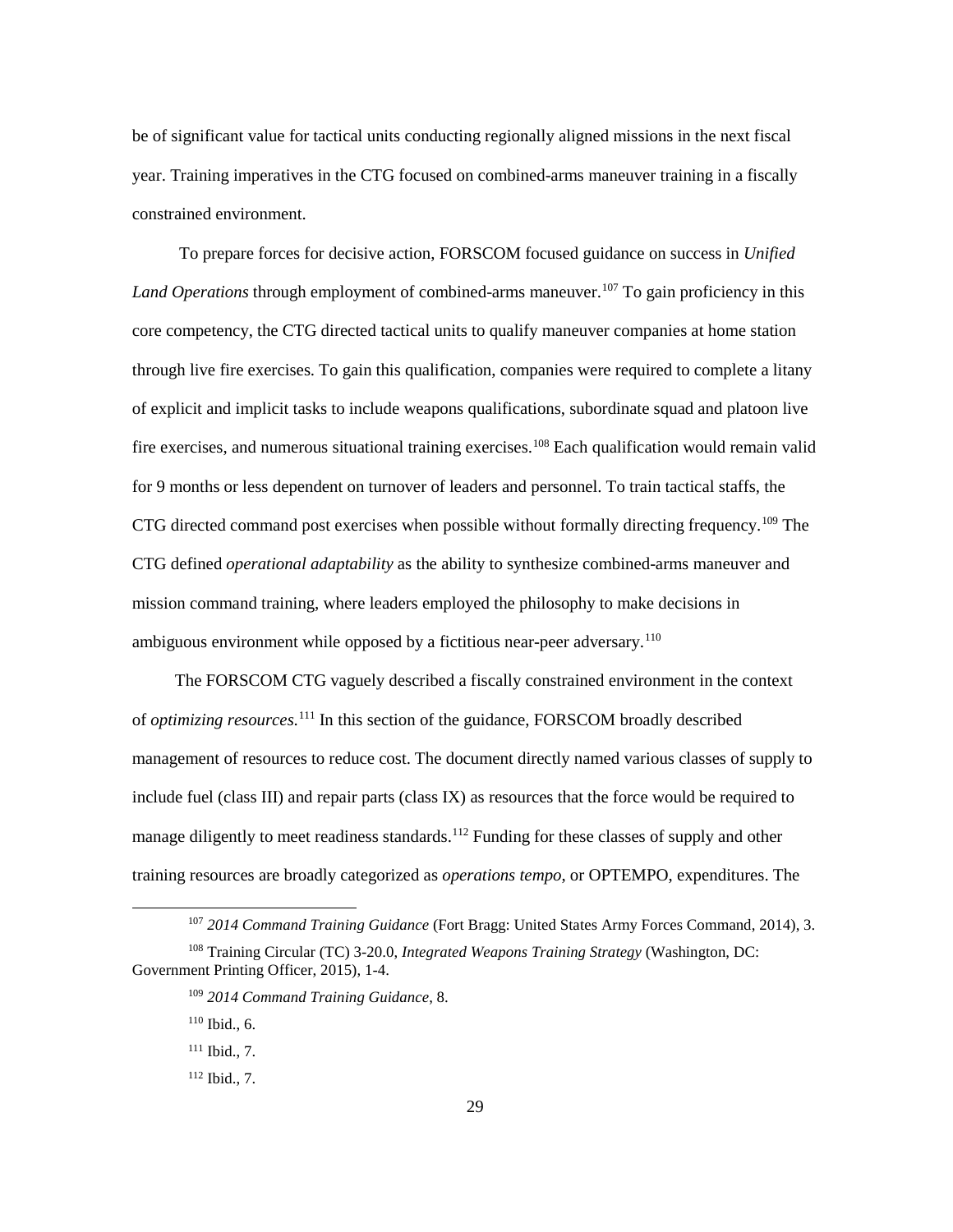be of significant value for tactical units conducting regionally aligned missions in the next fiscal year. Training imperatives in the CTG focused on combined-arms maneuver training in a fiscally constrained environment.

To prepare forces for decisive action, FORSCOM focused guidance on success in *Unified Land Operations* through employment of combined-arms maneuver.<sup>[107](#page-35-0)</sup> To gain proficiency in this core competency, the CTG directed tactical units to qualify maneuver companies at home station through live fire exercises. To gain this qualification, companies were required to complete a litany of explicit and implicit tasks to include weapons qualifications, subordinate squad and platoon live fire exercises, and numerous situational training exercises.<sup>[108](#page-35-1)</sup> Each qualification would remain valid for 9 months or less dependent on turnover of leaders and personnel. To train tactical staffs, the CTG directed command post exercises when possible without formally directing frequency.[109](#page-35-2) The CTG defined *operational adaptability* as the ability to synthesize combined-arms maneuver and mission command training, where leaders employed the philosophy to make decisions in ambiguous environment while opposed by a fictitious near-peer adversary.<sup>110</sup>

The FORSCOM CTG vaguely described a fiscally constrained environment in the context of *optimizing resources*. [111](#page-35-4) In this section of the guidance, FORSCOM broadly described management of resources to reduce cost. The document directly named various classes of supply to include fuel (class III) and repair parts (class IX) as resources that the force would be required to manage diligently to meet readiness standards.<sup>[112](#page-35-5)</sup> Funding for these classes of supply and other training resources are broadly categorized as *operations tempo*, or OPTEMPO, expenditures. The

 <sup>107</sup> *2014 Command Training Guidance* (Fort Bragg: United States Army Forces Command, 2014), 3.

<span id="page-35-5"></span><span id="page-35-4"></span><span id="page-35-3"></span><span id="page-35-2"></span><span id="page-35-1"></span><span id="page-35-0"></span><sup>108</sup> Training Circular (TC) 3-20.0, *Integrated Weapons Training Strategy* (Washington, DC: Government Printing Officer, 2015), 1-4.

<sup>109</sup> *2014 Command Training Guidance*, 8.

 $110$  Ibid., 6.

 $111$  Ibid., 7.

<sup>112</sup> Ibid., 7.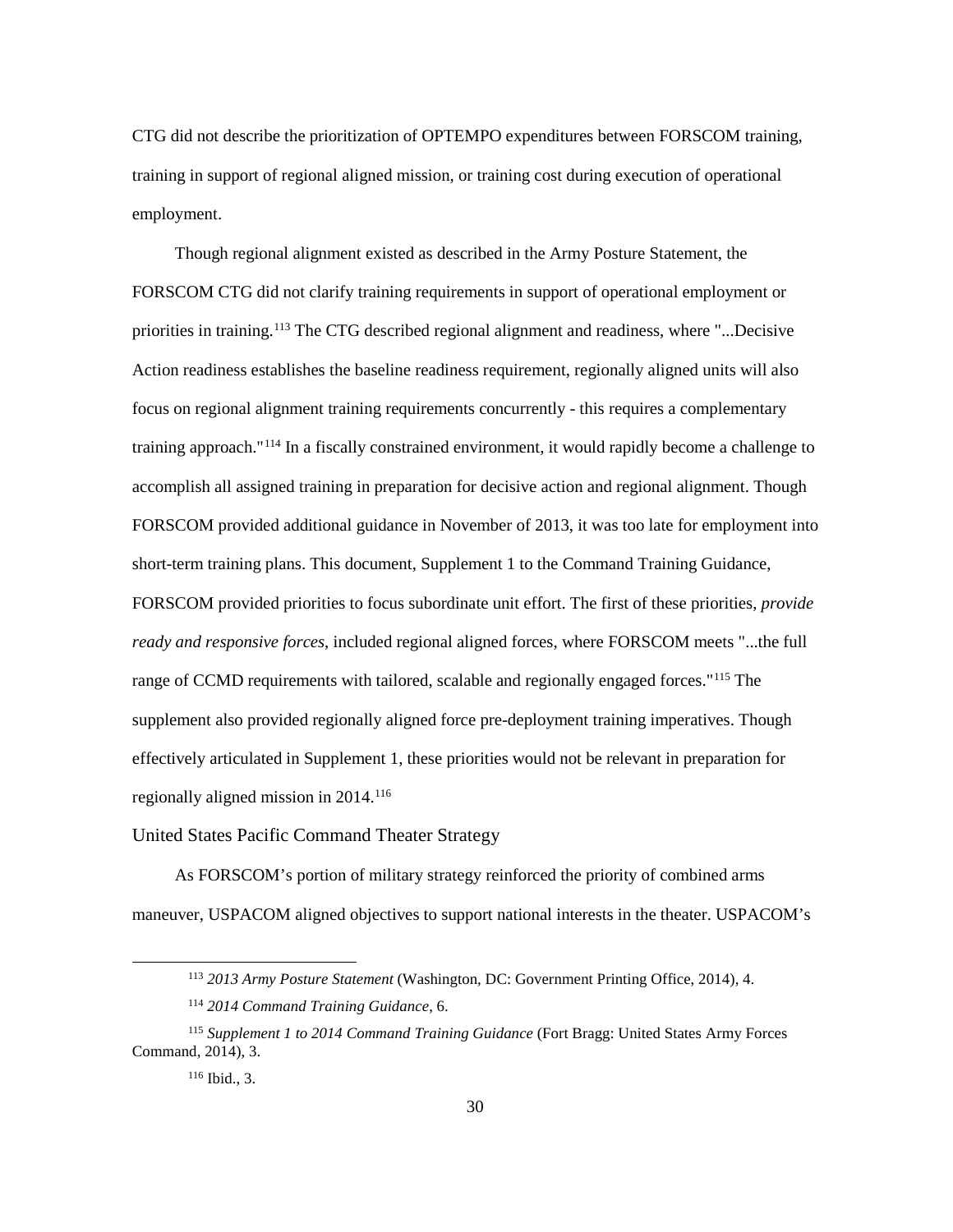CTG did not describe the prioritization of OPTEMPO expenditures between FORSCOM training, training in support of regional aligned mission, or training cost during execution of operational employment.

Though regional alignment existed as described in the Army Posture Statement, the FORSCOM CTG did not clarify training requirements in support of operational employment or priorities in training.[113](#page-36-0) The CTG described regional alignment and readiness, where "...Decisive Action readiness establishes the baseline readiness requirement, regionally aligned units will also focus on regional alignment training requirements concurrently - this requires a complementary training approach."[114](#page-36-1) In a fiscally constrained environment, it would rapidly become a challenge to accomplish all assigned training in preparation for decisive action and regional alignment. Though FORSCOM provided additional guidance in November of 2013, it was too late for employment into short-term training plans. This document, Supplement 1 to the Command Training Guidance, FORSCOM provided priorities to focus subordinate unit effort. The first of these priorities, *provide ready and responsive forces*, included regional aligned forces, where FORSCOM meets "...the full range of CCMD requirements with tailored, scalable and regionally engaged forces."<sup>[115](#page-36-2)</sup> The supplement also provided regionally aligned force pre-deployment training imperatives. Though effectively articulated in Supplement 1, these priorities would not be relevant in preparation for regionally aligned mission in 2014. [116](#page-36-3)

United States Pacific Command Theater Strategy

As FORSCOM's portion of military strategy reinforced the priority of combined arms maneuver, USPACOM aligned objectives to support national interests in the theater. USPACOM's

 <sup>113</sup> *2013 Army Posture Statement* (Washington, DC: Government Printing Office, 2014), 4.

<sup>114</sup> *2014 Command Training Guidance*, 6.

<span id="page-36-3"></span><span id="page-36-2"></span><span id="page-36-1"></span><span id="page-36-0"></span><sup>115</sup> *Supplement 1 to 2014 Command Training Guidance* (Fort Bragg: United States Army Forces Command, 2014), 3.

<sup>116</sup> Ibid., 3.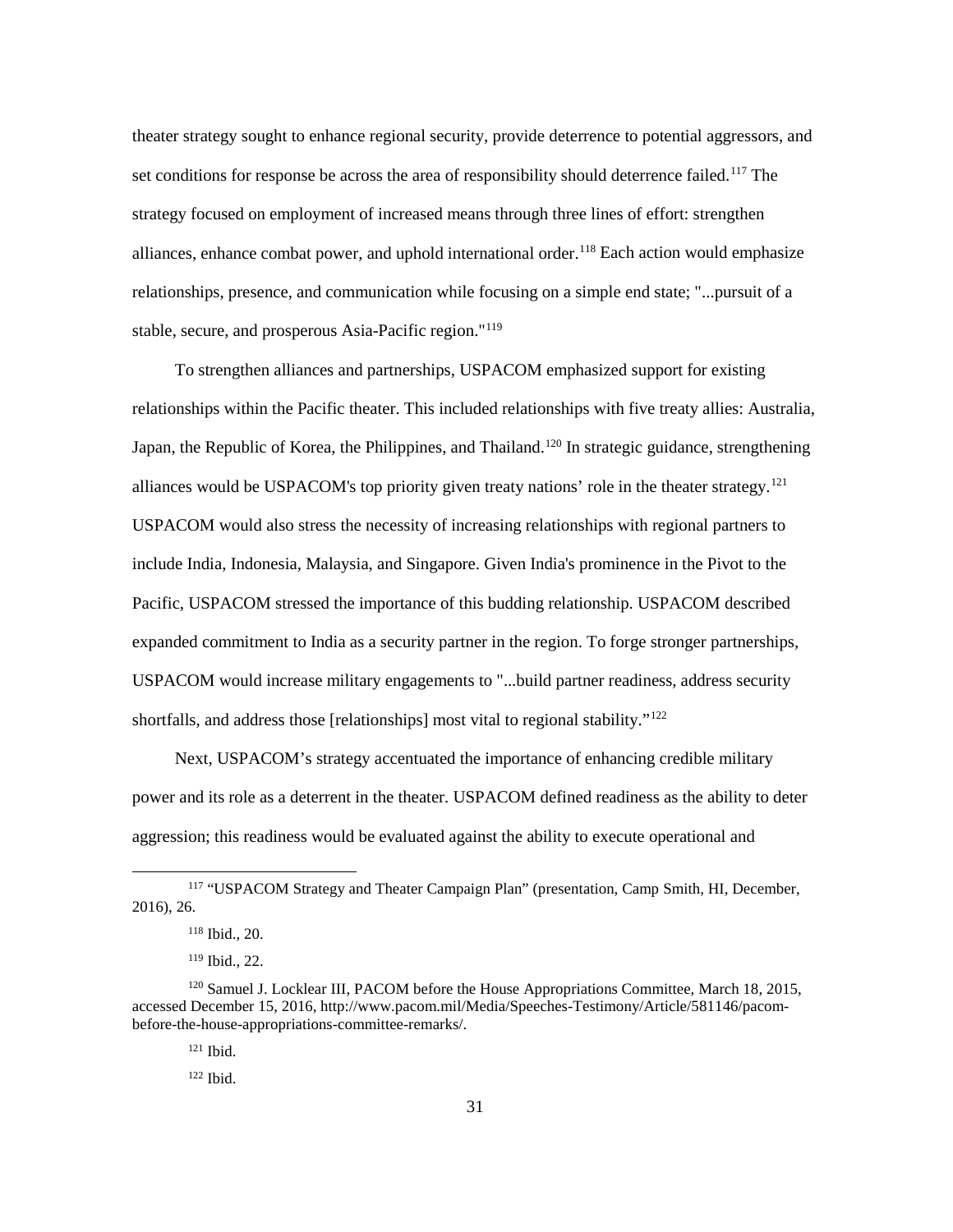theater strategy sought to enhance regional security, provide deterrence to potential aggressors, and set conditions for response be across the area of responsibility should deterrence failed.<sup>[117](#page-37-0)</sup> The strategy focused on employment of increased means through three lines of effort: strengthen alliances, enhance combat power, and uphold international order.<sup>118</sup> Each action would emphasize relationships, presence, and communication while focusing on a simple end state; "...pursuit of a stable, secure, and prosperous Asia-Pacific region."[119](#page-37-2)

To strengthen alliances and partnerships, USPACOM emphasized support for existing relationships within the Pacific theater. This included relationships with five treaty allies: Australia, Japan, the Republic of Korea, the Philippines, and Thailand.<sup>[120](#page-37-3)</sup> In strategic guidance, strengthening alliances would be USPACOM's top priority given treaty nations' role in the theater strategy.<sup>[121](#page-37-4)</sup> USPACOM would also stress the necessity of increasing relationships with regional partners to include India, Indonesia, Malaysia, and Singapore. Given India's prominence in the Pivot to the Pacific, USPACOM stressed the importance of this budding relationship. USPACOM described expanded commitment to India as a security partner in the region. To forge stronger partnerships, USPACOM would increase military engagements to "...build partner readiness, address security shortfalls, and address those [relationships] most vital to regional stability."<sup>[122](#page-37-5)</sup>

Next, USPACOM's strategy accentuated the importance of enhancing credible military power and its role as a deterrent in the theater. USPACOM defined readiness as the ability to deter aggression; this readiness would be evaluated against the ability to execute operational and

<span id="page-37-1"></span><span id="page-37-0"></span> <sup>117</sup> "USPACOM Strategy and Theater Campaign Plan" (presentation, Camp Smith, HI, December, 2016), 26.

<sup>118</sup> Ibid., 20.

<sup>119</sup> Ibid., 22.

<span id="page-37-5"></span><span id="page-37-4"></span><span id="page-37-3"></span><span id="page-37-2"></span><sup>&</sup>lt;sup>120</sup> Samuel J. Locklear III, PACOM before the House Appropriations Committee, March 18, 2015, accessed December 15, 2016, http://www.pacom.mil/Media/Speeches-Testimony/Article/581146/pacombefore-the-house-appropriations-committee-remarks/.

<sup>121</sup> Ibid.

<sup>122</sup> Ibid.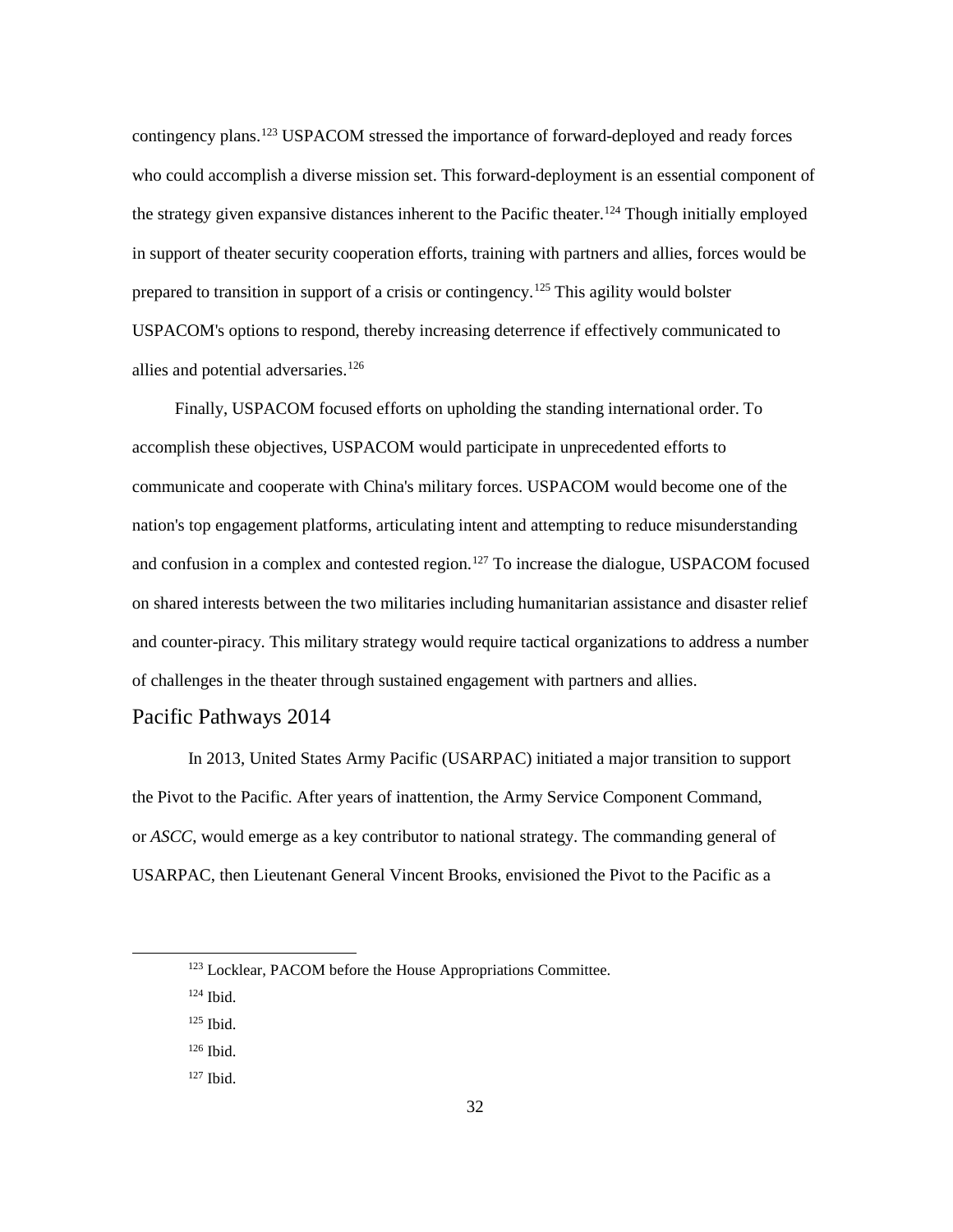contingency plans.[123](#page-38-0) USPACOM stressed the importance of forward-deployed and ready forces who could accomplish a diverse mission set. This forward-deployment is an essential component of the strategy given expansive distances inherent to the Pacific theater.<sup>124</sup> Though initially employed in support of theater security cooperation efforts, training with partners and allies, forces would be prepared to transition in support of a crisis or contingency.<sup>[125](#page-38-2)</sup> This agility would bolster USPACOM's options to respond, thereby increasing deterrence if effectively communicated to allies and potential adversaries.<sup>[126](#page-38-3)</sup>

Finally, USPACOM focused efforts on upholding the standing international order. To accomplish these objectives, USPACOM would participate in unprecedented efforts to communicate and cooperate with China's military forces. USPACOM would become one of the nation's top engagement platforms, articulating intent and attempting to reduce misunderstanding and confusion in a complex and contested region.<sup>[127](#page-38-4)</sup> To increase the dialogue, USPACOM focused on shared interests between the two militaries including humanitarian assistance and disaster relief and counter-piracy. This military strategy would require tactical organizations to address a number of challenges in the theater through sustained engagement with partners and allies.

#### Pacific Pathways 2014

In 2013, United States Army Pacific (USARPAC) initiated a major transition to support the Pivot to the Pacific. After years of inattention, the Army Service Component Command, or *ASCC*, would emerge as a key contributor to national strategy. The commanding general of USARPAC, then Lieutenant General Vincent Brooks, envisioned the Pivot to the Pacific as a

- <span id="page-38-1"></span><sup>124</sup> Ibid.
- <span id="page-38-2"></span> $125$  Ibid.
- <span id="page-38-3"></span><sup>126</sup> Ibid.
- <span id="page-38-4"></span><sup>127</sup> Ibid.

<span id="page-38-0"></span><sup>&</sup>lt;sup>123</sup> Locklear, PACOM before the House Appropriations Committee.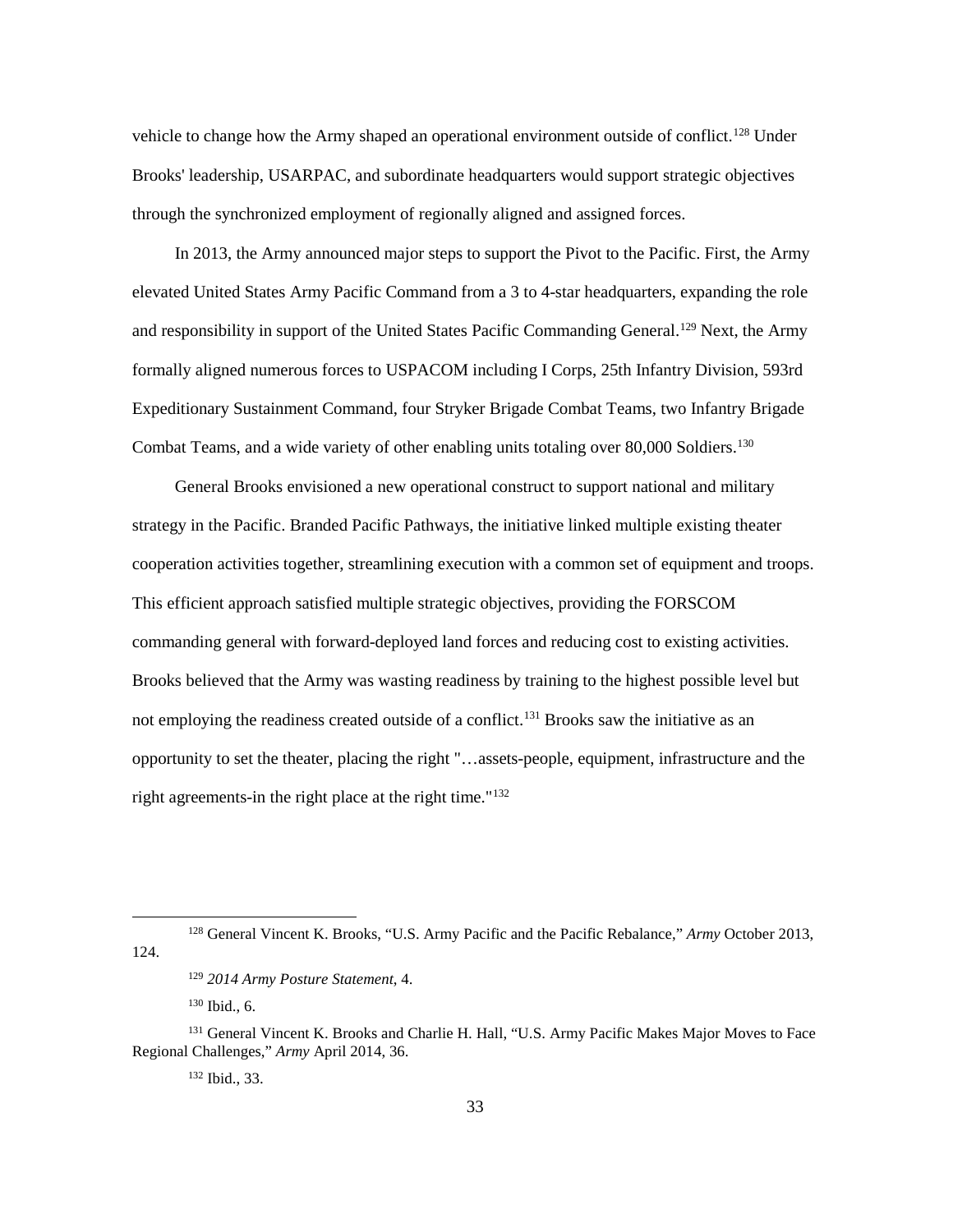vehicle to change how the Army shaped an operational environment outside of conflict.<sup>[128](#page-39-0)</sup> Under Brooks' leadership, USARPAC, and subordinate headquarters would support strategic objectives through the synchronized employment of regionally aligned and assigned forces.

In 2013, the Army announced major steps to support the Pivot to the Pacific. First, the Army elevated United States Army Pacific Command from a 3 to 4-star headquarters, expanding the role and responsibility in support of the United States Pacific Commanding General.<sup>[129](#page-39-1)</sup> Next, the Army formally aligned numerous forces to USPACOM including I Corps, 25th Infantry Division, 593rd Expeditionary Sustainment Command, four Stryker Brigade Combat Teams, two Infantry Brigade Combat Teams, and a wide variety of other enabling units totaling over 80,000 Soldiers.<sup>[130](#page-39-2)</sup>

General Brooks envisioned a new operational construct to support national and military strategy in the Pacific. Branded Pacific Pathways, the initiative linked multiple existing theater cooperation activities together, streamlining execution with a common set of equipment and troops. This efficient approach satisfied multiple strategic objectives, providing the FORSCOM commanding general with forward-deployed land forces and reducing cost to existing activities. Brooks believed that the Army was wasting readiness by training to the highest possible level but not employing the readiness created outside of a conflict.<sup>[131](#page-39-3)</sup> Brooks saw the initiative as an opportunity to set the theater, placing the right "…assets-people, equipment, infrastructure and the right agreements-in the right place at the right time."[132](#page-39-4)

<span id="page-39-1"></span><span id="page-39-0"></span> <sup>128</sup> General Vincent K. Brooks, "U.S. Army Pacific and the Pacific Rebalance," *Army* October 2013, 124.

<sup>129</sup> *2014 Army Posture Statement*, 4.

<sup>130</sup> Ibid., 6.

<span id="page-39-4"></span><span id="page-39-3"></span><span id="page-39-2"></span><sup>&</sup>lt;sup>131</sup> General Vincent K. Brooks and Charlie H. Hall, "U.S. Army Pacific Makes Major Moves to Face Regional Challenges," *Army* April 2014, 36.

<sup>132</sup> Ibid., 33.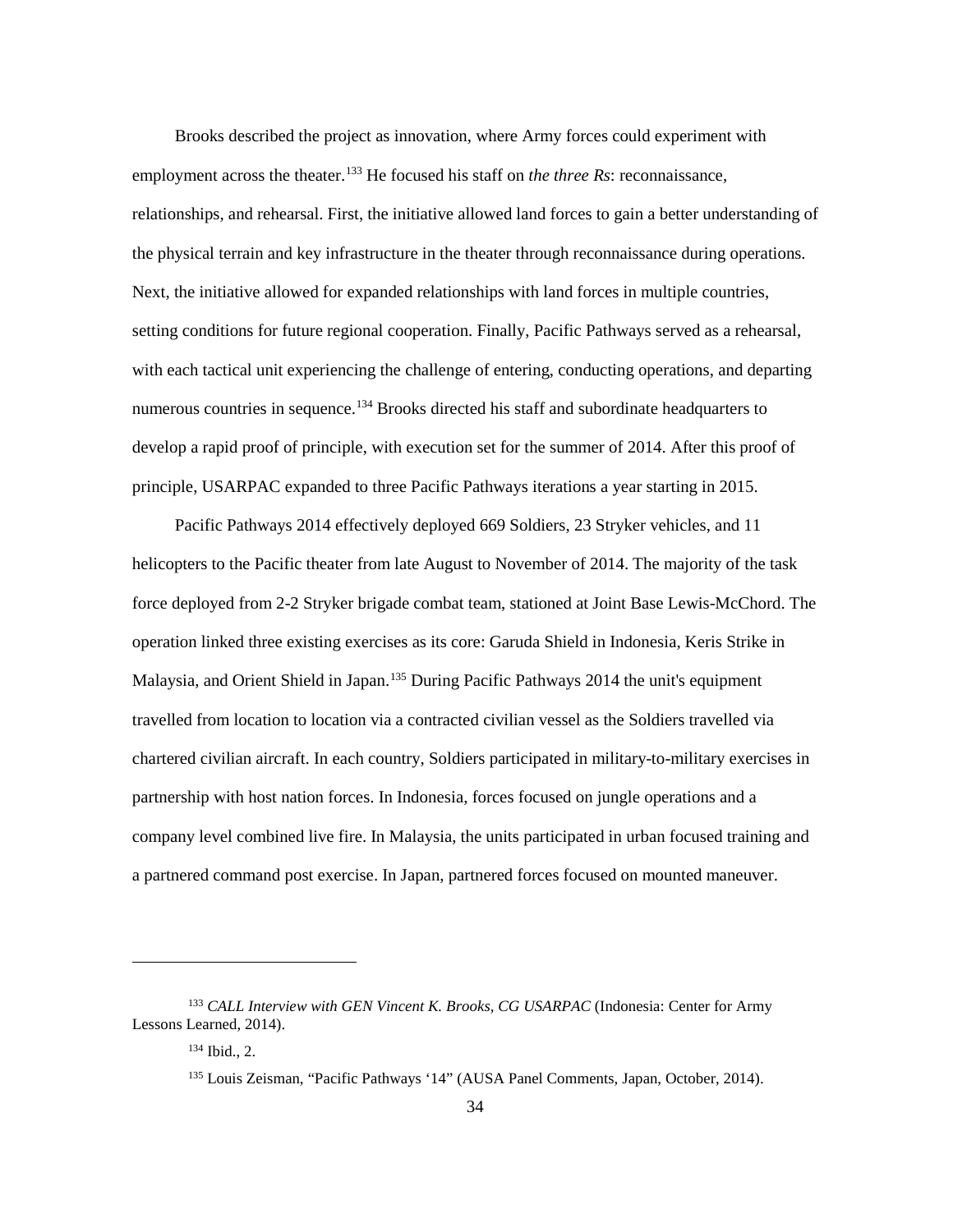Brooks described the project as innovation, where Army forces could experiment with employment across the theater. [133](#page-40-0) He focused his staff on *the three Rs*: reconnaissance, relationships, and rehearsal. First, the initiative allowed land forces to gain a better understanding of the physical terrain and key infrastructure in the theater through reconnaissance during operations. Next, the initiative allowed for expanded relationships with land forces in multiple countries, setting conditions for future regional cooperation. Finally, Pacific Pathways served as a rehearsal, with each tactical unit experiencing the challenge of entering, conducting operations, and departing numerous countries in sequence.<sup>[134](#page-40-1)</sup> Brooks directed his staff and subordinate headquarters to develop a rapid proof of principle, with execution set for the summer of 2014. After this proof of principle, USARPAC expanded to three Pacific Pathways iterations a year starting in 2015.

Pacific Pathways 2014 effectively deployed 669 Soldiers, 23 Stryker vehicles, and 11 helicopters to the Pacific theater from late August to November of 2014. The majority of the task force deployed from 2-2 Stryker brigade combat team, stationed at Joint Base Lewis-McChord. The operation linked three existing exercises as its core: Garuda Shield in Indonesia, Keris Strike in Malaysia, and Orient Shield in Japan.<sup>[135](#page-40-2)</sup> During Pacific Pathways 2014 the unit's equipment travelled from location to location via a contracted civilian vessel as the Soldiers travelled via chartered civilian aircraft. In each country, Soldiers participated in military-to-military exercises in partnership with host nation forces. In Indonesia, forces focused on jungle operations and a company level combined live fire. In Malaysia, the units participated in urban focused training and a partnered command post exercise. In Japan, partnered forces focused on mounted maneuver.

1

<span id="page-40-2"></span><span id="page-40-1"></span><span id="page-40-0"></span><sup>133</sup> *CALL Interview with GEN Vincent K. Brooks, CG USARPAC* (Indonesia: Center for Army Lessons Learned, 2014).

<sup>134</sup> Ibid., 2.

<sup>135</sup> Louis Zeisman, "Pacific Pathways '14" (AUSA Panel Comments, Japan, October, 2014).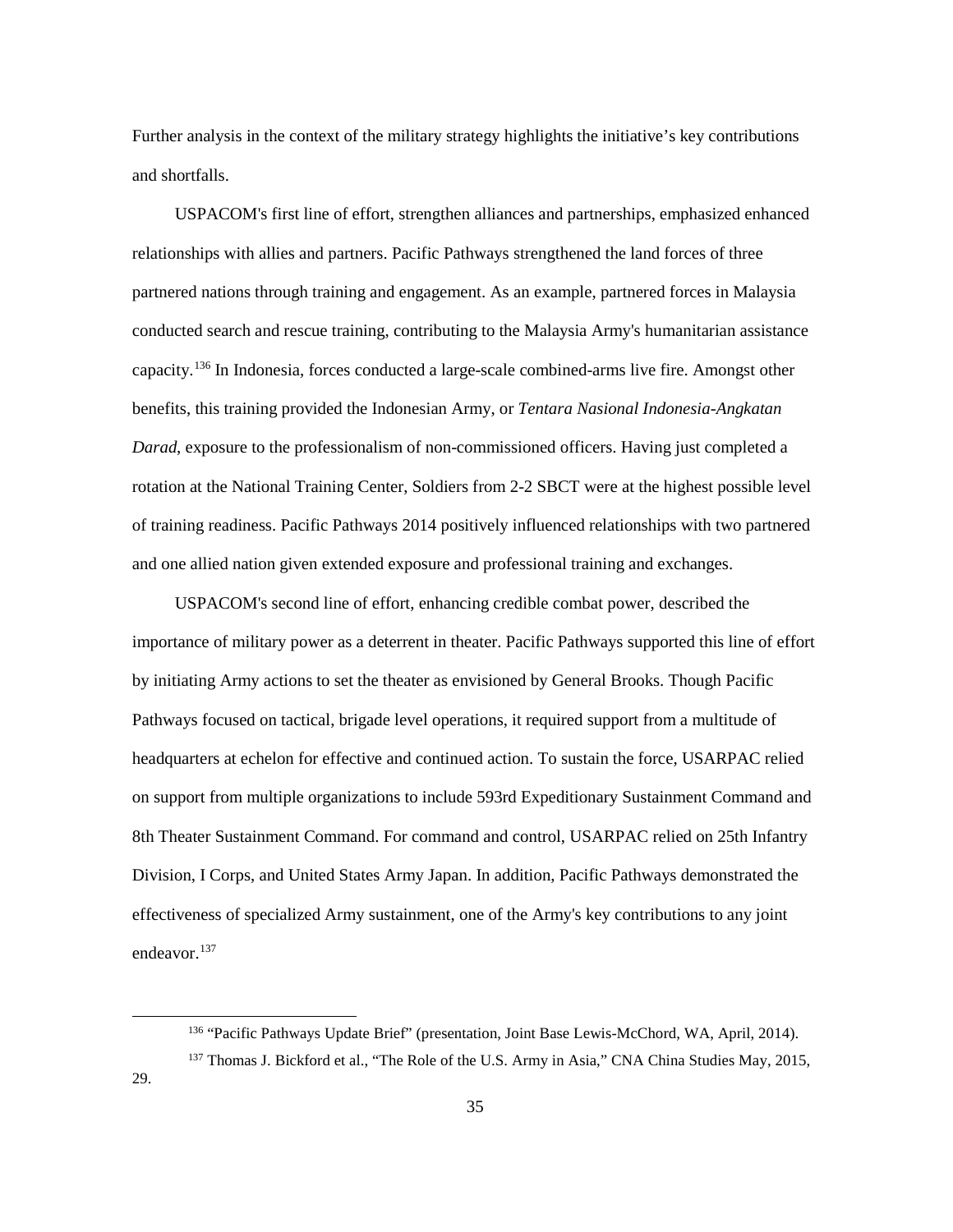Further analysis in the context of the military strategy highlights the initiative's key contributions and shortfalls.

USPACOM's first line of effort, strengthen alliances and partnerships, emphasized enhanced relationships with allies and partners. Pacific Pathways strengthened the land forces of three partnered nations through training and engagement. As an example, partnered forces in Malaysia conducted search and rescue training, contributing to the Malaysia Army's humanitarian assistance capacity. [136](#page-41-0) In Indonesia, forces conducted a large-scale combined-arms live fire. Amongst other benefits, this training provided the Indonesian Army, or *Tentara Nasional Indonesia-Angkatan Darad*, exposure to the professionalism of non-commissioned officers. Having just completed a rotation at the National Training Center, Soldiers from 2-2 SBCT were at the highest possible level of training readiness. Pacific Pathways 2014 positively influenced relationships with two partnered and one allied nation given extended exposure and professional training and exchanges.

USPACOM's second line of effort, enhancing credible combat power, described the importance of military power as a deterrent in theater. Pacific Pathways supported this line of effort by initiating Army actions to set the theater as envisioned by General Brooks. Though Pacific Pathways focused on tactical, brigade level operations, it required support from a multitude of headquarters at echelon for effective and continued action. To sustain the force, USARPAC relied on support from multiple organizations to include 593rd Expeditionary Sustainment Command and 8th Theater Sustainment Command. For command and control, USARPAC relied on 25th Infantry Division, I Corps, and United States Army Japan. In addition, Pacific Pathways demonstrated the effectiveness of specialized Army sustainment, one of the Army's key contributions to any joint endeavor. [137](#page-41-1)

<span id="page-41-1"></span><span id="page-41-0"></span>29.

 <sup>136</sup> "Pacific Pathways Update Brief" (presentation, Joint Base Lewis-McChord, WA, April, 2014).

<sup>&</sup>lt;sup>137</sup> Thomas J. Bickford et al., "The Role of the U.S. Army in Asia," CNA China Studies May, 2015,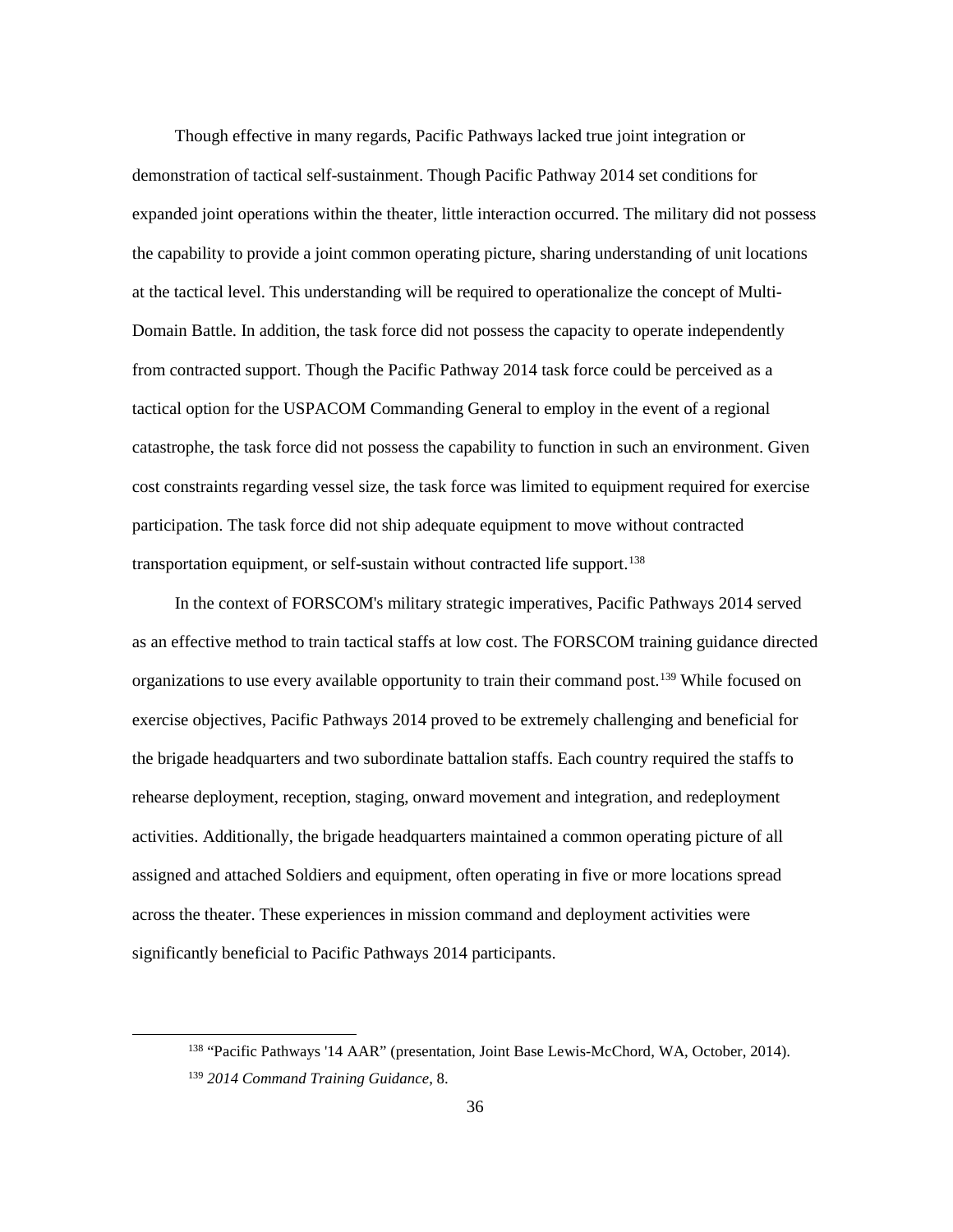Though effective in many regards, Pacific Pathways lacked true joint integration or demonstration of tactical self-sustainment. Though Pacific Pathway 2014 set conditions for expanded joint operations within the theater, little interaction occurred. The military did not possess the capability to provide a joint common operating picture, sharing understanding of unit locations at the tactical level. This understanding will be required to operationalize the concept of Multi-Domain Battle. In addition, the task force did not possess the capacity to operate independently from contracted support. Though the Pacific Pathway 2014 task force could be perceived as a tactical option for the USPACOM Commanding General to employ in the event of a regional catastrophe, the task force did not possess the capability to function in such an environment. Given cost constraints regarding vessel size, the task force was limited to equipment required for exercise participation. The task force did not ship adequate equipment to move without contracted transportation equipment, or self-sustain without contracted life support.<sup>[138](#page-42-0)</sup>

In the context of FORSCOM's military strategic imperatives, Pacific Pathways 2014 served as an effective method to train tactical staffs at low cost. The FORSCOM training guidance directed organizations to use every available opportunity to train their command post.<sup>[139](#page-42-1)</sup> While focused on exercise objectives, Pacific Pathways 2014 proved to be extremely challenging and beneficial for the brigade headquarters and two subordinate battalion staffs. Each country required the staffs to rehearse deployment, reception, staging, onward movement and integration, and redeployment activities. Additionally, the brigade headquarters maintained a common operating picture of all assigned and attached Soldiers and equipment, often operating in five or more locations spread across the theater. These experiences in mission command and deployment activities were significantly beneficial to Pacific Pathways 2014 participants.

<span id="page-42-1"></span><span id="page-42-0"></span> <sup>138</sup> "Pacific Pathways '14 AAR" (presentation, Joint Base Lewis-McChord, WA, October, 2014). <sup>139</sup> *2014 Command Training Guidance*, 8.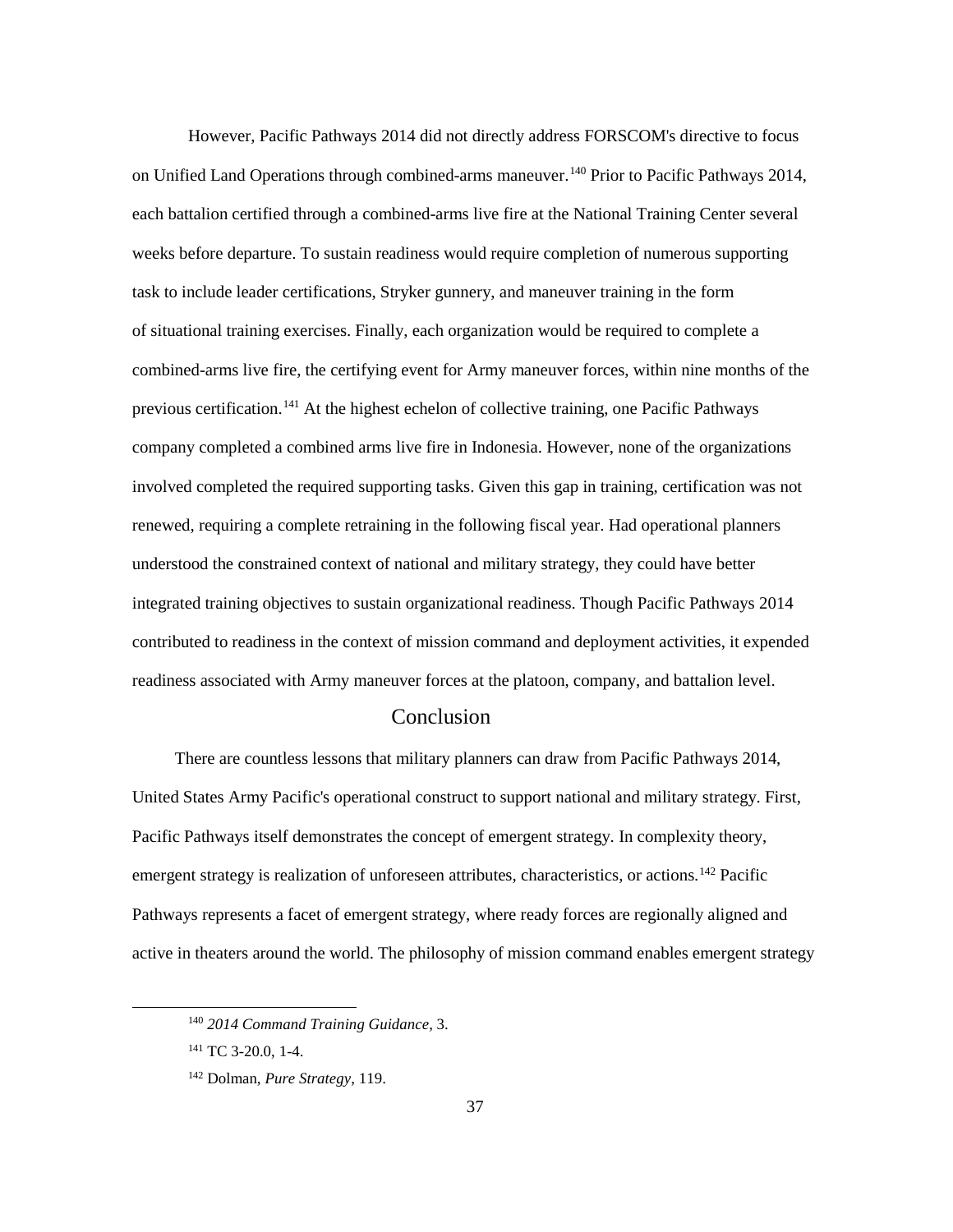However, Pacific Pathways 2014 did not directly address FORSCOM's directive to focus on Unified Land Operations through combined-arms maneuver.[140](#page-43-0) Prior to Pacific Pathways 2014, each battalion certified through a combined-arms live fire at the National Training Center several weeks before departure. To sustain readiness would require completion of numerous supporting task to include leader certifications, Stryker gunnery, and maneuver training in the form of situational training exercises. Finally, each organization would be required to complete a combined-arms live fire, the certifying event for Army maneuver forces, within nine months of the previous certification.[141](#page-43-1) At the highest echelon of collective training, one Pacific Pathways company completed a combined arms live fire in Indonesia. However, none of the organizations involved completed the required supporting tasks. Given this gap in training, certification was not renewed, requiring a complete retraining in the following fiscal year. Had operational planners understood the constrained context of national and military strategy, they could have better integrated training objectives to sustain organizational readiness. Though Pacific Pathways 2014 contributed to readiness in the context of mission command and deployment activities, it expended readiness associated with Army maneuver forces at the platoon, company, and battalion level.

## Conclusion

There are countless lessons that military planners can draw from Pacific Pathways 2014, United States Army Pacific's operational construct to support national and military strategy. First, Pacific Pathways itself demonstrates the concept of emergent strategy. In complexity theory, emergent strategy is realization of unforeseen attributes, characteristics, or actions.<sup>[142](#page-43-2)</sup> Pacific Pathways represents a facet of emergent strategy, where ready forces are regionally aligned and active in theaters around the world. The philosophy of mission command enables emergent strategy

<span id="page-43-0"></span> <sup>140</sup> *2014 Command Training Guidance*, 3.

<span id="page-43-1"></span><sup>&</sup>lt;sup>141</sup> TC 3-20.0, 1-4.

<span id="page-43-2"></span><sup>142</sup> Dolman, *Pure Strategy*, 119.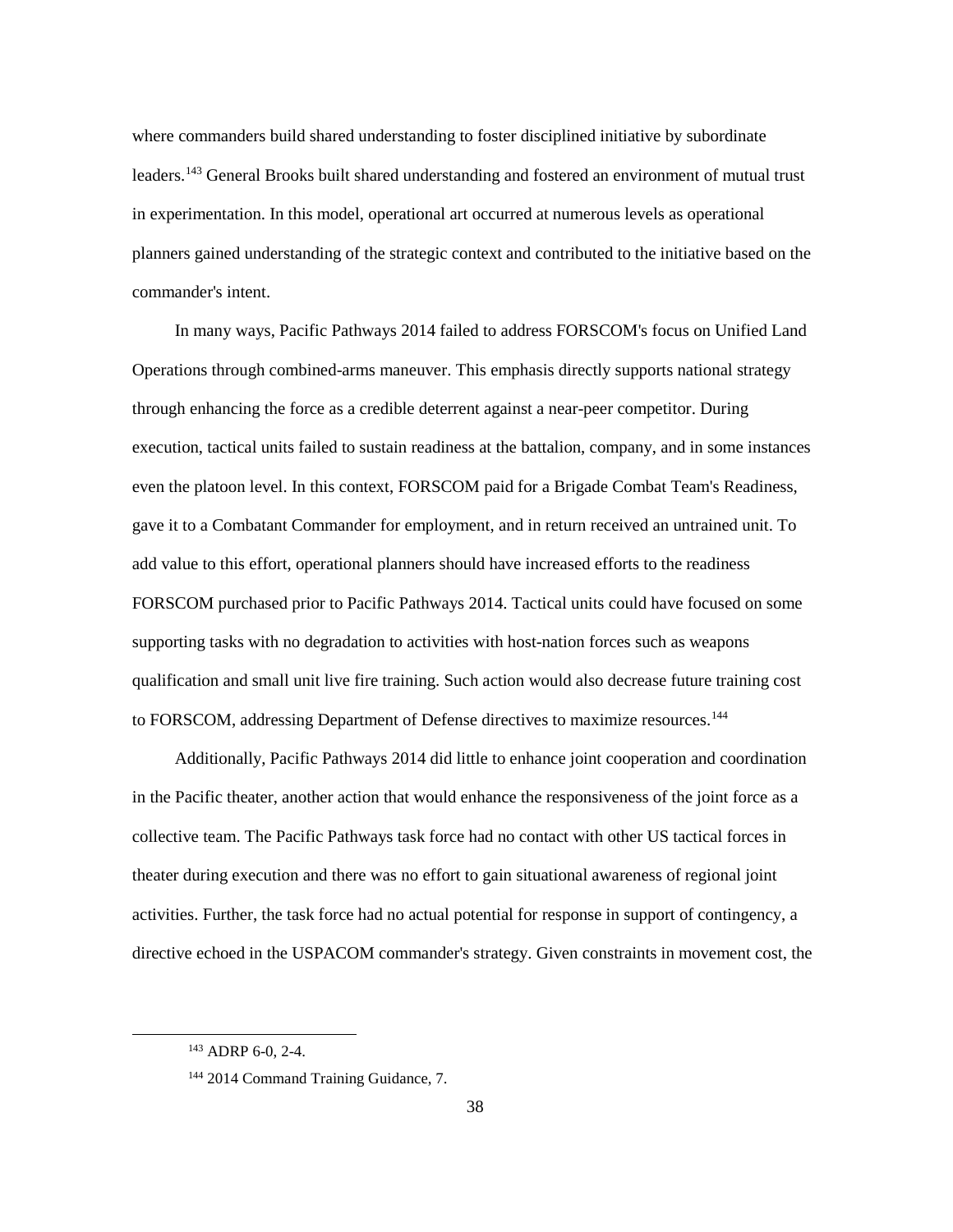where commanders build shared understanding to foster disciplined initiative by subordinate leaders.[143](#page-44-0) General Brooks built shared understanding and fostered an environment of mutual trust in experimentation. In this model, operational art occurred at numerous levels as operational planners gained understanding of the strategic context and contributed to the initiative based on the commander's intent.

In many ways, Pacific Pathways 2014 failed to address FORSCOM's focus on Unified Land Operations through combined-arms maneuver. This emphasis directly supports national strategy through enhancing the force as a credible deterrent against a near-peer competitor. During execution, tactical units failed to sustain readiness at the battalion, company, and in some instances even the platoon level. In this context, FORSCOM paid for a Brigade Combat Team's Readiness, gave it to a Combatant Commander for employment, and in return received an untrained unit. To add value to this effort, operational planners should have increased efforts to the readiness FORSCOM purchased prior to Pacific Pathways 2014. Tactical units could have focused on some supporting tasks with no degradation to activities with host-nation forces such as weapons qualification and small unit live fire training. Such action would also decrease future training cost to FORSCOM, addressing Department of Defense directives to maximize resources.<sup>[144](#page-44-1)</sup>

Additionally, Pacific Pathways 2014 did little to enhance joint cooperation and coordination in the Pacific theater, another action that would enhance the responsiveness of the joint force as a collective team. The Pacific Pathways task force had no contact with other US tactical forces in theater during execution and there was no effort to gain situational awareness of regional joint activities. Further, the task force had no actual potential for response in support of contingency, a directive echoed in the USPACOM commander's strategy. Given constraints in movement cost, the

<span id="page-44-0"></span> <sup>143</sup> ADRP 6-0, 2-4.

<span id="page-44-1"></span><sup>144</sup> 2014 Command Training Guidance, 7.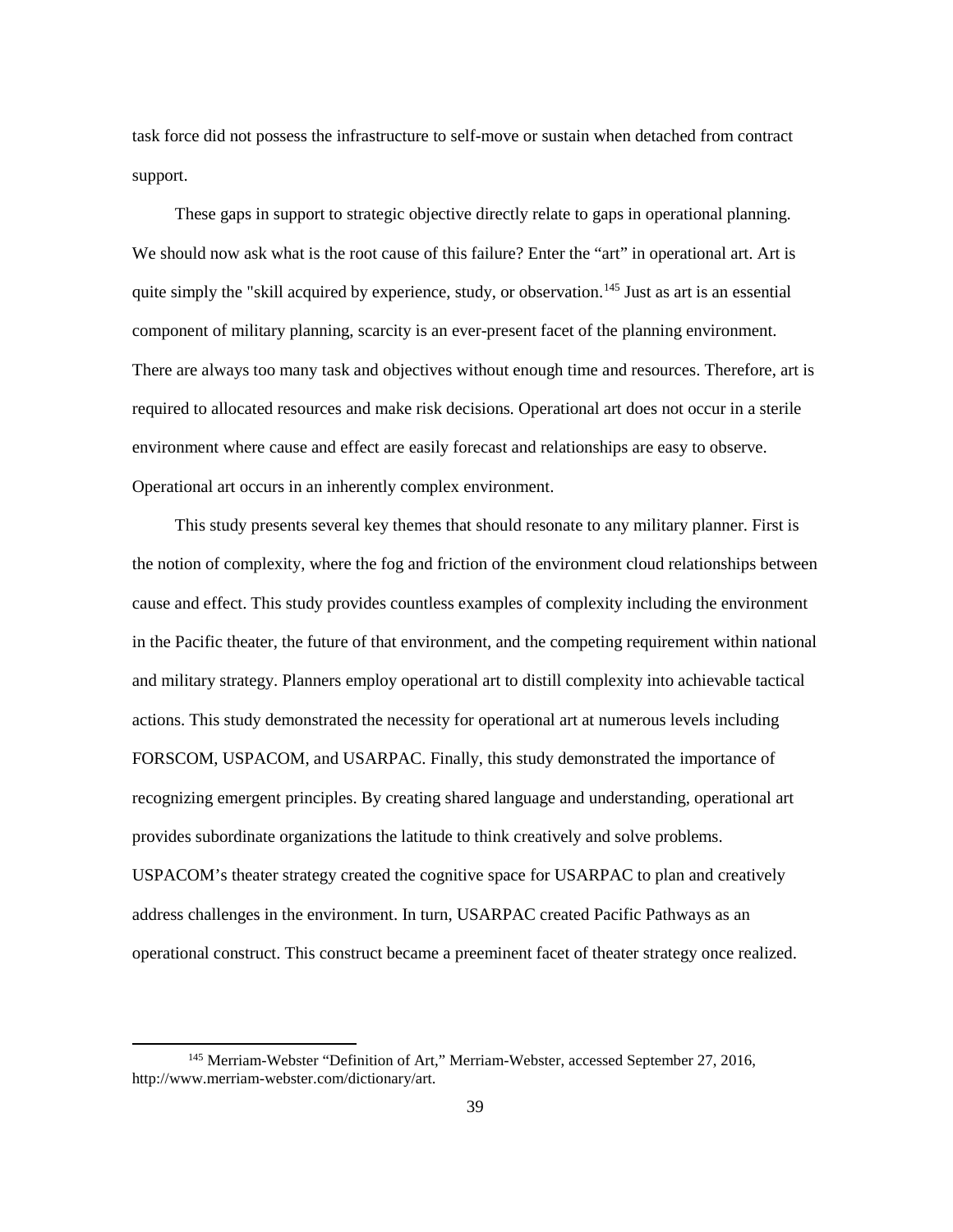task force did not possess the infrastructure to self-move or sustain when detached from contract support.

These gaps in support to strategic objective directly relate to gaps in operational planning. We should now ask what is the root cause of this failure? Enter the "art" in operational art. Art is quite simply the "skill acquired by experience, study, or observation.<sup>[145](#page-45-0)</sup> Just as art is an essential component of military planning, scarcity is an ever-present facet of the planning environment. There are always too many task and objectives without enough time and resources. Therefore, art is required to allocated resources and make risk decisions. Operational art does not occur in a sterile environment where cause and effect are easily forecast and relationships are easy to observe. Operational art occurs in an inherently complex environment.

This study presents several key themes that should resonate to any military planner. First is the notion of complexity, where the fog and friction of the environment cloud relationships between cause and effect. This study provides countless examples of complexity including the environment in the Pacific theater, the future of that environment, and the competing requirement within national and military strategy. Planners employ operational art to distill complexity into achievable tactical actions. This study demonstrated the necessity for operational art at numerous levels including FORSCOM, USPACOM, and USARPAC. Finally, this study demonstrated the importance of recognizing emergent principles. By creating shared language and understanding, operational art provides subordinate organizations the latitude to think creatively and solve problems. USPACOM's theater strategy created the cognitive space for USARPAC to plan and creatively address challenges in the environment. In turn, USARPAC created Pacific Pathways as an operational construct. This construct became a preeminent facet of theater strategy once realized.

<span id="page-45-0"></span><sup>&</sup>lt;sup>145</sup> Merriam-Webster "Definition of Art," Merriam-Webster, accessed September 27, 2016, http://www.merriam-webster.com/dictionary/art.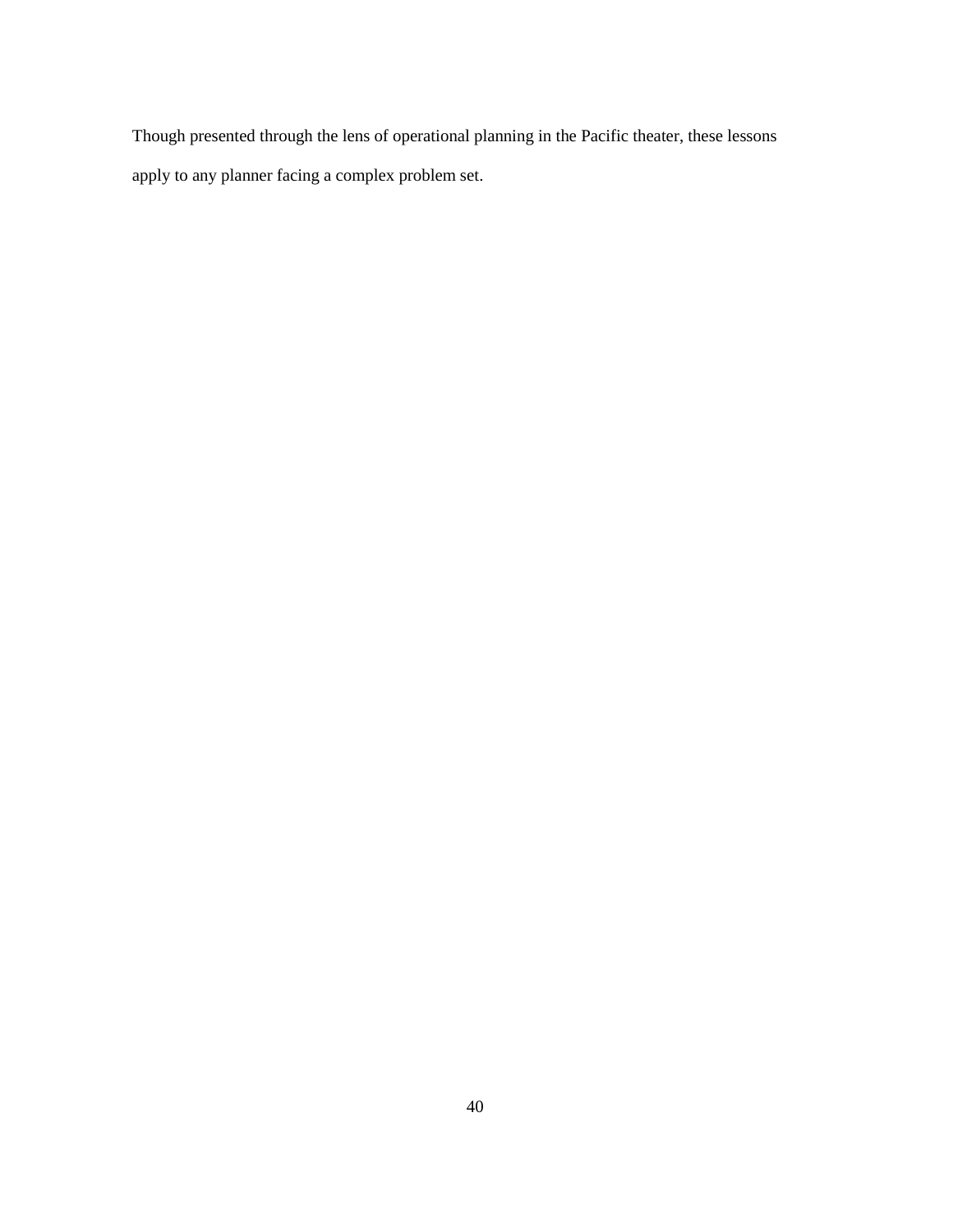Though presented through the lens of operational planning in the Pacific theater, these lessons apply to any planner facing a complex problem set.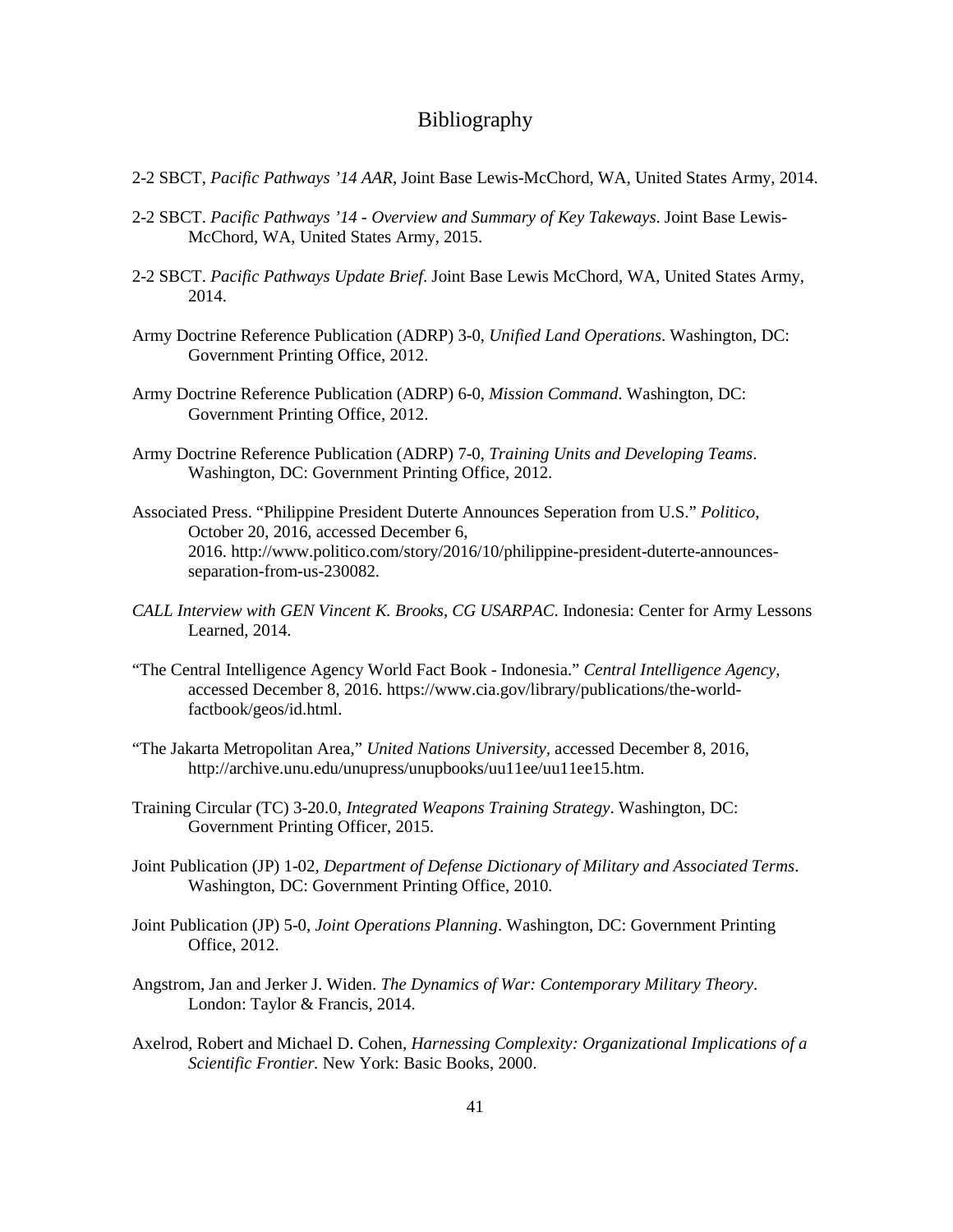## Bibliography

- 2-2 SBCT, *Pacific Pathways '14 AAR*, Joint Base Lewis-McChord, WA, United States Army, 2014.
- 2-2 SBCT. *Pacific Pathways '14 - Overview and Summary of Key Takeways*. Joint Base Lewis-McChord, WA, United States Army, 2015.
- 2-2 SBCT. *Pacific Pathways Update Brief*. Joint Base Lewis McChord, WA, United States Army, 2014.
- Army Doctrine Reference Publication (ADRP) 3-0, *Unified Land Operations*. Washington, DC: Government Printing Office, 2012.
- Army Doctrine Reference Publication (ADRP) 6-0, *Mission Command*. Washington, DC: Government Printing Office, 2012.
- Army Doctrine Reference Publication (ADRP) 7-0, *Training Units and Developing Teams*. Washington, DC: Government Printing Office, 2012.
- Associated Press. "Philippine President Duterte Announces Seperation from U.S." *Politico*, October 20, 2016, accessed December 6, 2016. http://www.politico.com/story/2016/10/philippine-president-duterte-announcesseparation-from-us-230082.
- *CALL Interview with GEN Vincent K. Brooks, CG USARPAC*. Indonesia: Center for Army Lessons Learned, 2014.
- "The Central Intelligence Agency World Fact Book Indonesia." *Central Intelligence Agency,*  accessed December 8, 2016. https://www.cia.gov/library/publications/the-worldfactbook/geos/id.html.
- "The Jakarta Metropolitan Area," *United Nations University,* accessed December 8, 2016, http://archive.unu.edu/unupress/unupbooks/uu11ee/uu11ee15.htm.
- Training Circular (TC) 3-20.0, *Integrated Weapons Training Strategy*. Washington, DC: Government Printing Officer, 2015.
- Joint Publication (JP) 1-02, *Department of Defense Dictionary of Military and Associated Terms*. Washington, DC: Government Printing Office, 2010.
- Joint Publication (JP) 5-0, *Joint Operations Planning*. Washington, DC: Government Printing Office, 2012.
- Angstrom, Jan and Jerker J. Widen. *The Dynamics of War: Contemporary Military Theory*. London: Taylor & Francis, 2014.
- Axelrod, Robert and Michael D. Cohen, *Harnessing Complexity: Organizational Implications of a Scientific Frontier.* New York: Basic Books, 2000.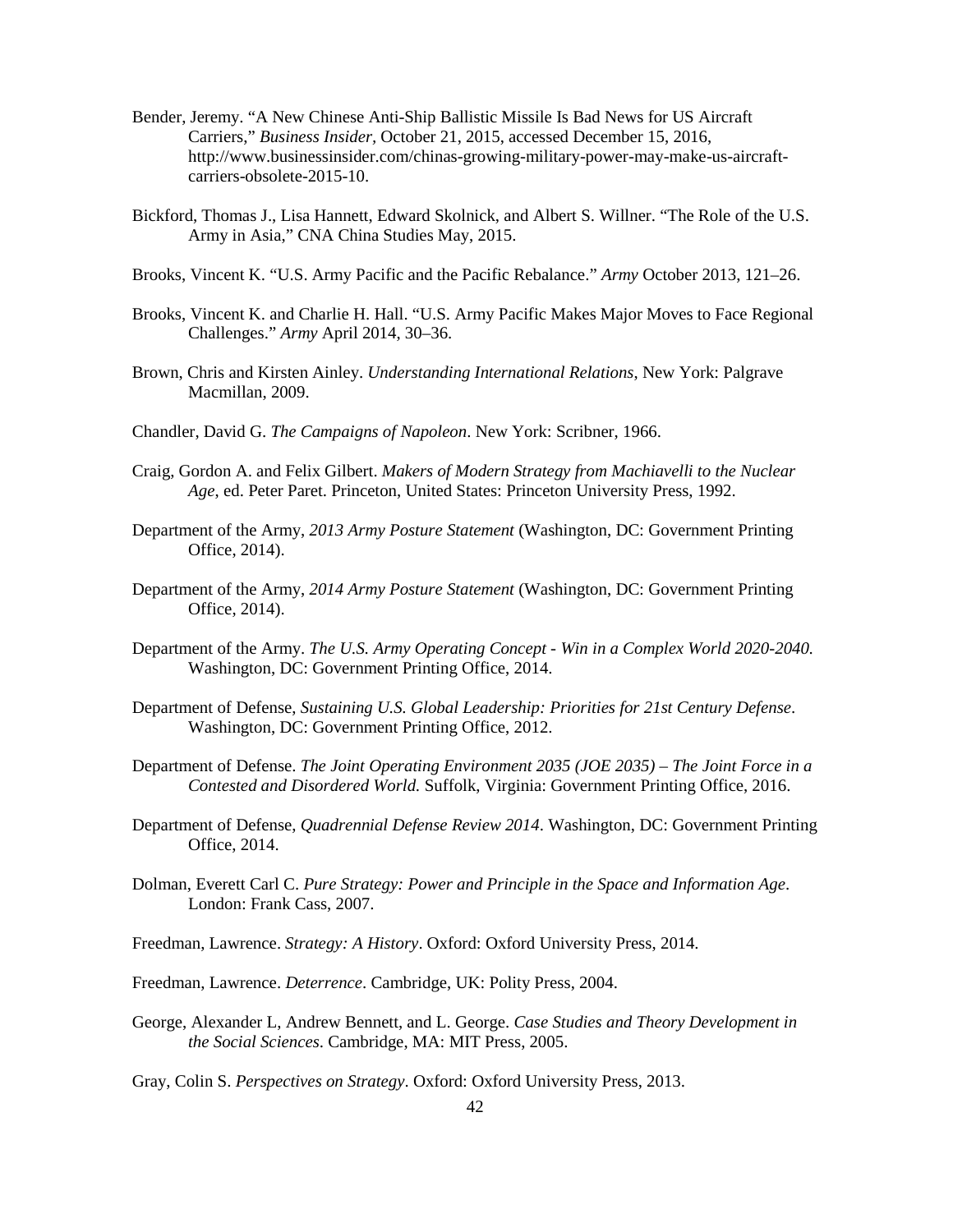- Bender, Jeremy. "A New Chinese Anti-Ship Ballistic Missile Is Bad News for US Aircraft Carriers," *Business Insider,* October 21, 2015, accessed December 15, 2016, http://www.businessinsider.com/chinas-growing-military-power-may-make-us-aircraftcarriers-obsolete-2015-10.
- Bickford, Thomas J., Lisa Hannett, Edward Skolnick, and Albert S. Willner. "The Role of the U.S. Army in Asia," CNA China Studies May, 2015.
- Brooks, Vincent K. "U.S. Army Pacific and the Pacific Rebalance." *Army* October 2013, 121–26.
- Brooks, Vincent K. and Charlie H. Hall. "U.S. Army Pacific Makes Major Moves to Face Regional Challenges." *Army* April 2014, 30–36.
- Brown, Chris and Kirsten Ainley. *Understanding International Relations*, New York: Palgrave Macmillan, 2009.
- Chandler, David G. *The Campaigns of Napoleon*. New York: Scribner, 1966.
- Craig, Gordon A. and Felix Gilbert. *Makers of Modern Strategy from Machiavelli to the Nuclear Age*, ed. Peter Paret. Princeton, United States: Princeton University Press, 1992.
- Department of the Army, *2013 Army Posture Statement* (Washington, DC: Government Printing Office, 2014).
- Department of the Army, *2014 Army Posture Statement* (Washington, DC: Government Printing Office, 2014).
- Department of the Army. *The U.S. Army Operating Concept - Win in a Complex World 2020-2040.*  Washington, DC: Government Printing Office, 2014.
- Department of Defense, *Sustaining U.S. Global Leadership: Priorities for 21st Century Defense*. Washington, DC: Government Printing Office, 2012.
- Department of Defense. *The Joint Operating Environment 2035 (JOE 2035) – The Joint Force in a Contested and Disordered World.* Suffolk, Virginia: Government Printing Office, 2016.
- Department of Defense, *Quadrennial Defense Review 2014*. Washington, DC: Government Printing Office, 2014.
- Dolman, Everett Carl C. *Pure Strategy: Power and Principle in the Space and Information Age*. London: Frank Cass, 2007.
- Freedman, Lawrence. *Strategy: A History*. Oxford: Oxford University Press, 2014.
- Freedman, Lawrence. *Deterrence*. Cambridge, UK: Polity Press, 2004.
- George, Alexander L, Andrew Bennett, and L. George. *Case Studies and Theory Development in the Social Sciences*. Cambridge, MA: MIT Press, 2005.
- Gray, Colin S. *Perspectives on Strategy*. Oxford: Oxford University Press, 2013.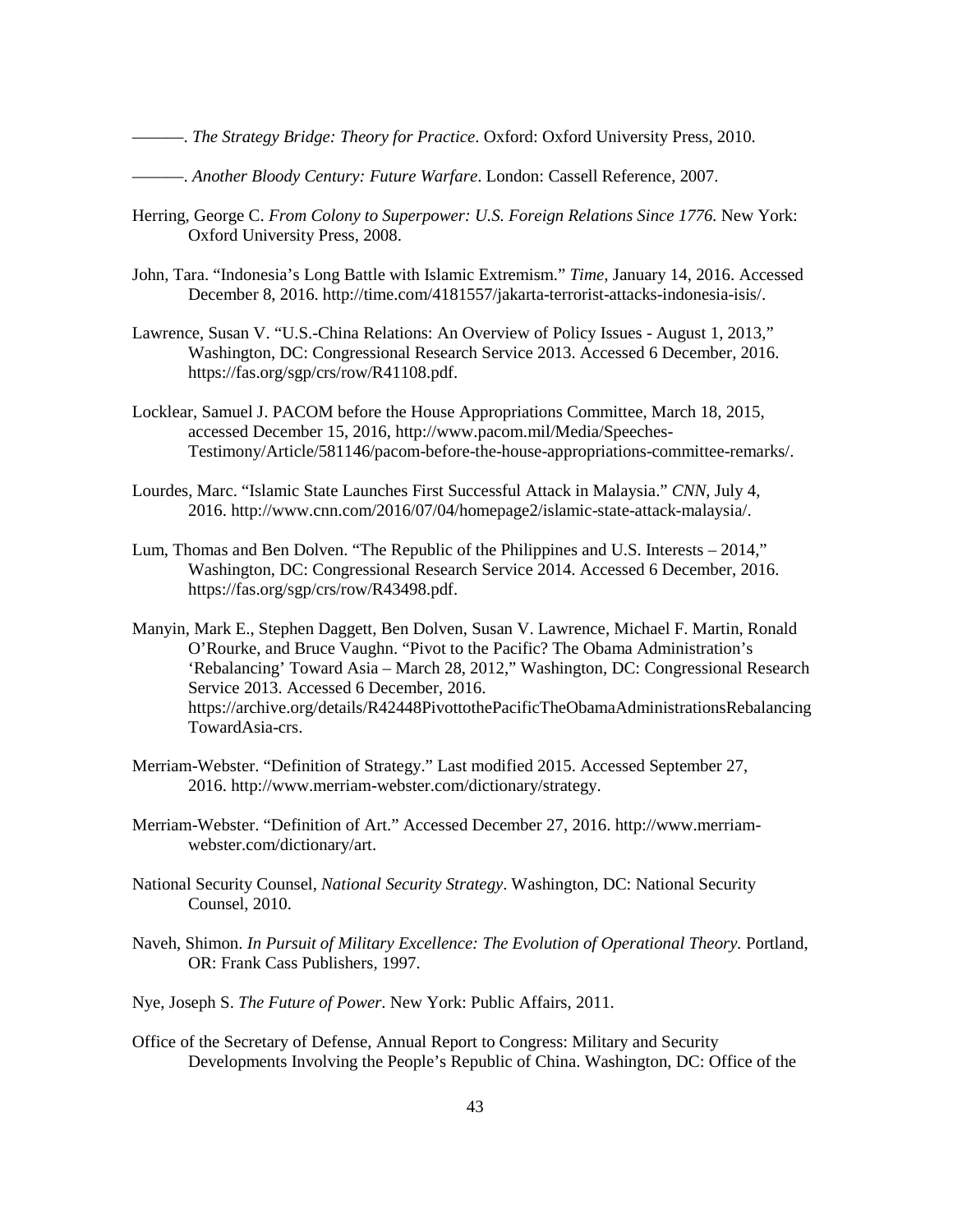———. *The Strategy Bridge: Theory for Practice*. Oxford: Oxford University Press, 2010.

- ———. *Another Bloody Century: Future Warfare*. London: Cassell Reference, 2007.
- Herring, George C. *From Colony to Superpower: U.S. Foreign Relations Since 1776*. New York: Oxford University Press, 2008.
- John, Tara. "Indonesia's Long Battle with Islamic Extremism." *Time,* January 14, 2016. Accessed December 8, 2016. http://time.com/4181557/jakarta-terrorist-attacks-indonesia-isis/.
- Lawrence, Susan V. "U.S.-China Relations: An Overview of Policy Issues August 1, 2013," Washington, DC: Congressional Research Service 2013. Accessed 6 December, 2016. https://fas.org/sgp/crs/row/R41108.pdf.
- Locklear, Samuel J. PACOM before the House Appropriations Committee, March 18, 2015, accessed December 15, 2016, http://www.pacom.mil/Media/Speeches-Testimony/Article/581146/pacom-before-the-house-appropriations-committee-remarks/.
- Lourdes, Marc. "Islamic State Launches First Successful Attack in Malaysia." *CNN*, July 4, 2016. http://www.cnn.com/2016/07/04/homepage2/islamic-state-attack-malaysia/.
- Lum, Thomas and Ben Dolven. "The Republic of the Philippines and U.S. Interests 2014," Washington, DC: Congressional Research Service 2014. Accessed 6 December, 2016. https://fas.org/sgp/crs/row/R43498.pdf.
- Manyin, Mark E., Stephen Daggett, Ben Dolven, Susan V. Lawrence, Michael F. Martin, Ronald O'Rourke, and Bruce Vaughn. "Pivot to the Pacific? The Obama Administration's 'Rebalancing' Toward Asia – March 28, 2012," Washington, DC: Congressional Research Service 2013. Accessed 6 December, 2016. https://archive.org/details/R42448PivottothePacificTheObamaAdministrationsRebalancing TowardAsia-crs.
- Merriam-Webster. "Definition of Strategy." Last modified 2015. Accessed September 27, 2016. http://www.merriam-webster.com/dictionary/strategy.
- Merriam-Webster. "Definition of Art." Accessed December 27, 2016. http://www.merriamwebster.com/dictionary/art.
- National Security Counsel, *National Security Strategy*. Washington, DC: National Security Counsel, 2010.
- Naveh, Shimon. *In Pursuit of Military Excellence: The Evolution of Operational Theory.* Portland, OR: Frank Cass Publishers, 1997.
- Nye, Joseph S. *The Future of Power*. New York: Public Affairs, 2011.
- Office of the Secretary of Defense, Annual Report to Congress: Military and Security Developments Involving the People's Republic of China. Washington, DC: Office of the